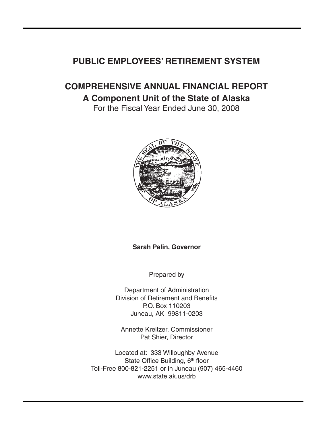# **PUBLIC EMPLOYEES' RETIREMENT SYSTEM**

# **COMPREHENSIVE ANNUAL FINANCIAL REPORT A Component Unit of the State of Alaska**

For the Fiscal Year Ended June 30, 2008



**Sarah Palin, Governor**

Prepared by

Department of Administration Division of Retirement and Benefits P.O. Box 110203 Juneau, AK 99811-0203

Annette Kreitzer, Commissioner Pat Shier, Director

Located at: 333 Willoughby Avenue State Office Building, 6<sup>th</sup> floor Toll-Free 800-821-2251 or in Juneau (907) 465-4460 www.state.ak.us/drb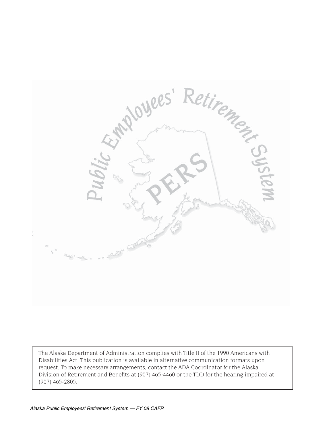

The Alaska Department of Administration complies with Title II of the 1990 Americans with Disabilities Act. This publication is available in alternative communication formats upon request. To make necessary arrangements, contact the ADA Coordinator for the Alaska Division of Retirement and Benefits at (907) 465-4460 or the TDD for the hearing impaired at (907) 465-2805.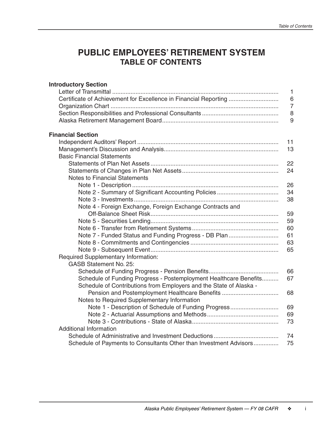# **PUBLIC EMPLOYEES' RETIREMENT SYSTEM TABLE OF CONTENTS**

| <b>Introductory Section</b>                                        |                |
|--------------------------------------------------------------------|----------------|
|                                                                    | $\mathbf{1}$   |
| Certificate of Achievement for Excellence in Financial Reporting   | 6              |
|                                                                    | $\overline{7}$ |
|                                                                    | 8              |
|                                                                    | 9              |
| <b>Financial Section</b>                                           |                |
|                                                                    | 11             |
|                                                                    | 13             |
| <b>Basic Financial Statements</b>                                  |                |
|                                                                    | 22             |
|                                                                    | 24             |
| Notes to Financial Statements                                      |                |
|                                                                    | 26             |
|                                                                    | 34             |
|                                                                    | 38             |
| Note 4 - Foreign Exchange, Foreign Exchange Contracts and          |                |
|                                                                    | 59             |
|                                                                    | 59             |
|                                                                    | 60             |
| Note 7 - Funded Status and Funding Progress - DB Plan              | 61             |
|                                                                    | 63             |
|                                                                    | 65             |
| <b>Required Supplementary Information:</b>                         |                |
| <b>GASB Statement No. 25:</b>                                      |                |
|                                                                    | 66             |
| Schedule of Funding Progress - Postemployment Healthcare Benefits  | 67             |
| Schedule of Contributions from Employers and the State of Alaska - |                |
| Pension and Postemployment Healthcare Benefits                     | 68             |
| Notes to Required Supplementary Information                        |                |
| Note 1 - Description of Schedule of Funding Progress               | 69             |
|                                                                    | 69             |
|                                                                    | 73             |
| <b>Additional Information</b>                                      |                |
|                                                                    | 74             |
| Schedule of Payments to Consultants Other than Investment Advisors | 75             |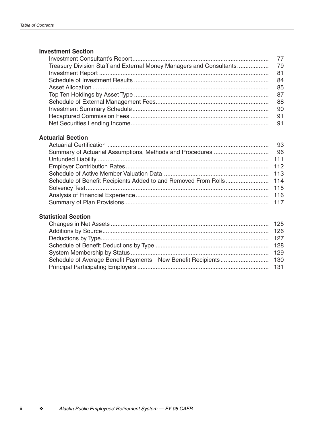| <b>Investment Section</b> |  |
|---------------------------|--|
|---------------------------|--|

| 81  |
|-----|
| -84 |
| 85  |
|     |
|     |
| -90 |
| -91 |
|     |

#### **Actuarial Section**

#### **Statistical Section**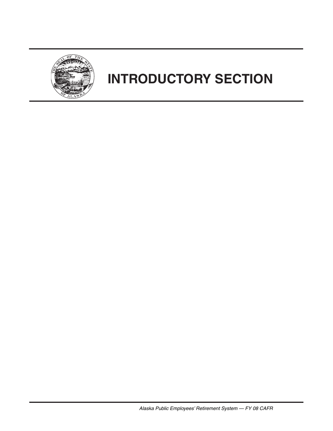

# **INTRODUCTORY SECTION**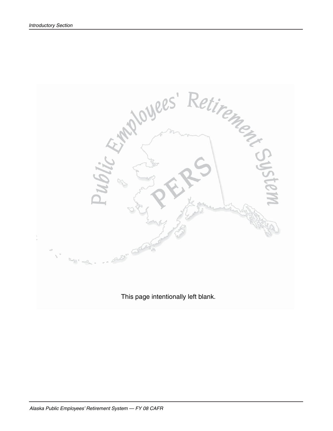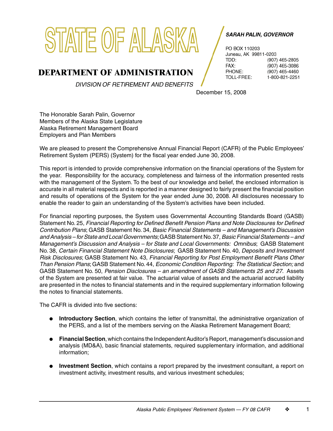# STATE OF ALASK

# **DEPARTMENT OF ADMINISTRATION**

**DIVISION OF RETIREMENT AND BENEFITS** 

#### **SARAH PALIN, GOVERNOR**

PO BOX 110203 Juneau, AK 99811-0203 TDD: (907) 465-2805 FAX: (907) 465-3086 PHONE: (907) 465-4460 TOLL-FREE: 1-800-821-2251

December 15, 2008

The Honorable Sarah Palin, Governor Members of the Alaska State Legislature Alaska Retirement Management Board Employers and Plan Members

We are pleased to present the Comprehensive Annual Financial Report (CAFR) of the Public Employees' Retirement System (PERS) (System) for the fiscal year ended June 30, 2008.

This report is intended to provide comprehensive information on the financial operations of the System for the year. Responsibility for the accuracy, completeness and fairness of the information presented rests with the management of the System. To the best of our knowledge and belief, the enclosed information is accurate in all material respects and is reported in a manner designed to fairly present the financial position and results of operations of the System for the year ended June 30, 2008. All disclosures necessary to enable the reader to gain an understanding of the System's activities have been included.

For financial reporting purposes, the System uses Governmental Accounting Standards Board (GASB) Statement No. 25, *Financial Reporting for Defined Benefit Pension Plans and Note Disclosures for Defined Contribution Plans*; GASB Statement No. 34, *Basic Financial Statements – and Management's Discussion and Analysis – for State and Local Governments*; GASB Statement No. 37, *Basic Financial Statements – and Management's Discussion and Analysis – for State and Local Governments: Omnibus*; GASB Statement No. 38, *Certain Financial Statement Note Disclosures*; GASB Statement No. 40, *Deposits and Investment Risk Disclosures*; GASB Statement No. 43, *Financial Reporting for Post Employment Benefit Plans Other Than Pension Plans*; GASB Statement No. 44, *Economic Condition Reporting: The Statistical Section;* and GASB Statement No. 50, *Pension Disclosures – an amendment of GASB Statements 25 and 27*. Assets of the System are presented at fair value. The actuarial value of assets and the actuarial accrued liability are presented in the notes to financial statements and in the required supplementary information following the notes to financial statements.

The CAFR is divided into five sections:

- **Introductory Section**, which contains the letter of transmittal, the administrative organization of the PERS, and a list of the members serving on the Alaska Retirement Management Board;
- **Financial Section**, which contains the Independent Auditor's Report, management's discussion and analysis (MD&A), basic financial statements, required supplementary information, and additional information;
- **Investment Section**, which contains a report prepared by the investment consultant, a report on investment activity, investment results, and various investment schedules;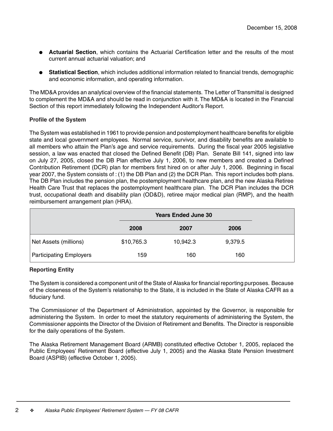- **Actuarial Section**, which contains the Actuarial Certification letter and the results of the most current annual actuarial valuation; and
- **Statistical Section**, which includes additional information related to financial trends, demographic and economic information, and operating information.

The MD&A provides an analytical overview of the financial statements. The Letter of Transmittal is designed to complement the MD&A and should be read in conjunction with it. The MD&A is located in the Financial Section of this report immediately following the Independent Auditor's Report.

#### **Profile of the System**

The System was established in 1961 to provide pension and postemployment healthcare benefits for eligible state and local government employees. Normal service, survivor, and disability benefits are available to all members who attain the Plan's age and service requirements. During the fiscal year 2005 legislative session, a law was enacted that closed the Defined Benefit (DB) Plan. Senate Bill 141, signed into law on July 27, 2005, closed the DB Plan effective July 1, 2006, to new members and created a Defined Contribution Retirement (DCR) plan for members first hired on or after July 1, 2006. Beginning in fiscal year 2007, the System consists of : (1) the DB Plan and (2) the DCR Plan. This report includes both plans. The DB Plan includes the pension plan, the postemployment healthcare plan, and the new Alaska Retiree Health Care Trust that replaces the postemployment healthcare plan. The DCR Plan includes the DCR trust, occupational death and disability plan (OD&D), retiree major medical plan (RMP), and the health reimbursement arrangement plan (HRA).

|                                |            | <b>Years Ended June 30</b> |         |  |  |
|--------------------------------|------------|----------------------------|---------|--|--|
|                                | 2008       | 2007                       | 2006    |  |  |
| Net Assets (millions)          | \$10,765.3 | 10,942.3                   | 9,379.5 |  |  |
| <b>Participating Employers</b> | 159        | 160                        | 160     |  |  |

#### **Reporting Entity**

The System is considered a component unit of the State of Alaska for financial reporting purposes. Because of the closeness of the System's relationship to the State, it is included in the State of Alaska CAFR as a fiduciary fund.

The Commissioner of the Department of Administration, appointed by the Governor, is responsible for administering the System. In order to meet the statutory requirements of administering the System, the Commissioner appoints the Director of the Division of Retirement and Benefits. The Director is responsible for the daily operations of the System.

The Alaska Retirement Management Board (ARMB) constituted effective October 1, 2005, replaced the Public Employees' Retirement Board (effective July 1, 2005) and the Alaska State Pension Investment Board (ASPIB) (effective October 1, 2005).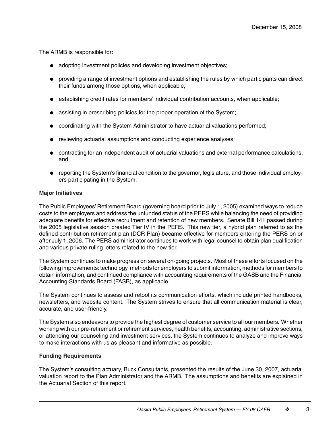The ARMB is responsible for:

- adopting investment policies and developing investment objectives;
- providing a range of investment options and establishing the rules by which participants can direct their funds among those options, when applicable;
- establishing credit rates for members' individual contribution accounts, when applicable;
- assisting in prescribing policies for the proper operation of the System;
- coordinating with the System Administrator to have actuarial valuations performed;
- reviewing actuarial assumptions and conducting experience analyses;
- contracting for an independent audit of actuarial valuations and external performance calculations; and
- reporting the System's financial condition to the governor, legislature, and those individual employers participating in the System.

#### **Major Initiatives**

The Public Employees' Retirement Board (governing board prior to July 1, 2005) examined ways to reduce costs to the employers and address the unfunded status of the PERS while balancing the need of providing adequate benefits for effective recruitment and retention of new members. Senate Bill 141 passed during the 2005 legislative session created Tier IV in the PERS. This new tier, a hybrid plan referred to as the defined contribution retirement plan (DCR Plan) became effective for members entering the PERS on or after July 1, 2006. The PERS administrator continues to work with legal counsel to obtain plan qualification and various private ruling letters related to the new tier.

The System continues to make progress on several on-going projects. Most of these efforts focused on the following improvements: technology, methods for employers to submit information, methods for members to obtain information, and continued compliance with accounting requirements of the GASB and the Financial Accounting Standards Board (FASB), as applicable.

The System continues to assess and retool its communication efforts, which include printed handbooks, newsletters, and website content. The System strives to ensure that all communication material is clear, accurate, and user-friendly.

The System also endeavors to provide the highest degree of customer service to all our members. Whether working with our pre-retirement or retirement services, health benefits, accounting, administrative sections, or attending our counseling and investment services, the System continues to analyze and improve ways to make interactions with us as pleasant and informative as possible.

#### **Funding Requirements**

The System's consulting actuary, Buck Consultants, presented the results of the June 30, 2007, actuarial valuation report to the Plan Administrator and the ARMB. The assumptions and benefits are explained in the Actuarial Section of this report.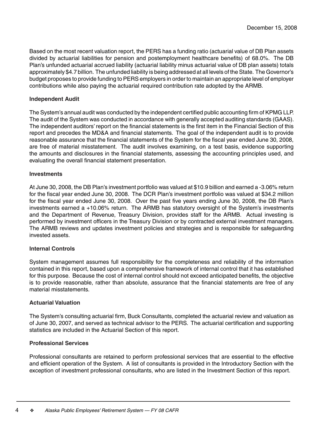Based on the most recent valuation report, the PERS has a funding ratio (actuarial value of DB Plan assets divided by actuarial liabilities for pension and postemployment healthcare benefits) of 68.0%. The DB Plan's unfunded actuarial accrued liability (actuarial liability minus actuarial value of DB plan assets) totals approximately \$4.7 billion. The unfunded liability is being addressed at all levels of the State. The Governor's budget proposes to provide funding to PERS employers in order to maintain an appropriate level of employer contributions while also paying the actuarial required contribution rate adopted by the ARMB.

#### **Independent Audit**

The System's annual audit was conducted by the independent certified public accounting firm of KPMG LLP. The audit of the System was conducted in accordance with generally accepted auditing standards (GAAS). The independent auditors' report on the financial statements is the first item in the Financial Section of this report and precedes the MD&A and financial statements. The goal of the independent audit is to provide reasonable assurance that the financial statements of the System for the fiscal year ended June 30, 2008, are free of material misstatement. The audit involves examining, on a test basis, evidence supporting the amounts and disclosures in the financial statements, assessing the accounting principles used, and evaluating the overall financial statement presentation.

#### **Investments**

At June 30, 2008, the DB Plan's investment portfolio was valued at \$10.9 billion and earned a -3.06% return for the fiscal year ended June 30, 2008. The DCR Plan's investment portfolio was valued at \$34.2 million for the fiscal year ended June 30, 2008. Over the past five years ending June 30, 2008, the DB Plan's investments earned a +10.06% return. The ARMB has statutory oversight of the System's investments and the Department of Revenue, Treasury Division, provides staff for the ARMB. Actual investing is performed by investment officers in the Treasury Division or by contracted external investment managers. The ARMB reviews and updates investment policies and strategies and is responsible for safeguarding invested assets.

#### **Internal Controls**

System management assumes full responsibility for the completeness and reliability of the information contained in this report, based upon a comprehensive framework of internal control that it has established for this purpose. Because the cost of internal control should not exceed anticipated benefits, the objective is to provide reasonable, rather than absolute, assurance that the financial statements are free of any material misstatements.

#### **Actuarial Valuation**

The System's consulting actuarial firm, Buck Consultants, completed the actuarial review and valuation as of June 30, 2007, and served as technical advisor to the PERS. The actuarial certification and supporting statistics are included in the Actuarial Section of this report.

#### **Professional Services**

Professional consultants are retained to perform professional services that are essential to the effective and efficient operation of the System. A list of consultants is provided in the Introductory Section with the exception of investment professional consultants, who are listed in the Investment Section of this report.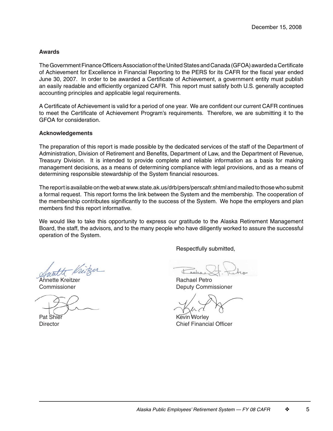#### **Awards**

The Government Finance Officers Association of the United States and Canada (GFOA) awarded a Certificate of Achievement for Excellence in Financial Reporting to the PERS for its CAFR for the fiscal year ended June 30, 2007. In order to be awarded a Certificate of Achievement, a government entity must publish an easily readable and efficiently organized CAFR. This report must satisfy both U.S. generally accepted accounting principles and applicable legal requirements.

A Certificate of Achievement is valid for a period of one year. We are confident our current CAFR continues to meet the Certificate of Achievement Program's requirements. Therefore, we are submitting it to the GFOA for consideration.

#### **Acknowledgements**

The preparation of this report is made possible by the dedicated services of the staff of the Department of Administration, Division of Retirement and Benefits, Department of Law, and the Department of Revenue, Treasury Division. It is intended to provide complete and reliable information as a basis for making management decisions, as a means of determining compliance with legal provisions, and as a means of determining responsible stewardship of the System financial resources.

The report is available on the web at www.state.ak.us/drb/pers/perscafr.shtml and mailed to those who submit a formal request. This report forms the link between the System and the membership. The cooperation of the membership contributes significantly to the success of the System. We hope the employers and plan members find this report informative.

We would like to take this opportunity to express our gratitude to the Alaska Retirement Management Board, the staff, the advisors, and to the many people who have diligently worked to assure the successful operation of the System.

Annette Kreitzer **Rachael Petro** Rachael Petro

Pat Shier Kevin Worley **Communist Communist Communist Communist Communist Communist Communist Communist Communist Communist Communist Communist Communist Communist Communist Communist Communist Communist Communist Communis** 

Respectfully submitted,

Commissioner **Deputy Commissioner Deputy Commissioner** 

Director **Chief Financial Officer** Chief Financial Officer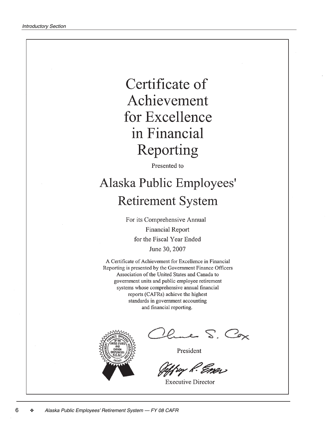# Certificate of Achievement for Excellence in Financial Reporting

Presented to

# Alaska Public Employees' **Retirement System**

For its Comprehensive Annual **Financial Report** for the Fiscal Year Ended June 30, 2007

A Certificate of Achievement for Excellence in Financial Reporting is presented by the Government Finance Officers Association of the United States and Canada to government units and public employee retirement systems whose comprehensive annual financial reports (CAFRs) achieve the highest standards in government accounting and financial reporting.



line S. Cox

President

**Executive Director**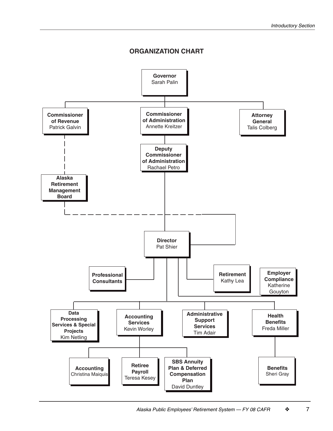#### **ORGANIZATION CHART**

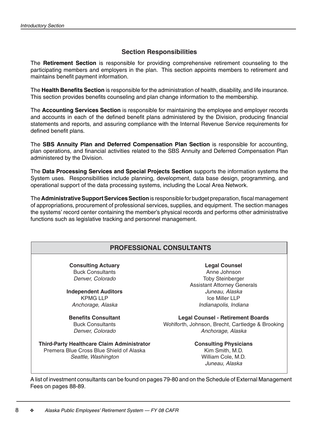#### **Section Responsibilities**

The **Retirement Section** is responsible for providing comprehensive retirement counseling to the participating members and employers in the plan. This section appoints members to retirement and maintains benefit payment information.

The **Health Benefits Section** is responsible for the administration of health, disability, and life insurance. This section provides benefits counseling and plan change information to the membership.

The **Accounting Services Section** is responsible for maintaining the employee and employer records and accounts in each of the defined benefit plans administered by the Division, producing financial statements and reports, and assuring compliance with the Internal Revenue Service requirements for defined benefit plans.

The **SBS Annuity Plan and Deferred Compensation Plan Section** is responsible for accounting, plan operations, and financial activities related to the SBS Annuity and Deferred Compensation Plan administered by the Division.

The **Data Processing Services and Special Projects Section** supports the information systems the System uses. Responsibilities include planning, development, data base design, programming, and operational support of the data processing systems, including the Local Area Network.

The **Administrative Support Services Section** is responsible for budget preparation, fiscal management of appropriations, procurement of professional services, supplies, and equipment. The section manages the systems' record center containing the member's physical records and performs other administrative functions such as legislative tracking and personnel management.

#### **PROFESSIONAL CONSULTANTS**

**Consulting Actuary** Buck Consultants *Denver, Colorado*

**Independent Auditors** KPMG LLP *Anchorage, Alaska*

**Benefits Consultant** Buck Consultants *Denver, Colorado*

**Third-Party Healthcare Claim Administrator** Premera Blue Cross Blue Shield of Alaska *Seattle, Washington*

**Legal Counsel** Anne Johnson Toby Steinberger Assistant Attorney Generals *Juneau, Alaska* Ice Miller LLP *Indianapolis, Indiana*

**Legal Counsel - Retirement Boards** Wohlforth, Johnson, Brecht, Cartledge & Brooking *Anchorage, Alaska*

> **Consulting Physicians** Kim Smith, M.D. William Cole, M.D. *Juneau, Alaska*

A list of investment consultants can be found on pages 79-80 and on the Schedule of External Management Fees on pages 88-89.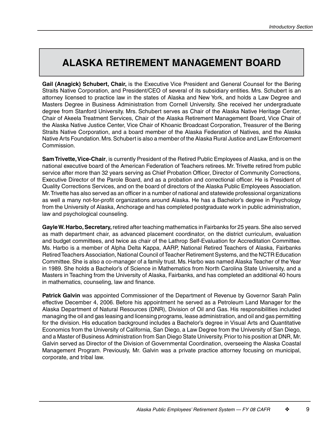# **ALASKA RETIREMENT MANAGEMENT BOARD**

**Gail (Anagick) Schubert, Chair,** is the Executive Vice President and General Counsel for the Bering Straits Native Corporation, and President/CEO of several of its subsidiary entities. Mrs. Schubert is an attorney licensed to practice law in the states of Alaska and New York, and holds a Law Degree and Masters Degree in Business Administration from Cornell University. She received her undergraduate degree from Stanford University. Mrs. Schubert serves as Chair of the Alaska Native Heritage Center, Chair of Akeela Treatment Services, Chair of the Alaska Retirement Management Board, Vice Chair of the Alaska Native Justice Center, Vice Chair of Khoanic Broadcast Corporation, Treasurer of the Bering Straits Native Corporation, and a board member of the Alaska Federation of Natives, and the Alaska Native Arts Foundation. Mrs. Schubert is also a member of the Alaska Rural Justice and Law Enforcement Commission.

**Sam Trivette, Vice-Chair**, is currently President of the Retired Public Employees of Alaska, and is on the national executive board of the American Federation of Teachers retirees. Mr. Trivette retired from public service after more than 32 years serving as Chief Probation Officer, Director of Community Corrections, Executive Director of the Parole Board, and as a probation and correctional officer. He is President of Quality Corrections Services, and on the board of directors of the Alaska Public Employees Association. Mr. Trivette has also served as an officer in a number of national and statewide professional organizations as well a many not-for-profit organizations around Alaska. He has a Bachelor's degree in Psychology from the University of Alaska, Anchorage and has completed postgraduate work in public administration, law and psychological counseling.

**Gayle W. Harbo, Secretary,** retired after teaching mathematics in Fairbanks for 25 years. She also served as math department chair, as advanced placement coordinator, on the district curriculum, evaluation and budget committees, and twice as chair of the Lathrop Self-Evaluation for Accreditation Committee. Ms. Harbo is a member of Alpha Delta Kappa, AARP, National Retired Teachers of Alaska, Fairbanks Retired Teachers Association, National Council of Teacher Retirement Systems, and the NCTR Education Committee. She is also a co-manager of a family trust. Ms. Harbo was named Alaska Teacher of the Year in 1989. She holds a Bachelor's of Science in Mathematics from North Carolina State University, and a Masters in Teaching from the University of Alaska, Fairbanks, and has completed an additional 40 hours in mathematics, counseling, law and finance.

**Patrick Galvin** was appointed Commissioner of the Department of Revenue by Governor Sarah Palin effective December 4, 2006. Before his appointment he served as a Petroleum Land Manager for the Alaska Department of Natural Resources (DNR), Division of Oil and Gas. His responsibilities included managing the oil and gas leasing and licensing programs, lease administration, and oil and gas permitting for the division. His education background includes a Bachelor's degree in Visual Arts and Quantitative Economics from the University of California, San Diego, a Law Degree from the University of San Diego, and a Master of Business Administration from San Diego State University. Prior to his position at DNR, Mr. Galvin served as Director of the Division of Governmental Coordination, overseeing the Alaska Coastal Management Program. Previously, Mr. Galvin was a private practice attorney focusing on municipal, corporate, and tribal law.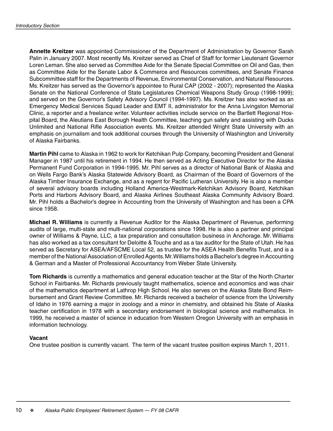**Annette Kreitzer** was appointed Commissioner of the Department of Administration by Governor Sarah Palin in January 2007. Most recently Ms. Kreitzer served as Chief of Staff for former Lieutenant Governor Loren Leman. She also served as Committee Aide for the Senate Special Committee on Oil and Gas, then as Committee Aide for the Senate Labor & Commerce and Resources committees, and Senate Finance Subcommittee staff for the Departments of Revenue, Environmental Conservation, and Natural Resources. Ms. Kreitzer has served as the Governor's appointee to Rural CAP (2002 - 2007); represented the Alaska Senate on the National Conference of State Legislatures Chemical Weapons Study Group (1998-1999); and served on the Governor's Safety Advisory Council (1994-1997). Ms. Kreitzer has also worked as an Emergency Medical Services Squad Leader and EMT II, administrator for the Anna Livingston Memorial Clinic, a reporter and a freelance writer. Volunteer activities include service on the Bartlett Regional Hospital Board, the Aleutians East Borough Health Committee, teaching gun safety and assisting with Ducks Unlimited and National Rifle Association events. Ms. Kreitzer attended Wright State University with an emphasis on journalism and took additional courses through the University of Washington and University of Alaska Fairbanks.

**Martin Pihl** came to Alaska in 1962 to work for Ketchikan Pulp Company, becoming President and General Manager in 1987 until his retirement in 1994. He then served as Acting Executive Director for the Alaska Permanent Fund Corporation in 1994-1995. Mr. Pihl serves as a director of National Bank of Alaska and on Wells Fargo Bank's Alaska Statewide Advisory Board, as Chairman of the Board of Governors of the Alaska Timber Insurance Exchange, and as a regent for Pacific Lutheran University. He is also a member of several advisory boards including Holland America-Westmark-Ketchikan Advisory Board, Ketchikan Ports and Harbors Advisory Board, and Alaska Airlines Southeast Alaska Community Advisory Board. Mr. Pihl holds a Bachelor's degree in Accounting from the University of Washington and has been a CPA since 1958.

**Michael R. Williams** is currently a Revenue Auditor for the Alaska Department of Revenue, performing audits of large, multi-state and multi-national corporations since 1998. He is also a partner and principal owner of Williams & Payne, LLC, a tax preparation and consultation business in Anchorage. Mr. Williams has also worked as a tax consultant for Deloitte & Touche and as a tax auditor for the State of Utah. He has served as Secretary for ASEA/AFSCME Local 52, as trustee for the ASEA Health Benefits Trust, and is a member of the National Association of Enrolled Agents. Mr. Williams holds a Bachelor's degree in Accounting & German and a Master of Professional Accountancy from Weber State University.

**Tom Richards** is currently a mathematics and general education teacher at the Star of the North Charter School in Fairbanks. Mr. Richards previously taught mathematics, science and economics and was chair of the mathematics department at Lathrop High School. He also serves on the Alaska State Bond Reimbursement and Grant Review Committee. Mr. Richards received a bachelor of science from the University of Idaho in 1976 earning a major in zoology and a minor in chemistry, and obtained his State of Alaska teacher certification in 1978 with a secondary endorsement in biological science and mathematics. In 1999, he received a master of science in education from Western Oregon University with an emphasis in information technology.

#### **Vacant**

One trustee position is currently vacant. The term of the vacant trustee position expires March 1, 2011.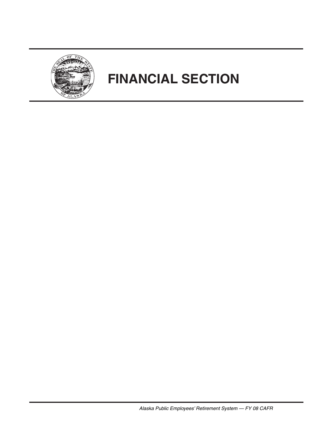

# **FINANCIAL SECTION**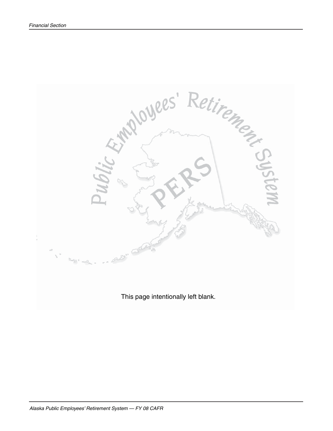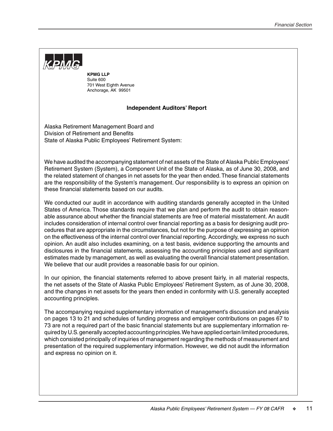

#### **KPMG LLP** Suite 600 701 West Eighth Avenue Anchorage, AK 99501

#### **Independent Auditors' Report**

Alaska Retirement Management Board and Division of Retirement and Benefits State of Alaska Public Employees' Retirement System:

We have audited the accompanying statement of net assets of the State of Alaska Public Employees' Retirement System (System), a Component Unit of the State of Alaska, as of June 30, 2008, and the related statement of changes in net assets for the year then ended. These financial statements are the responsibility of the System's management. Our responsibility is to express an opinion on these financial statements based on our audits.

We conducted our audit in accordance with auditing standards generally accepted in the United States of America. Those standards require that we plan and perform the audit to obtain reasonable assurance about whether the financial statements are free of material misstatement. An audit includes consideration of internal control over financial reporting as a basis for designing audit procedures that are appropriate in the circumstances, but not for the purpose of expressing an opinion on the effectiveness of the internal control over financial reporting. Accordingly, we express no such opinion. An audit also includes examining, on a test basis, evidence supporting the amounts and disclosures in the financial statements, assessing the accounting principles used and significant estimates made by management, as well as evaluating the overall financial statement presentation. We believe that our audit provides a reasonable basis for our opinion.

In our opinion, the financial statements referred to above present fairly, in all material respects, the net assets of the State of Alaska Public Employees' Retirement System, as of June 30, 2008, and the changes in net assets for the years then ended in conformity with U.S. generally accepted accounting principles.

The accompanying required supplementary information of management's discussion and analysis on pages 13 to 21 and schedules of funding progress and employer contributions on pages 67 to 73 are not a required part of the basic financial statements but are supplementary information required by U.S. generally accepted accounting principles. We have applied certain limited procedures, which consisted principally of inquiries of management regarding the methods of measurement and presentation of the required supplementary information. However, we did not audit the information and express no opinion on it.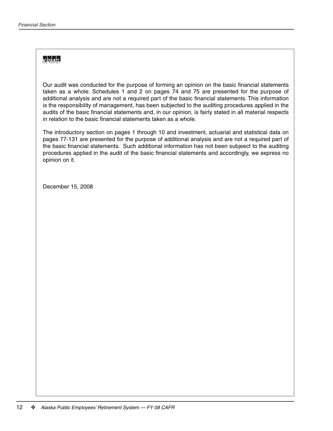#### KEMG

Our audit was conducted for the purpose of forming an opinion on the basic financial statements taken as a whole. Schedules 1 and 2 on pages 74 and 75 are presented for the purpose of additional analysis and are not a required part of the basic financial statements. This information is the responsibility of management, has been subjected to the auditing procedures applied in the audits of the basic financial statements and, in our opinion, is fairly stated in all material respects in relation to the basic financial statements taken as a whole.

The introductory section on pages 1 through 10 and investment, actuarial and statistical data on pages 77-131 are presented for the purpose of additional analysis and are not a required part of the basic financial statements. Such additional information has not been subjeect to the auditing procedures applied in the audit of the basic financial statements and accordingly, we express no opinion on it.

December 15, 2008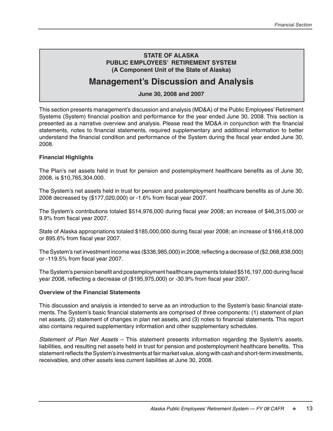# **Management's Discussion and Analysis**

**June 30, 2008 and 2007**

This section presents management's discussion and analysis (MD&A) of the Public Employees' Retirement Systems (System) financial position and performance for the year ended June 30, 2008. This section is presented as a narrative overview and analysis. Please read the MD&A in conjunction with the financial statements, notes to financial statements, required supplementary and additional information to better understand the financial condition and performance of the System during the fiscal year ended June 30, 2008.

#### **Financial Highlights**

The Plan's net assets held in trust for pension and postemployment healthcare benefits as of June 30, 2008, is \$10,765,304,000.

The System's net assets held in trust for pension and postemployment healthcare benefits as of June 30, 2008 decreased by (\$177,020,000) or -1.6% from fiscal year 2007.

The System's contributions totaled \$514,976,000 during fiscal year 2008; an increase of \$46,315,000 or 9.9% from fiscal year 2007.

State of Alaska appropriations totaled \$185,000,000 during fiscal year 2008; an increase of \$166,418,000 or 895.6% from fiscal year 2007.

The System's net investment income was (\$336,985,000) in 2008; reflecting a decrease of (\$2,068,838,000) or  $-119.5\%$  from fiscal year 2007.

The System's pension benefit and postemployment healthcare payments totaled \$516,197,000 during fiscal year 2008, reflecting a decrease of  $(\$195,975,000)$  or -30.9% from fiscal year 2007.

#### **Overview of the Financial Statements**

This discussion and analysis is intended to serve as an introduction to the System's basic financial statements. The System's basic financial statements are comprised of three components: (1) statement of plan net assets, (2) statement of changes in plan net assets, and (3) notes to financial statements. This report also contains required supplementary information and other supplementary schedules.

*Statement of Plan Net Assets* – This statement presents information regarding the System's assets, liabilities, and resulting net assets held in trust for pension and postemployment healthcare benefits. This statement reflects the System's investments at fair market value, along with cash and short-term investments, receivables, and other assets less current liabilities at June 30, 2008.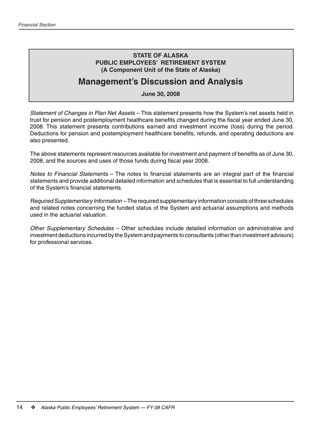# **Management's Discussion and Analysis**

**June 30, 2008**

*Statement of Changes in Plan Net Assets* – This statement presents how the System's net assets held in trust for pension and postemployment healthcare benefits changed during the fiscal year ended June 30, 2008. This statement presents contributions earned and investment income (loss) during the period. Deductions for pension and postemployment healthcare benefits, refunds, and operating deductions are also presented.

The above statements represent resources available for investment and payment of benefits as of June 30, 2008, and the sources and uses of those funds during fiscal year 2008.

*Notes to Financial Statements* – The notes to financial statements are an integral part of the financial statements and provide additional detailed information and schedules that is essential to full understanding of the System's financial statements.

*Required Supplementary Information* – The required supplementary information consists of three schedules and related notes concerning the funded status of the System and actuarial assumptions and methods used in the actuarial valuation.

*Other Supplementary Schedules* – Other schedules include detailed information on administrative and investment deductions incurred by the System and payments to consultants (other than investment advisors) for professional services.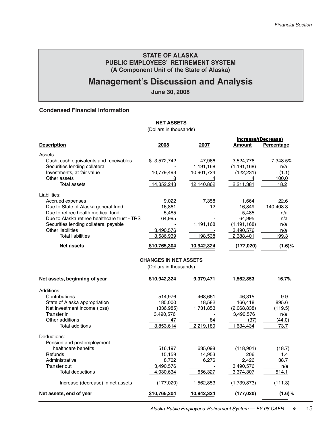# **Management's Discussion and Analysis**

**June 30, 2008**

#### **Condensed Financial Information**

#### **NET ASSETS**

(Dollars in thousands)

|                                              |                              |            |               | Increase/(Decrease) |
|----------------------------------------------|------------------------------|------------|---------------|---------------------|
| <b>Description</b>                           | 2008                         | 2007       | <b>Amount</b> | Percentage          |
| Assets:                                      |                              |            |               |                     |
| Cash, cash equivalents and receivables       | \$3,572,742                  | 47,966     | 3,524,776     | 7,348.5%            |
| Securities lending collateral                |                              | 1,191,168  | (1, 191, 168) | n/a                 |
| Investments, at fair value                   | 10,779,493                   | 10,901,724 | (122, 231)    | (1.1)               |
| Other assets                                 | 8                            | 4          | 4             | 100.0               |
| Total assets                                 | 14,352,243                   | 12,140,862 | 2,211,381     | 18.2                |
| Liabilities:                                 |                              |            |               |                     |
| Accrued expenses                             | 9,022                        | 7,358      | 1,664         | 22.6                |
| Due to State of Alaska general fund          | 16,861                       | 12         | 16,849        | 140,408.3           |
| Due to retiree health medical fund           | 5,485                        |            | 5,485         | n/a                 |
| Due to Alaska retiree healthcare trust - TRS | 64,995                       |            | 64,995        | n/a                 |
| Securities lending collateral payable        |                              | 1,191,168  | (1, 191, 168) | n/a                 |
| Other liabilities                            | 3,490,576                    |            | 3,490,576     | n/a                 |
| <b>Total liabilities</b>                     | 3,586,939                    | 1,198,538  | 2,388,401     | 199.3               |
| Net assets                                   | \$10,765,304                 | 10,942,324 | (177, 020)    | (1.6)%              |
|                                              | <b>CHANGES IN NET ASSETS</b> |            |               |                     |
|                                              | (Dollars in thousands)       |            |               |                     |
| Net assets, beginning of year                | \$10,942,324                 | 9,379,471  | 1,562,853     | 16.7%               |
| Additions:                                   |                              |            |               |                     |
| Contributions                                | 514,976                      | 468,661    | 46,315        | 9.9                 |
| State of Alaska appropriation                | 185,000                      | 18,582     | 166,418       | 895.6               |
| Net investment income (loss)                 | (336, 985)                   | 1,731,853  | (2,068,838)   | (119.5)             |
| Transfer in                                  | 3,490,576                    |            | 3,490,576     | n/a                 |
| Other additions                              | 47                           | 84         | (37)          | (44.0)              |
| <b>Total additions</b>                       | 3.853.614                    | 2.219.180  | 1,634,434     | 73.7                |
| Deductions:                                  |                              |            |               |                     |
| Pension and postemployment                   |                              |            |               |                     |
| healthcare benefits                          | 516,197                      | 635,098    | (118,901)     | (18.7)              |
| Refunds                                      | 15,159                       | 14,953     | 206           | 1.4                 |
| Administrative                               | 8,702                        | 6,276      | 2,426         | 38.7                |
| Transfer out                                 | 3,490,576                    |            | 3,490,576     | n/a                 |
| <b>Total deductions</b>                      | 4,030,634                    | 656,327    | 3,374,307     | 514.1               |
| Increase (decrease) in net assets            | (177,020)                    | 1,562,853  | (1,739,873)   | (111.3)             |
| Net assets, end of year                      | \$10,765,304                 | 10,942,324 | (177, 020)    | (1.6)%              |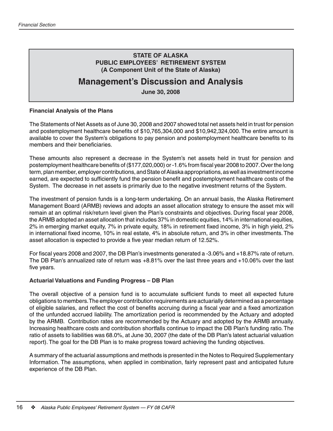## **Management's Discussion and Analysis**

**June 30, 2008**

#### **Financial Analysis of the Plans**

The Statements of Net Assets as of June 30, 2008 and 2007 showed total net assets held in trust for pension and postemployment healthcare benefits of \$10,765,304,000 and \$10,942,324,000. The entire amount is available to cover the System's obligations to pay pension and postemployment healthcare benefits to its members and their beneficiaries.

These amounts also represent a decrease in the System's net assets held in trust for pension and postemployment healthcare benefits of (\$177,020,000) or -1.6% from fiscal year 2008 to 2007. Over the long term, plan member, employer contributions, and State of Alaska appropriations, as well as investment income earned, are expected to sufficiently fund the pension benefit and postemployment healthcare costs of the System. The decrease in net assets is primarily due to the negative investment returns of the System.

The investment of pension funds is a long-term undertaking. On an annual basis, the Alaska Retirement Management Board (ARMB) reviews and adopts an asset allocation strategy to ensure the asset mix will remain at an optimal risk/return level given the Plan's constraints and objectives. During fiscal year 2008, the ARMB adopted an asset allocation that includes 37% in domestic equities, 14% in international equities, 2% in emerging market equity, 7% in private equity, 18% in retirement fixed income, 3% in high yield, 2% in international fixed income, 10% in real estate, 4% in absolute return, and 3% in other investments. The asset allocation is expected to provide a five year median return of 12.52%.

For fiscal years 2008 and 2007, the DB Plan's investments generated a -3.06% and +18.87% rate of return. The DB Plan's annualized rate of return was +8.81% over the last three years and +10.06% over the last five years.

#### **Actuarial Valuations and Funding Progress – DB Plan**

The overall objective of a pension fund is to accumulate sufficient funds to meet all expected future obligations to members. The employer contribution requirements are actuarially determined as a percentage of eligible salaries, and reflect the cost of benefits accruing during a fiscal year and a fixed amortization of the unfunded accrued liability. The amortization period is recommended by the Actuary and adopted by the ARMB. Contribution rates are recommended by the Actuary and adopted by the ARMB annually. Increasing healthcare costs and contribution shortfalls continue to impact the DB Plan's funding ratio. The ratio of assets to liabilities was 68.0%, at June 30, 2007 (the date of the DB Plan's latest actuarial valuation report). The goal for the DB Plan is to make progress toward achieving the funding objectives.

A summary of the actuarial assumptions and methods is presented in the Notes to Required Supplementary Information. The assumptions, when applied in combination, fairly represent past and anticipated future experience of the DB Plan.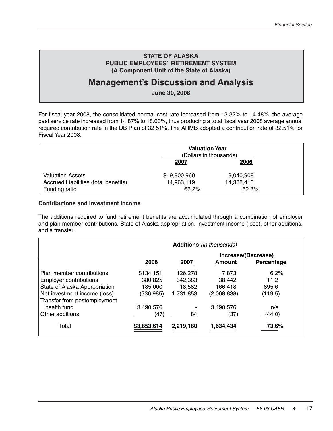## **Management's Discussion and Analysis**

**June 30, 2008**

For fiscal year 2008, the consolidated normal cost rate increased from 13.32% to 14.48%, the average past service rate increased from 14.87% to 18.03%, thus producing a total fiscal year 2008 average annual required contribution rate in the DB Plan of 32.51%. The ARMB adopted a contribution rate of 32.51% for Fiscal Year 2008.

|                                      | <b>Valuation Year</b><br>(Dollars in thousands) |            |  |  |
|--------------------------------------|-------------------------------------------------|------------|--|--|
|                                      | 2007                                            | 2006       |  |  |
| <b>Valuation Assets</b>              | \$9,900,960                                     | 9,040,908  |  |  |
| Accrued Liabilities (total benefits) | 14,963,119                                      | 14,388,413 |  |  |
| Funding ratio                        | 66.2%                                           | 62.8%      |  |  |

#### **Contributions and Investment Income**

The additions required to fund retirement benefits are accumulated through a combination of employer and plan member contributions, State of Alaska appropriation, investment income (loss), other additions, and a transfer.

|                               | <b>Additions</b> (in thousands) |           |             |            |  |  |  |
|-------------------------------|---------------------------------|-----------|-------------|------------|--|--|--|
|                               | Increase/(Decrease)             |           |             |            |  |  |  |
|                               | 2008                            | 2007      | Amount      | Percentage |  |  |  |
| Plan member contributions     | \$134,151                       | 126,278   | 7.873       | 6.2%       |  |  |  |
| <b>Employer contributions</b> | 380,825                         | 342,383   | 38,442      | 11.2       |  |  |  |
| State of Alaska Appropriation | 185,000                         | 18,582    | 166,418     | 895.6      |  |  |  |
| Net investment income (loss)  | (336, 985)                      | 1,731,853 | (2,068,838) | (119.5)    |  |  |  |
| Transfer from postemployment  |                                 |           |             |            |  |  |  |
| health fund                   | 3,490,576                       |           | 3,490,576   | n/a        |  |  |  |
| Other additions               | (47)                            | 84        | (37)        | (44.0)     |  |  |  |
| Total                         | \$3,853,614                     | 2,219,180 | 1,634,434   | 73.6%      |  |  |  |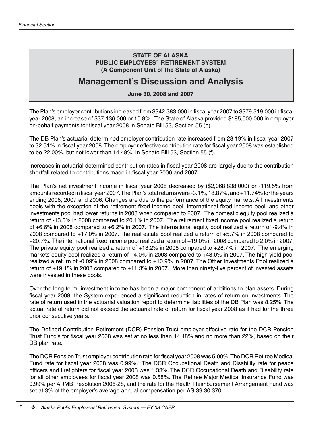# **Management's Discussion and Analysis**

**June 30, 2008 and 2007**

The Plan's employer contributions increased from \$342,383,000 in fiscal year 2007 to \$379,519,000 in fiscal year 2008, an increase of \$37,136,000 or 10.8%. The State of Alaska provided \$185,000,000 in employer on-behalf payments for fiscal year 2008 in Senate Bill 53, Section 55 (e).

The DB Plan's actuarial determined employer contribution rate increased from 28.19% in fiscal year 2007 to 32.51% in fiscal year 2008. The employer effective contribution rate for fiscal year 2008 was established to be 22.00%, but not lower than 14.48%, in Senate Bill 53, Section 55 (f).

Increases in actuarial determined contribution rates in fiscal year 2008 are largely due to the contribution shortfall related to contributions made in fiscal year 2006 and 2007.

The Plan's net investment income in fiscal year 2008 decreased by  $(\$2,068,838,000)$  or -119.5% from amounts recorded in fiscal year 2007. The Plan's total returns were -3.1%, 18.87%, and +11.74% for the years ending 2008, 2007 and 2006. Changes are due to the performance of the equity markets. All investments pools with the exception of the retirement fixed income pool, international fixed income pool, and other investments pool had lower returns in 2008 when compared to 2007. The domestic equity pool realized a return of -13.5% in 2008 compared to 20.1% in 2007. The retirement fixed income pool realized a return of +6.6% in 2008 compared to +6.2% in 2007. The international equity pool realized a return of -9.4% in 2008 compared to +17.0% in 2007. The real estate pool realized a return of +5.7% in 2008 compared to +20.7%. The international fixed income pool realized a return of +19.0% in 2008 compared to 2.0% in 2007. The private equity pool realized a return of +13.2% in 2008 compared to +28.7% in 2007. The emerging markets equity pool realized a return of +4.0% in 2008 compared to +48.0% in 2007. The high yield pool realized a return of -0.09% in 2008 compared to +10.9% in 2007. The Other Investments Pool realized a return of  $+19.1\%$  in 2008 compared to  $+11.3\%$  in 2007. More than ninety-five percent of invested assets were invested in these pools.

Over the long term, investment income has been a major component of additions to plan assets. During fiscal year 2008, the System experienced a significant reduction in rates of return on investments. The rate of return used in the actuarial valuation report to determine liabilities of the DB Plan was 8.25%. The actual rate of return did not exceed the actuarial rate of return for fiscal year 2008 as it had for the three prior consecutive years.

The Defined Contribution Retirement (DCR) Pension Trust employer effective rate for the DCR Pension Trust Fund's for fiscal year 2008 was set at no less than 14.48% and no more than 22%, based on their DB plan rate.

The DCR Pension Trust employer contribution rate for fiscal year 2008 was 5.00%. The DCR Retiree Medical Fund rate for fiscal year 2008 was 0.99%. The DCR Occupational Death and Disability rate for peace officers and firefighters for fiscal year 2008 was 1.33%. The DCR Occupational Death and Disability rate for all other employees for fiscal year 2008 was 0.58%. The Retiree Major Medical Insurance Fund was 0.99% per ARMB Resolution 2006-28, and the rate for the Health Reimbursement Arrangement Fund was set at 3% of the employer's average annual compensation per AS 39.30.370.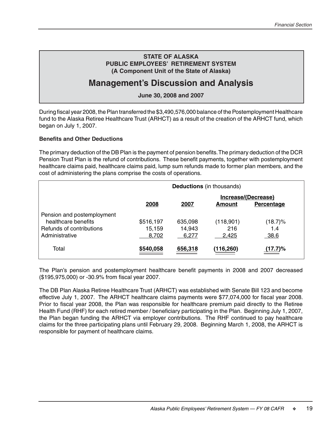# **Management's Discussion and Analysis**

**June 30, 2008 and 2007**

During fiscal year 2008, the Plan transferred the \$3,490,576,000 balance of the Postemployment Healthcare fund to the Alaska Retiree Healthcare Trust (ARHCT) as a result of the creation of the ARHCT fund, which began on July 1, 2007.

#### **Benefits and Other Deductions**

The primary deduction of the DB Plan is the payment of pension benefits. The primary deduction of the DCR Pension Trust Plan is the refund of contributions. These benefit payments, together with postemployment healthcare claims paid, healthcare claims paid, lump sum refunds made to former plan members, and the cost of administering the plans comprise the costs of operations.

|                            | <b>Deductions</b> (in thousands) |         |                             |            |  |  |
|----------------------------|----------------------------------|---------|-----------------------------|------------|--|--|
|                            | Increase/(Decrease)              |         |                             |            |  |  |
|                            | 2008                             | 2007    | <b>Percentage</b><br>Amount |            |  |  |
| Pension and postemployment |                                  |         |                             |            |  |  |
| healthcare benefits        | \$516,197                        | 635,098 | (118,901)                   | $(18.7)\%$ |  |  |
| Refunds of contributions   | 15,159                           | 14,943  | 216                         | 1.4        |  |  |
| Administrative             | 8,702                            | 6,277   | 2,425                       | 38.6       |  |  |
| Total                      | \$540,058                        | 656,318 | (116,260)                   | '17.7)%    |  |  |

The Plan's pension and postemployment healthcare benefit payments in 2008 and 2007 decreased (\$195,975,000) or -30.9% from fiscal year 2007.

The DB Plan Alaska Retiree Healthcare Trust (ARHCT) was established with Senate Bill 123 and become effective July 1, 2007. The ARHCT healthcare claims payments were \$77,074,000 for fiscal year 2008. Prior to fiscal year 2008, the Plan was responsible for healthcare premium paid directly to the Retiree Health Fund (RHF) for each retired member / beneficiary participating in the Plan. Beginning July 1, 2007, the Plan began funding the ARHCT via employer contributions. The RHF continued to pay healthcare claims for the three participating plans until February 29, 2008. Beginning March 1, 2008, the ARHCT is responsible for payment of healthcare claims.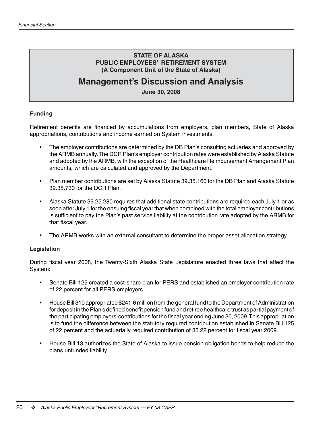# **Management's Discussion and Analysis**

**June 30, 2008**

#### **Funding**

Retirement benefits are financed by accumulations from employers, plan members, State of Alaska appropriations, contributions and income earned on System investments.

- The employer contributions are determined by the DB Plan's consulting actuaries and approved by the ARMB annually. The DCR Plan's employer contribution rates were established by Alaska Statute and adopted by the ARMB, with the exception of the Healthcare Reimbursement Arrangement Plan amounts, which are calculated and approved by the Department.
- Plan member contributions are set by Alaska Statute 39.35.160 for the DB Plan and Alaska Statute 39.35.730 for the DCR Plan.
- Alaska Statute 39.25.280 requires that additional state contributions are required each July 1 or as soon after July 1 for the ensuing fiscal year that when combined with the total employer contributions is sufficient to pay the Plan's past service liability at the contribution rate adopted by the ARMB for that fiscal year.
- The ARMB works with an external consultant to determine the proper asset allocation strategy.

#### **Legislation**

During fiscal year 2008, the Twenty-Sixth Alaska State Legislature enacted three laws that affect the System:

- Senate Bill 125 created a cost-share plan for PERS and established an employer contribution rate of 22 percent for all PERS employers.
- House Bill 310 appropriated \$241.6 million from the general fund to the Department of Administration for deposit in the Plan's defined benefit pension fund and retiree healthcare trust as partial payment of the participating employers' contributions for the fiscal year ending June 30, 2009. This appropriation is to fund the difference between the statutory required contribution established in Senate Bill 125 of 22 percent and the actuarially required contribution of 35.22 percent for fiscal year 2009.
- House Bill 13 authorizes the State of Alaska to issue pension obligation bonds to help reduce the plans unfunded liability.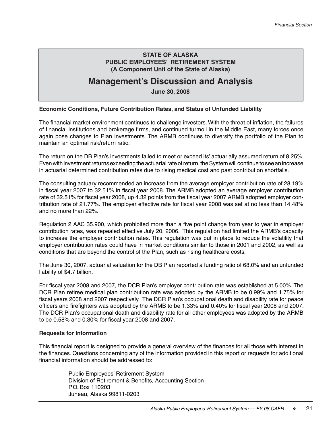# **Management's Discussion and Analysis**

**June 30, 2008**

#### **Economic Conditions, Future Contribution Rates, and Status of Unfunded Liability**

The financial market environment continues to challenge investors. With the threat of inflation, the failures of financial institutions and brokerage firms, and continued turmoil in the Middle East, many forces once again pose changes to Plan investments. The ARMB continues to diversify the portfolio of the Plan to maintain an optimal risk/return ratio.

The return on the DB Plan's investments failed to meet or exceed its' actuarially assumed return of 8.25%. Even with investment returns exceeding the actuarial rate of return, the System will continue to see an increase in actuarial determined contribution rates due to rising medical cost and past contribution shortfalls.

The consulting actuary recommended an increase from the average employer contribution rate of 28.19% in fiscal year 2007 to 32.51% in fiscal year 2008. The ARMB adopted an average employer contribution rate of 32.51% for fiscal year 2008, up 4.32 points from the fiscal year 2007 ARMB adopted employer contribution rate of 21.77%. The employer effective rate for fiscal year 2008 was set at no less than 14.48% and no more than 22%.

Regulation 2 AAC 35.900, which prohibited more than a five point change from year to year in employer contribution rates, was repealed effective July 20, 2006. This regulation had limited the ARMB's capacity to increase the employer contribution rates. This regulation was put in place to reduce the volatility that employer contribution rates could have in market conditions similar to those in 2001 and 2002, as well as conditions that are beyond the control of the Plan, such as rising healthcare costs.

The June 30, 2007, actuarial valuation for the DB Plan reported a funding ratio of 68.0% and an unfunded liability of \$4.7 billion.

For fiscal year 2008 and 2007, the DCR Plan's employer contribution rate was established at 5.00%. The DCR Plan retiree medical plan contribution rate was adopted by the ARMB to be 0.99% and 1.75% for fiscal years 2008 and 2007 respectively. The DCR Plan's occupational death and disability rate for peace officers and firefighters was adopted by the ARMB to be 1.33% and 0.40% for fiscal year 2008 and 2007. The DCR Plan's occupational death and disability rate for all other employees was adopted by the ARMB to be 0.58% and 0.30% for fiscal year 2008 and 2007.

#### **Requests for Information**

This financial report is designed to provide a general overview of the finances for all those with interest in the finances. Questions concerning any of the information provided in this report or requests for additional financial information should be addressed to:

> Public Employees' Retirement System Division of Retirement & Benefits, Accounting Section P.O. Box 110203 Juneau, Alaska 99811-0203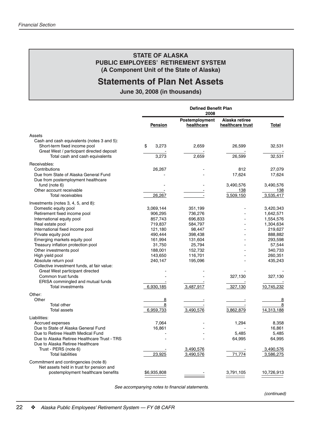# **Statements of Plan Net Assets**

**June 30, 2008 (in thousands)**

|                                                                                                                         | <b>Defined Benefit Plan</b><br>2008 |                              |                                    |                    |
|-------------------------------------------------------------------------------------------------------------------------|-------------------------------------|------------------------------|------------------------------------|--------------------|
|                                                                                                                         | <b>Pension</b>                      | Postemployment<br>healthcare | Alaska retiree<br>healthcare trust | Total              |
| Assets                                                                                                                  |                                     |                              |                                    |                    |
| Cash and cash equivalents (notes 3 and 5):<br>Short-term fixed income pool<br>Great West / participant directed deposit | \$<br>3,273                         | 2,659                        | 26,599                             | 32,531             |
| Total cash and cash equivalents                                                                                         | 3,273                               | 2,659                        | 26,599                             | 32,531             |
| Receivables:                                                                                                            |                                     |                              |                                    |                    |
| Contributions                                                                                                           | 26,267                              |                              | 812                                | 27,079             |
| Due from State of Alaska General Fund<br>Due from postemployment healthcare                                             |                                     |                              | 17,624                             | 17,624             |
| fund (note 6)                                                                                                           |                                     |                              | 3,490,576                          | 3,490,576          |
| Other account receivable                                                                                                |                                     |                              | 138                                | 138                |
| <b>Total receivables</b>                                                                                                | 26,267                              | $\blacksquare$               | 3,509,150                          | 3,535,417          |
| Investments (notes 3, 4, 5, and 8):                                                                                     |                                     |                              |                                    |                    |
| Domestic equity pool                                                                                                    | 3,069,144                           | 351,199                      |                                    | 3,420,343          |
| Retirement fixed income pool                                                                                            | 906,295                             | 736,276                      |                                    | 1,642,571          |
| International equity pool                                                                                               | 857,743                             | 696,833                      | $\overline{a}$                     | 1,554,576          |
| Real estate pool                                                                                                        | 719,837                             | 584,797                      |                                    | 1,304,634          |
| International fixed income pool                                                                                         | 121,180                             | 98,447                       |                                    | 219,627            |
| Private equity pool<br>Emerging markets equity pool                                                                     | 490,444<br>161,994                  | 398,438<br>131,604           |                                    | 888,882<br>293,598 |
| Treasury inflation protection pool                                                                                      | 31,750                              | 25,794                       |                                    | 57,544             |
| Other investments pool                                                                                                  | 188,001                             | 152,732                      |                                    | 340,733            |
| High yield pool                                                                                                         | 143,650                             | 116,701                      | L.                                 | 260,351            |
| Absolute return pool                                                                                                    | 240,147                             | 195,096                      |                                    | 435,243            |
| Collective investment funds, at fair value:                                                                             |                                     |                              |                                    |                    |
| Great West participant directed                                                                                         |                                     |                              |                                    |                    |
| Common trust funds                                                                                                      |                                     |                              | 327,130                            | 327,130            |
| ERISA commingled and mutual funds                                                                                       |                                     |                              |                                    |                    |
| <b>Total investments</b>                                                                                                | 6,930,185                           | 3,487,917                    | 327,130                            | 10,745,232         |
| Other:                                                                                                                  |                                     |                              |                                    |                    |
| Other                                                                                                                   | 8                                   |                              |                                    | 8                  |
| <b>Total other</b>                                                                                                      | 8                                   |                              |                                    | 8                  |
| <b>Total assets</b>                                                                                                     | 6,959,733                           | 3,490,576                    | 3,862,879                          | 14,313,188         |
| Liabilities:                                                                                                            |                                     |                              |                                    |                    |
| Accrued expenses                                                                                                        | 7,064                               |                              | 1,294                              | 8,358              |
| Due to State of Alaska General Fund                                                                                     | 16,861                              |                              |                                    | 16,861             |
| Due to Retiree Health Medical Fund                                                                                      |                                     |                              | 5,485                              | 5,485              |
| Due to Alaska Retiree Healthcare Trust - TRS                                                                            |                                     |                              | 64,995                             | 64,995             |
| Due to Alaska Retiree Healthcare                                                                                        |                                     |                              |                                    |                    |
| Trust - PERS (note 6)                                                                                                   |                                     | 3,490,576                    |                                    | 3,490,576          |
| <b>Total liabilities</b>                                                                                                | 23,925                              | 3,490,576                    | 71,774                             | 3,586,275          |
| Commitment and contingencies (note 8)<br>Net assets held in trust for pension and                                       |                                     |                              |                                    |                    |
| postemployment healthcare benefits                                                                                      | \$6,935,808                         |                              | 3,791,105                          | 10,726,913         |

See accompanying notes to financial statements.

 *(continued)*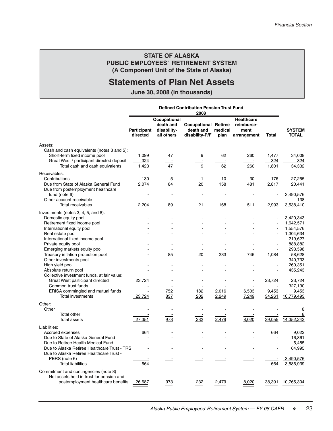# **Statements of Plan Net Assets**

**June 30, 2008 (in thousands)**

|                                                                                   | <b>Defined Contribution Pension Trust Fund</b><br>2008 |                                                        |                                                            |                                |                                                 |                |                               |  |
|-----------------------------------------------------------------------------------|--------------------------------------------------------|--------------------------------------------------------|------------------------------------------------------------|--------------------------------|-------------------------------------------------|----------------|-------------------------------|--|
|                                                                                   | <b>Participant</b><br>directed                         | Occupational<br>death and<br>disability-<br>all others | <b>Occupational Retiree</b><br>death and<br>disability-P/F | medical<br><u>plan</u>         | Healthcare<br>reimburse-<br>ment<br>arrangement | Total          | <b>SYSTEM</b><br><b>TOTAL</b> |  |
| Assets:                                                                           |                                                        |                                                        |                                                            |                                |                                                 |                |                               |  |
| Cash and cash equivalents (notes 3 and 5):<br>Short-term fixed income pool        | 1,099                                                  | 47                                                     | 9                                                          | 62                             | 260                                             | 1,477          | 34,008                        |  |
| Great West / participant directed deposit                                         | 324                                                    | $\blacksquare$                                         | $\blacksquare$                                             | $\overline{\phantom{a}}$<br>62 | 260                                             | 324            | 324                           |  |
| Total cash and cash equivalents                                                   | 1,423                                                  | 47                                                     | 9                                                          |                                |                                                 | 1,801          | 34,332                        |  |
| Receivables:<br>Contributions                                                     | 130                                                    | 5                                                      | 1                                                          | 10                             | 30                                              | 176            | 27,255                        |  |
| Due from State of Alaska General Fund                                             | 2,074                                                  | 84                                                     | 20                                                         | 158                            | 481                                             | 2,817          | 20,441                        |  |
| Due from postemployment healthcare                                                |                                                        |                                                        |                                                            |                                |                                                 |                |                               |  |
| fund (note 6)                                                                     |                                                        |                                                        |                                                            |                                |                                                 |                | 3,490,576                     |  |
| Other account receivable                                                          |                                                        |                                                        |                                                            |                                |                                                 |                | 138                           |  |
| <b>Total receivables</b>                                                          | 2,204                                                  | 89                                                     | 21                                                         | 168                            | 511                                             | 2,993          | 3,538,410                     |  |
| Investments (notes 3, 4, 5, and 8):                                               |                                                        |                                                        |                                                            |                                |                                                 |                |                               |  |
| Domestic equity pool                                                              |                                                        |                                                        |                                                            |                                |                                                 |                | 3,420,343                     |  |
| Retirement fixed income pool                                                      |                                                        |                                                        |                                                            |                                |                                                 | $\overline{a}$ | 1,642,571                     |  |
| International equity pool                                                         |                                                        |                                                        |                                                            |                                |                                                 |                | 1,554,576                     |  |
| Real estate pool                                                                  |                                                        |                                                        |                                                            |                                |                                                 | L.             | 1,304,634                     |  |
| International fixed income pool<br>Private equity pool                            |                                                        |                                                        |                                                            |                                |                                                 |                | 219,627<br>888,882            |  |
| Emerging markets equity pool                                                      |                                                        | ÷.                                                     |                                                            |                                |                                                 | L.             | 293,598                       |  |
| Treasury inflation protection pool                                                |                                                        | 85                                                     | 20                                                         | 233                            | 746                                             | 1,084          | 58,628                        |  |
| Other investments pool                                                            |                                                        |                                                        |                                                            |                                |                                                 |                | 340,733                       |  |
| High yield pool                                                                   |                                                        | $\blacksquare$                                         | $\blacksquare$                                             |                                |                                                 | $\overline{a}$ | 260,351                       |  |
| Absolute return pool                                                              |                                                        |                                                        |                                                            |                                |                                                 |                | 435,243                       |  |
| Collective investment funds, at fair value:                                       |                                                        |                                                        |                                                            |                                |                                                 |                |                               |  |
| Great West participant directed                                                   | 23,724                                                 |                                                        |                                                            |                                | $\overline{a}$                                  | 23,724         | 23,724                        |  |
| Common trust funds                                                                | $\overline{a}$                                         | ÷.                                                     | ÷.                                                         | $\overline{a}$                 |                                                 |                | 327,130                       |  |
| ERISA commingled and mutual funds                                                 |                                                        | 752                                                    | 182                                                        | 2,016                          | 6,503                                           | 9,453          | 9,453                         |  |
| <b>Total investments</b>                                                          | 23,724                                                 | 837                                                    | 202                                                        | 2,249                          | 7,249                                           | 34,261         | 10,779,493                    |  |
| Other:                                                                            |                                                        |                                                        |                                                            |                                |                                                 |                |                               |  |
| Other                                                                             | L.                                                     |                                                        |                                                            |                                |                                                 |                | 8                             |  |
| <b>Total other</b><br>Total assets                                                | 27,351                                                 | $\overline{\phantom{a}}$                               | ÷,<br>232                                                  | 2,479                          | 8,020                                           | 39,055         | 8<br>14,352,243               |  |
|                                                                                   |                                                        | 973                                                    |                                                            |                                |                                                 |                |                               |  |
| Liabilities:                                                                      |                                                        |                                                        |                                                            |                                |                                                 |                |                               |  |
| Accrued expenses                                                                  | 664                                                    |                                                        |                                                            |                                |                                                 | 664<br>÷.      | 9,022                         |  |
| Due to State of Alaska General Fund<br>Due to Retiree Health Medical Fund         |                                                        | ÷.                                                     | ÷.                                                         |                                |                                                 | ÷.             | 16,861<br>5,485               |  |
| Due to Alaska Retiree Healthcare Trust - TRS                                      |                                                        |                                                        |                                                            |                                |                                                 |                | 64,995                        |  |
| Due to Alaska Retiree Healthcare Trust -                                          |                                                        |                                                        |                                                            |                                |                                                 |                |                               |  |
| PERS (note 6)                                                                     |                                                        |                                                        |                                                            |                                |                                                 |                | 3,490,576                     |  |
| <b>Total liabilities</b>                                                          | 664                                                    | $\blacksquare$                                         |                                                            |                                | $\blacksquare$                                  | 664            | 3,586,939                     |  |
| Commitment and contingencies (note 8)<br>Net assets held in trust for pension and |                                                        |                                                        |                                                            |                                |                                                 |                |                               |  |
| postemployment healthcare benefits                                                | 26,687                                                 | 973                                                    | 232                                                        | 2,479                          | 8,020                                           | 38,391         | 10,765,304                    |  |
|                                                                                   |                                                        |                                                        |                                                            |                                |                                                 |                |                               |  |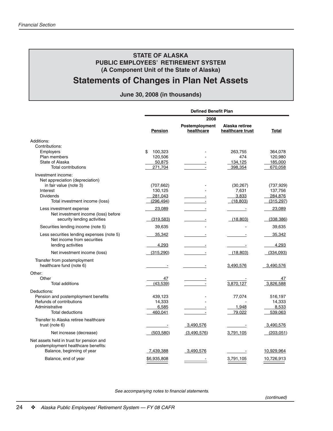# **Statements of Changes in Plan Net Assets**

**June 30, 2008 (in thousands)**

|                                                                 | <b>Defined Benefit Plan</b><br>2008 |                              |                                    |                  |
|-----------------------------------------------------------------|-------------------------------------|------------------------------|------------------------------------|------------------|
|                                                                 |                                     |                              |                                    |                  |
|                                                                 | Pension                             | Postemployment<br>healthcare | Alaska retiree<br>healthcare trust | Total            |
| Additions:                                                      |                                     |                              |                                    |                  |
| Contributions:                                                  |                                     |                              |                                    |                  |
| <b>Employers</b>                                                | \$<br>100,323                       |                              | 263,755                            | 364,078          |
| Plan members                                                    | 120,506                             |                              | 474                                | 120,980          |
| State of Alaska                                                 | 50,875                              |                              | 134,125                            | 185,000          |
| <b>Total contributions</b>                                      | 271,704                             |                              | 398,354                            | 670,058          |
| Investment income:                                              |                                     |                              |                                    |                  |
| Net appreciation (depreciation)                                 |                                     |                              |                                    |                  |
| in fair value (note 3)                                          | (707, 662)                          |                              | (30, 267)                          | (737, 929)       |
| Interest                                                        | 130,125                             |                              | 7,631                              | 137,756          |
| Dividends                                                       | 281,043                             |                              | 3,833                              | 284,876          |
| Total investment income (loss)                                  | (296, 494)                          |                              | (18, 803)                          | (315, 297)       |
| Less investment expense                                         | 23,089                              |                              |                                    | 23,089           |
| Net investment income (loss) before                             |                                     |                              |                                    |                  |
| security lending activities                                     | (319,583)                           |                              | (18, 803)                          | (338, 386)       |
| Securities lending income (note 5)                              | 39,635                              |                              |                                    | 39,635           |
| Less securities lending expenses (note 5)                       | 35,342                              |                              |                                    | 35,342           |
| Net income from securities                                      |                                     |                              |                                    |                  |
| lending activities                                              | 4,293                               |                              |                                    | 4,293            |
| Net investment income (loss)                                    | (315, 290)                          |                              | (18, 803)                          | (334,093)        |
| Transfer from postemployment                                    |                                     |                              |                                    |                  |
| healthcare fund (note 6)                                        | $\overline{\phantom{a}}$            | $\overline{\phantom{a}}$     | 3,490,576                          | 3,490,576        |
| Other:                                                          |                                     |                              |                                    |                  |
| Other                                                           | 47                                  |                              |                                    | 47               |
| <b>Total additions</b>                                          | (43, 539)                           |                              | 3,870,127                          | 3,826,588        |
|                                                                 |                                     |                              |                                    |                  |
| Deductions:                                                     |                                     |                              |                                    |                  |
| Pension and postemployment benefits<br>Refunds of contributions | 439,123                             |                              | 77,074                             | 516,197          |
| Administrative                                                  | 14,333<br>6,585                     |                              | 1.948                              | 14,333           |
| <b>Total deductions</b>                                         | 460.041                             |                              | 79.022                             | 8,533<br>539,063 |
|                                                                 |                                     |                              |                                    |                  |
| Transfer to Alaska retiree healthcare                           |                                     |                              |                                    |                  |
| trust (note 6)                                                  |                                     | 3,490,576                    |                                    | 3,490,576        |
| Net increase (decrease)                                         | (503, 580)                          | (3,490,576)                  | 3,791,105                          | (203, 051)       |
| Net assets held in trust for pension and                        |                                     |                              |                                    |                  |
| postemployment healthcare benefits:                             |                                     |                              |                                    |                  |
| Balance, beginning of year                                      | 7,439,388                           | 3,490,576                    |                                    | 10,929,964       |
| Balance, end of year                                            | \$6,935,808                         |                              | 3,791,105                          | 10,726,913       |

See accompanying notes to financial statements.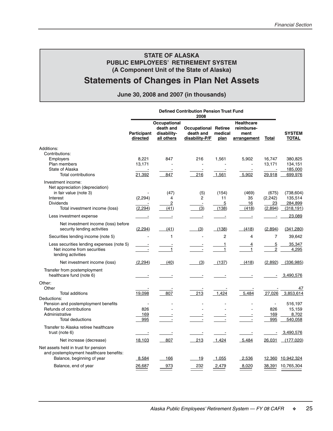# **Statements of Changes in Plan Net Assets**

**June 30, 2008 and 2007 (in thousands)**

|                                                                                               | <b>Defined Contribution Pension Trust Fund</b><br>2008 |                                                        |                                                            |                          |                                                        |                     |                               |
|-----------------------------------------------------------------------------------------------|--------------------------------------------------------|--------------------------------------------------------|------------------------------------------------------------|--------------------------|--------------------------------------------------------|---------------------|-------------------------------|
|                                                                                               | Participant<br>directed                                | Occupational<br>death and<br>disability-<br>all others | <b>Occupational Retiree</b><br>death and<br>disability-P/F | medical<br>plan          | <b>Healthcare</b><br>reimburse-<br>ment<br>arrangement | <b>Total</b>        | <b>SYSTEM</b><br><b>TOTAL</b> |
| Additions:                                                                                    |                                                        |                                                        |                                                            |                          |                                                        |                     |                               |
| Contributions:                                                                                |                                                        | 847                                                    |                                                            |                          |                                                        |                     |                               |
| Employers<br>Plan members                                                                     | 8,221<br>13,171                                        |                                                        | 216                                                        | 1,561                    | 5,902                                                  | 16,747<br>13,171    | 380,825<br>134,151            |
| State of Alaska                                                                               |                                                        |                                                        |                                                            |                          |                                                        |                     | 185,000                       |
| <b>Total contributions</b>                                                                    | 21,392                                                 | 847                                                    | 216                                                        | 1,561                    | 5,902                                                  | 29,918              | 699,976                       |
| Investment income:<br>Net appreciation (depreciation)                                         |                                                        |                                                        |                                                            |                          |                                                        |                     |                               |
| in fair value (note 3)                                                                        |                                                        | (47)                                                   | (5)                                                        | (154)                    | (469)                                                  | (675)               | (738, 604)                    |
| Interest<br><b>Dividends</b>                                                                  | (2, 294)                                               | 4<br>$\overline{c}$                                    | $\overline{2}$<br>$\blacksquare$                           | 11<br>5                  | 35<br>16                                               | (2, 242)<br>23      | 135,514<br>284,899            |
| Total investment income (loss)                                                                | (2, 294)                                               | (41)                                                   | (3)                                                        | (138)                    | (418)                                                  | (2,894)             | (318, 191)                    |
| Less investment expense                                                                       |                                                        |                                                        |                                                            | $\overline{\phantom{a}}$ | $\sim$ 100 $\pm$                                       |                     | 23,089                        |
| Net investment income (loss) before<br>security lending activities                            | (2,294)                                                | (41)                                                   | (3)                                                        | (138)                    | (418)                                                  | (2,894)             | (341,280)                     |
| Securities lending income (note 5)                                                            | ÷                                                      | $\mathbf{1}$                                           | $\blacksquare$                                             | 2                        | 4                                                      | $\overline{7}$      | 39,642                        |
| Less securities lending expenses (note 5)<br>Net income from securities<br>lending activities | $\overline{\phantom{a}}$                               | 1                                                      | $\overline{\phantom{a}}$                                   | $\mathbf{1}$<br>1        | 4<br>1                                                 | 5<br>$\overline{2}$ | 35,347<br>4,295               |
| Net investment income (loss)                                                                  | (2,294)                                                | (40)                                                   | (3)                                                        | (137)                    | (418)                                                  | (2,892)             | (336,985)                     |
| Transfer from postemployment<br>healthcare fund (note 6)                                      | $\equiv$                                               | Ŀ.                                                     |                                                            | ÷.                       |                                                        |                     | 3,490,576                     |
| Other:                                                                                        |                                                        |                                                        |                                                            |                          |                                                        |                     |                               |
| Other<br>Total additions                                                                      | 19,098                                                 | 807                                                    | 213                                                        | 1,424                    | 5,484                                                  | 27,026              | 47<br>3,853,614               |
| Deductions:                                                                                   |                                                        |                                                        |                                                            |                          |                                                        |                     |                               |
| Pension and postemployment benefits                                                           |                                                        |                                                        |                                                            | L,                       |                                                        | $\overline{a}$      | 516,197                       |
| Refunds of contributions                                                                      | 826                                                    |                                                        |                                                            |                          |                                                        | 826                 | 15,159                        |
| Administrative<br><b>Total deductions</b>                                                     | 169<br>995                                             | $\blacksquare$                                         | $\overline{\phantom{a}}$                                   | $\overline{\phantom{a}}$ | $\blacksquare$<br>$\blacksquare$                       | 169<br>995          | 8,702<br>540,058              |
| Transfer to Alaska retiree healthcare<br>trust (note 6)                                       | $\overline{a}$                                         |                                                        | ÷.                                                         | $\overline{a}$           |                                                        |                     | 3,490,576                     |
| Net increase (decrease)                                                                       | 18,103                                                 | 807                                                    | 213                                                        | 1,424                    | 5,484                                                  | 26,031              | (177,020)                     |
| Net assets held in trust for pension<br>and postemployment healthcare benefits:               |                                                        |                                                        |                                                            |                          |                                                        |                     |                               |
| Balance, beginning of year                                                                    | 8,584                                                  | 166                                                    | 19                                                         | 1,055                    | 2,536                                                  | 12,360              | 10,942,324                    |
| Balance, end of year                                                                          | 26,687                                                 | 973                                                    | 232                                                        | 2,479                    | 8,020                                                  | 38,391              | 10,765,304                    |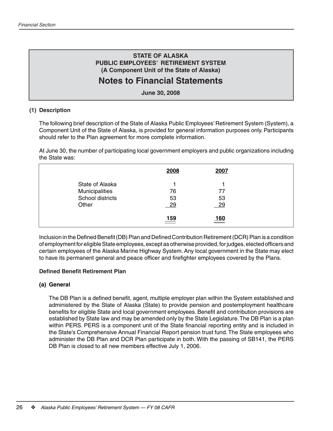# **Notes to Financial Statements**

**June 30, 2008**

#### **(1) Description**

The following brief description of the State of Alaska Public Employees' Retirement System (System), a Component Unit of the State of Alaska, is provided for general information purposes only. Participants should refer to the Plan agreement for more complete information.

At June 30, the number of participating local government employers and public organizations including the State was:

|                  | 2008            | 2007       |  |
|------------------|-----------------|------------|--|
| State of Alaska  |                 |            |  |
| Municipalities   | 76              | 77         |  |
| School districts | 53              | 53         |  |
| Other            | 29              | 29         |  |
|                  | $\frac{159}{2}$ | <u>160</u> |  |

Inclusion in the Defined Benefit (DB) Plan and Defined Contribution Retirement (DCR) Plan is a condition of employment for eligible State employees, except as otherwise provided, for judges, elected officers and certain employees of the Alaska Marine Highway System. Any local government in the State may elect to have its permanent general and peace officer and firefighter employees covered by the Plans.

#### **Defined Benefit Retirement Plan**

#### **(a) General**

The DB Plan is a defined benefit, agent, multiple employer plan within the System established and administered by the State of Alaska (State) to provide pension and postemployment healthcare benefits for eligible State and local government employees. Benefit and contribution provisions are established by State law and may be amended only by the State Legislature. The DB Plan is a plan within PERS. PERS is a component unit of the State financial reporting entity and is included in the State's Comprehensive Annual Financial Report pension trust fund. The State employees who administer the DB Plan and DCR Plan participate in both. With the passing of SB141, the PERS DB Plan is closed to all new members effective July 1, 2006.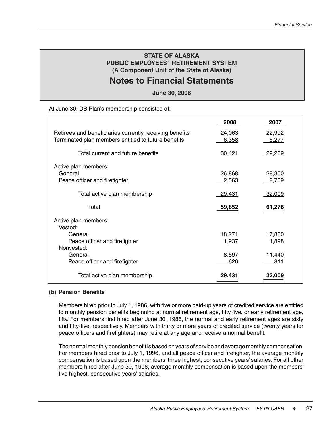# **Notes to Financial Statements**

**June 30, 2008**

At June 30, DB Plan's membership consisted of:

|                                                         | 2008   | 2007          |
|---------------------------------------------------------|--------|---------------|
| Retirees and beneficiaries currently receiving benefits | 24,063 | 22,992        |
| Terminated plan members entitled to future benefits     | 6,358  | 6,277         |
| Total current and future benefits                       | 30,421 | <u>29,269</u> |
| Active plan members:                                    |        |               |
| General                                                 | 26,868 | 29,300        |
| Peace officer and firefighter                           | 2,563  | 2,709         |
| Total active plan membership                            | 29,431 | 32,009        |
| Total                                                   | 59,852 | 61,278        |
| Active plan members:                                    |        |               |
| Vested:                                                 |        |               |
| General                                                 | 18,271 | 17,860        |
| Peace officer and firefighter                           | 1,937  | 1,898         |
| Nonvested:                                              |        |               |
| General                                                 | 8,597  | 11,440        |
| Peace officer and firefighter                           | 626    | 811           |
| Total active plan membership                            | 29,431 | 32,009        |

#### **(b) Pension Benefits**

Members hired prior to July 1, 1986, with five or more paid-up years of credited service are entitled to monthly pension benefits beginning at normal retirement age, fifty five, or early retirement age, fifty. For members first hired after June 30, 1986, the normal and early retirement ages are sixty and fifty-five, respectively. Members with thirty or more years of credited service (twenty years for peace officers and firefighters) may retire at any age and receive a normal benefit.

The normal monthly pension benefit is based on years of service and average monthly compensation. For members hired prior to July 1, 1996, and all peace officer and firefighter, the average monthly compensation is based upon the members' three highest, consecutive years' salaries. For all other members hired after June 30, 1996, average monthly compensation is based upon the members' five highest, consecutive years' salaries.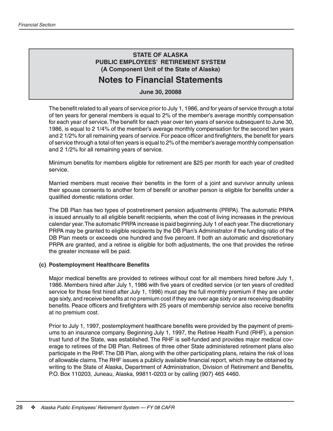### **Notes to Financial Statements**

**June 30, 20088**

The benefit related to all years of service prior to July 1, 1986, and for years of service through a total of ten years for general members is equal to 2% of the member's average monthly compensation for each year of service. The benefit for each year over ten years of service subsequent to June 30, 1986, is equal to 2 1/4% of the member's average monthly compensation for the second ten years and 2 1/2% for all remaining years of service. For peace officer and firefighters, the benefit for years of service through a total of ten years is equal to 2% of the member's average monthly compensation and 2 1/2% for all remaining years of service.

Minimum benefits for members eligible for retirement are \$25 per month for each year of credited service.

Married members must receive their benefits in the form of a joint and survivor annuity unless their spouse consents to another form of benefit or another person is eligible for benefits under a qualified domestic relations order.

The DB Plan has two types of postretirement pension adjustments (PRPA). The automatic PRPA is issued annually to all eligible benefit recipients, when the cost of living increases in the previous calendar year. The automatic PRPA increase is paid beginning July 1 of each year. The discretionary PRPA may be granted to eligible recipients by the DB Plan's Administrator if the funding ratio of the DB Plan meets or exceeds one hundred and five percent. If both an automatic and discretionary PRPA are granted, and a retiree is eligible for both adjustments, the one that provides the retiree the greater increase will be paid.

#### **(c) Postemployment Healthcare Benefi ts**

Major medical benefits are provided to retirees without cost for all members hired before July 1, 1986. Members hired after July 1, 1986 with five years of credited service (or ten years of credited service for those first hired after July 1, 1996) must pay the full monthly premium if they are under age sixty, and receive benefits at no premium cost if they are over age sixty or are receiving disability benefits. Peace officers and firefighters with 25 years of membership service also receive benefits at no premium cost.

Prior to July 1, 1997, postemployment healthcare benefits were provided by the payment of premiums to an insurance company. Beginning July 1, 1997, the Retiree Health Fund (RHF), a pension trust fund of the State, was established. The RHF is self-funded and provides major medical coverage to retirees of the DB Plan. Retirees of three other State administered retirement plans also participate in the RHF. The DB Plan, along with the other participating plans, retains the risk of loss of allowable claims. The RHF issues a publicly available financial report, which may be obtained by writing to the State of Alaska, Department of Administration, Division of Retirement and Benefits, P.O. Box 110203, Juneau, Alaska, 99811-0203 or by calling (907) 465 4460.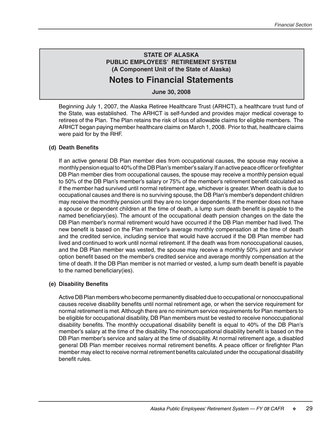## **Notes to Financial Statements**

**June 30, 2008**

Beginning July 1, 2007, the Alaska Retiree Healthcare Trust (ARHCT), a healthcare trust fund of the State, was established. The ARHCT is self-funded and provides major medical coverage to retirees of the Plan. The Plan retains the risk of loss of allowable claims for eligible members. The ARHCT began paying member healthcare claims on March 1, 2008. Prior to that, healthcare claims were paid for by the RHF.

#### **(d) Death Benefits**

If an active general DB Plan member dies from occupational causes, the spouse may receive a monthly pension equal to 40% of the DB Plan's member's salary. If an active peace officer or firefighter DB Plan member dies from occupational causes, the spouse may receive a monthly pension equal to 50% of the DB Plan's member's salary or 75% of the member's retirement benefit calculated as if the member had survived until normal retirement age, whichever is greater. When death is due to occupational causes and there is no surviving spouse, the DB Plan's member's dependent children may receive the monthly pension until they are no longer dependents. If the member does not have a spouse or dependent children at the time of death, a lump sum death benefit is payable to the named beneficiary(ies). The amount of the occupational death pension changes on the date the DB Plan member's normal retirement would have occurred if the DB Plan member had lived. The new benefit is based on the Plan member's average monthly compensation at the time of death and the credited service, including service that would have accrued if the DB Plan member had lived and continued to work until normal retirement. If the death was from nonoccupational causes, and the DB Plan member was vested, the spouse may receive a monthly 50% joint and survivor option benefit based on the member's credited service and average monthly compensation at the time of death. If the DB Plan member is not married or vested, a lump sum death benefit is payable to the named beneficiary(ies).

#### **(e) Disability Benefits**

Active DB Plan members who become permanently disabled due to occupational or nonoccupational causes receive disability benefits until normal retirement age, or when the service requirement for normal retirement is met. Although there are no minimum service requirements for Plan members to be eligible for occupational disability, DB Plan members must be vested to receive nonoccupational disability benefits. The monthly occupational disability benefit is equal to 40% of the DB Plan's member's salary at the time of the disability. The nonoccupational disability benefit is based on the DB Plan member's service and salary at the time of disability. At normal retirement age, a disabled general DB Plan member receives normal retirement benefits. A peace officer or firefighter Plan member may elect to receive normal retirement benefits calculated under the occupational disability benefit rules.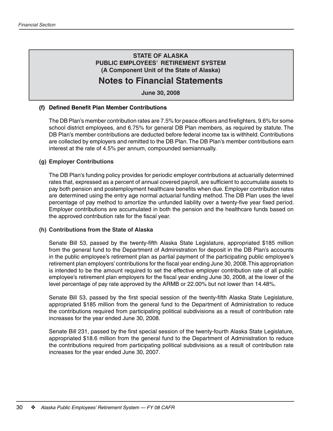# **Notes to Financial Statements**

**June 30, 2008**

#### **(f) Defi ned Benefi t Plan Member Contributions**

The DB Plan's member contribution rates are 7.5% for peace officers and firefighters, 9.6% for some school district employees, and 6.75% for general DB Plan members, as required by statute. The DB Plan's member contributions are deducted before federal income tax is withheld. Contributions are collected by employers and remitted to the DB Plan. The DB Plan's member contributions earn interest at the rate of 4.5% per annum, compounded semiannually.

#### **(g) Employer Contributions**

The DB Plan's funding policy provides for periodic employer contributions at actuarially determined rates that, expressed as a percent of annual covered payroll, are sufficient to accumulate assets to pay both pension and postemployment healthcare benefits when due. Employer contribution rates are determined using the entry age normal actuarial funding method. The DB Plan uses the level percentage of pay method to amortize the unfunded liability over a twenty-five year fixed period. Employer contributions are accumulated in both the pension and the healthcare funds based on the approved contribution rate for the fiscal year.

#### **(h) Contributions from the State of Alaska**

Senate Bill 53, passed by the twenty-fifth Alaska State Legislature, appropriated \$185 million from the general fund to the Department of Administration for deposit in the DB Plan's accounts in the public employee's retirement plan as partial payment of the participating public employee's retirement plan employers' contributions for the fiscal year ending June 30, 2008. This appropriation is intended to be the amount required to set the effective employer contribution rate of all public employee's retirement plan employers for the fiscal year ending June 30, 2008, at the lower of the level percentage of pay rate approved by the ARMB or 22.00% but not lower than 14.48%.

Senate Bill 53, passed by the first special session of the twenty-fifth Alaska State Legislature, appropriated \$185 million from the general fund to the Department of Administration to reduce the contributions required from participating political subdivisions as a result of contribution rate increases for the year ended June 30, 2008.

Senate Bill 231, passed by the first special session of the twenty-fourth Alaska State Legislature, appropriated \$18.6 million from the general fund to the Department of Administration to reduce the contributions required from participating political subdivisions as a result of contribution rate increases for the year ended June 30, 2007.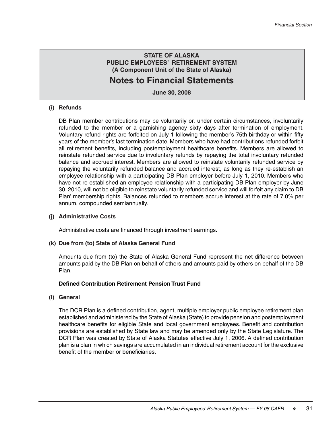## **Notes to Financial Statements**

**June 30, 2008**

## **(i) Refunds**

DB Plan member contributions may be voluntarily or, under certain circumstances, involuntarily refunded to the member or a garnishing agency sixty days after termination of employment. Voluntary refund rights are forfeited on July 1 following the member's 75th birthday or within fifty years of the member's last termination date. Members who have had contributions refunded forfeit all retirement benefits, including postemployment healthcare benefits. Members are allowed to reinstate refunded service due to involuntary refunds by repaying the total involuntary refunded balance and accrued interest. Members are allowed to reinstate voluntarily refunded service by repaying the voluntarily refunded balance and accrued interest, as long as they re-establish an employee relationship with a participating DB Plan employer before July 1, 2010. Members who have not re established an employee relationship with a participating DB Plan employer by June 30, 2010, will not be eligible to reinstate voluntarily refunded service and will forfeit any claim to DB Plan' membership rights. Balances refunded to members accrue interest at the rate of 7.0% per annum, compounded semiannually.

#### **(j) Administrative Costs**

Administrative costs are financed through investment earnings.

## **(k) Due from (to) State of Alaska General Fund**

Amounts due from (to) the State of Alaska General Fund represent the net difference between amounts paid by the DB Plan on behalf of others and amounts paid by others on behalf of the DB Plan.

## **Defined Contribution Retirement Pension Trust Fund**

#### **(l) General**

The DCR Plan is a defined contribution, agent, multiple employer public employee retirement plan established and administered by the State of Alaska (State) to provide pension and postemployment healthcare benefits for eligible State and local government employees. Benefit and contribution provisions are established by State law and may be amended only by the State Legislature. The DCR Plan was created by State of Alaska Statutes effective July 1, 2006. A defined contribution plan is a plan in which savings are accumulated in an individual retirement account for the exclusive benefit of the member or beneficiaries.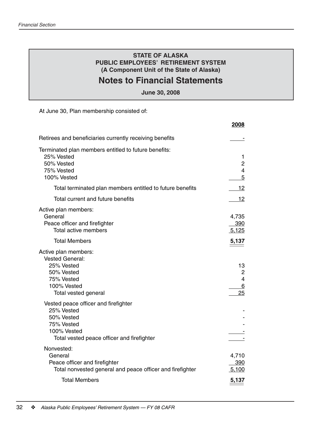# **Notes to Financial Statements**

**June 30, 2008**

At June 30, Plan membership consisted of:

|                                                                                                                                             | 2008                          |
|---------------------------------------------------------------------------------------------------------------------------------------------|-------------------------------|
| Retirees and beneficiaries currently receiving benefits                                                                                     |                               |
| Terminated plan members entitled to future benefits:<br>25% Vested<br>50% Vested<br>75% Vested<br>100% Vested                               | 1<br>$\overline{c}$<br>4<br>5 |
| Total terminated plan members entitled to future benefits                                                                                   | 12                            |
| Total current and future benefits                                                                                                           | 12                            |
| Active plan members:<br>General<br>Peace officer and firefighter<br>Total active members                                                    | 4,735<br>390<br>5,125         |
| <b>Total Members</b>                                                                                                                        | 5,137                         |
| Active plan members:<br><b>Vested General:</b><br>25% Vested<br>50% Vested<br>75% Vested<br>100% Vested<br>Total vested general             | 13<br>2<br>4<br>6<br>25       |
| Vested peace officer and firefighter<br>25% Vested<br>50% Vested<br>75% Vested<br>100% Vested<br>Total vested peace officer and firefighter |                               |
| Nonvested:<br>General<br>Peace officer and firefighter<br>Total nonvested general and peace officer and firefighter                         | 4,710<br>390<br>5,100         |
| <b>Total Members</b>                                                                                                                        | 5,137                         |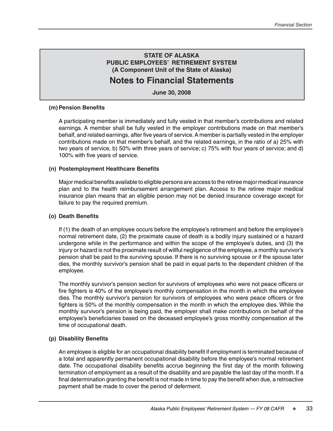# **Notes to Financial Statements**

**June 30, 2008**

## **(m) Pension Benefits**

A participating member is immediately and fully vested in that member's contributions and related earnings. A member shall be fully vested in the employer contributions made on that member's behalf, and related earnings, after five years of service. A member is partially vested in the employer contributions made on that member's behalf, and the related earnings, in the ratio of a) 25% with two years of service, b) 50% with three years of service; c) 75% with four years of service; and d) 100% with five years of service.

## **(n) Postemployment Healthcare Benefits**

Major medical benefits available to eligible persons are access to the retiree major medical insurance plan and to the health reimbursement arrangement plan. Access to the retiree major medical insurance plan means that an eligible person may not be denied insurance coverage except for failure to pay the required premium.

#### **(o) Death Benefits**

If (1) the death of an employee occurs before the employee's retirement and before the employee's normal retirement date, (2) the proximate cause of death is a bodily injury sustained or a hazard undergone while in the performance and within the scope of the employee's duties, and (3) the injury or hazard is not the proximate result of willful negligence of the employee, a monthly survivor's pension shall be paid to the surviving spouse. If there is no surviving spouse or if the spouse later dies, the monthly survivor's pension shall be paid in equal parts to the dependent children of the employee.

The monthly survivor's pension section for survivors of employees who were not peace officers or fire fighters is 40% of the employee's monthly compensation in the month in which the employee dies. The monthly survivor's pension for survivors of employees who were peace officers or fire fighters is 50% of the monthly compensation in the month in which the employee dies. While the monthly survivor's pension is being paid, the employer shall make contributions on behalf of the employee's beneficiaries based on the deceased employee's gross monthly compensation at the time of occupational death.

## **(p) Disability Benefits**

An employee is eligible for an occupational disability benefit if employment is terminated because of a total and apparently permanent occupational disability before the employee's normal retirement date. The occupational disability benefits accrue beginning the first day of the month following termination of employment as a result of the disability and are payable the last day of the month. If a final determination granting the benefit is not made in time to pay the benefit when due, a retroactive payment shall be made to cover the period of deferment.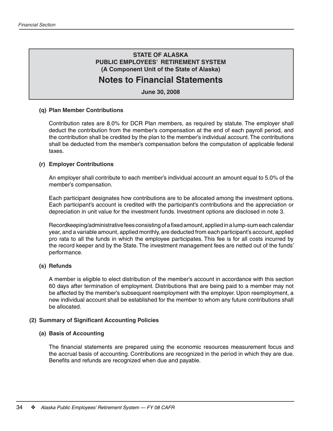## **Notes to Financial Statements**

**June 30, 2008**

#### **(q) Plan Member Contributions**

Contribution rates are 8.0% for DCR Plan members, as required by statute. The employer shall deduct the contribution from the member's compensation at the end of each payroll period, and the contribution shall be credited by the plan to the member's individual account. The contributions shall be deducted from the member's compensation before the computation of applicable federal taxes.

#### **(r) Employer Contributions**

An employer shall contribute to each member's individual account an amount equal to 5.0% of the member's compensation.

Each participant designates how contributions are to be allocated among the investment options. Each participant's account is credited with the participant's contributions and the appreciation or depreciation in unit value for the investment funds. Investment options are disclosed in note 3.

Recordkeeping/administrative fees consisting of a fixed amount, applied in a lump-sum each calendar year, and a variable amount, applied monthly, are deducted from each participant's account, applied pro rata to all the funds in which the employee participates. This fee is for all costs incurred by the record keeper and by the State. The investment management fees are netted out of the funds' performance.

#### **(s) Refunds**

A member is eligible to elect distribution of the member's account in accordance with this section 60 days after termination of employment. Distributions that are being paid to a member may not be affected by the member's subsequent reemployment with the employer. Upon reemployment, a new individual account shall be established for the member to whom any future contributions shall be allocated.

#### **(2) Summary of Significant Accounting Policies**

#### **(a) Basis of Accounting**

The financial statements are prepared using the economic resources measurement focus and the accrual basis of accounting. Contributions are recognized in the period in which they are due. Benefits and refunds are recognized when due and payable.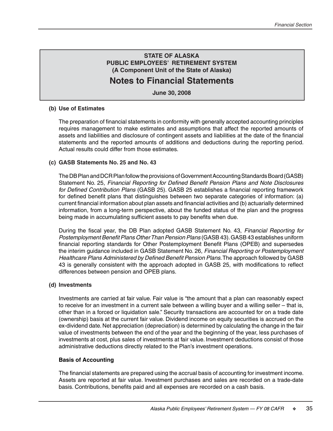# **Notes to Financial Statements**

**June 30, 2008**

#### **(b) Use of Estimates**

The preparation of financial statements in conformity with generally accepted accounting principles requires management to make estimates and assumptions that affect the reported amounts of assets and liabilities and disclosure of contingent assets and liabilities at the date of the financial statements and the reported amounts of additions and deductions during the reporting period. Actual results could differ from those estimates.

#### **(c) GASB Statements No. 25 and No. 43**

The DB Plan and DCR Plan follow the provisions of Government Accounting Standards Board (GASB) Statement No. 25, *Financial Reporting for Defined Benefit Pension Plans and Note Disclosures* for Defined Contribution Plans (GASB 25). GASB 25 establishes a financial reporting framework for defined benefit plans that distinguishes between two separate categories of information: (a) current financial information about plan assets and financial activities and (b) actuarially determined information, from a long-term perspective, about the funded status of the plan and the progress being made in accumulating sufficient assets to pay benefits when due.

During the fiscal year, the DB Plan adopted GASB Statement No. 43, *Financial Reporting for Postemployment Benefi t Plans Other Than Pension Plans* (GASB 43). GASB 43 establishes uniform financial reporting standards for Other Postemployment Benefit Plans (OPEB) and supersedes the interim guidance included in GASB Statement No. 26, *Financial Reporting or Postemployment*  Healthcare Plans Administered by Defined Benefit Pension Plans. The approach followed by GASB 43 is generally consistent with the approach adopted in GASB 25, with modifications to reflect differences between pension and OPEB plans.

#### **(d) Investments**

Investments are carried at fair value. Fair value is "the amount that a plan can reasonably expect to receive for an investment in a current sale between a willing buyer and a willing seller – that is, other than in a forced or liquidation sale." Security transactions are accounted for on a trade date (ownership) basis at the current fair value. Dividend income on equity securities is accrued on the ex-dividend date. Net appreciation (depreciation) is determined by calculating the change in the fair value of investments between the end of the year and the beginning of the year, less purchases of investments at cost, plus sales of investments at fair value. Investment deductions consist of those administrative deductions directly related to the Plan's investment operations.

#### **Basis of Accounting**

The financial statements are prepared using the accrual basis of accounting for investment income. Assets are reported at fair value. Investment purchases and sales are recorded on a trade-date basis. Contributions, benefits paid and all expenses are recorded on a cash basis.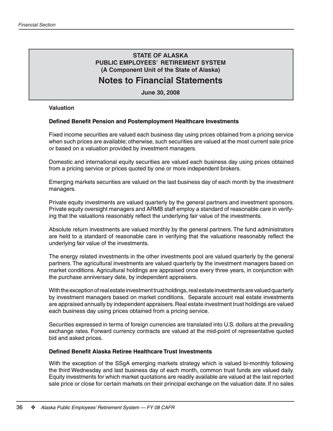## **Notes to Financial Statements**

**June 30, 2008**

 **Valuation**

#### **Defined Benefit Pension and Postemployment Healthcare Investments**

Fixed income securities are valued each business day using prices obtained from a pricing service when such prices are available; otherwise, such securities are valued at the most current sale price or based on a valuation provided by investment managers.

Domestic and international equity securities are valued each business day using prices obtained from a pricing service or prices quoted by one or more independent brokers.

Emerging markets securities are valued on the last business day of each month by the investment managers.

Private equity investments are valued quarterly by the general partners and investment sponsors. Private equity oversight managers and ARMB staff employ a standard of reasonable care in verifying that the valuations reasonably reflect the underlying fair value of the investments.

Absolute return investments are valued monthly by the general partners. The fund administrators are held to a standard of reasonable care in verifying that the valuations reasonably reflect the underlying fair value of the investments.

The energy related investments in the other investments pool are valued quarterly by the general partners. The agricultural investments are valued quarterly by the investment managers based on market conditions. Agricultural holdings are appraised once every three years, in conjunction with the purchase anniversary date, by independent appraisers.

With the exception of real estate investment trust holdings, real estate investments are valued quarterly by investment managers based on market conditions. Separate account real estate investments are appraised annually by independent appraisers. Real estate investment trust holdings are valued each business day using prices obtained from a pricing service.

Securities expressed in terms of foreign currencies are translated into U.S. dollars at the prevailing exchange rates. Forward currency contracts are valued at the mid-point of representative quoted bid and asked prices.

#### **Defined Benefit Alaska Retiree Healthcare Trust Investments**

With the exception of the SSgA emerging markets strategy which is valued bi-monthly following the third Wednesday and last business day of each month, common trust funds are valued daily. Equity investments for which market quotations are readily available are valued at the last reported sale price or close for certain markets on their principal exchange on the valuation date. If no sales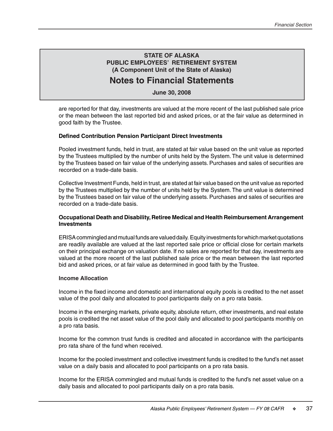# **Notes to Financial Statements**

**June 30, 2008**

are reported for that day, investments are valued at the more recent of the last published sale price or the mean between the last reported bid and asked prices, or at the fair value as determined in good faith by the Trustee.

## **Defined Contribution Pension Participant Direct Investments**

Pooled investment funds, held in trust, are stated at fair value based on the unit value as reported by the Trustees multiplied by the number of units held by the System. The unit value is determined by the Trustees based on fair value of the underlying assets. Purchases and sales of securities are recorded on a trade-date basis.

Collective Investment Funds, held in trust, are stated at fair value based on the unit value as reported by the Trustees multiplied by the number of units held by the System. The unit value is determined by the Trustees based on fair value of the underlying assets. Purchases and sales of securities are recorded on a trade-date basis.

#### **Occupational Death and Disability, Retiree Medical and Health Reimbursement Arrangement Investments**

ERISA commingled and mutual funds are valued daily. Equity investments for which market quotations are readily available are valued at the last reported sale price or official close for certain markets on their principal exchange on valuation date. If no sales are reported for that day, investments are valued at the more recent of the last published sale price or the mean between the last reported bid and asked prices, or at fair value as determined in good faith by the Trustee.

#### **Income Allocation**

Income in the fixed income and domestic and international equity pools is credited to the net asset value of the pool daily and allocated to pool participants daily on a pro rata basis.

Income in the emerging markets, private equity, absolute return, other investments, and real estate pools is credited the net asset value of the pool daily and allocated to pool participants monthly on a pro rata basis.

Income for the common trust funds is credited and allocated in accordance with the participants pro rata share of the fund when received.

Income for the pooled investment and collective investment funds is credited to the fund's net asset value on a daily basis and allocated to pool participants on a pro rata basis.

Income for the ERISA commingled and mutual funds is credited to the fund's net asset value on a daily basis and allocated to pool participants daily on a pro rata basis.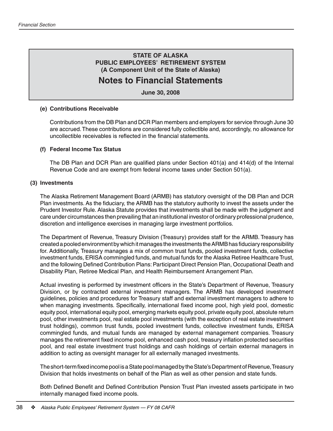## **Notes to Financial Statements**

**June 30, 2008**

#### **(e) Contributions Receivable**

Contributions from the DB Plan and DCR Plan members and employers for service through June 30 are accrued. These contributions are considered fully collectible and, accordingly, no allowance for uncollectible receivables is reflected in the financial statements.

#### **(f) Federal Income Tax Status**

The DB Plan and DCR Plan are qualified plans under Section  $401(a)$  and  $414(d)$  of the Internal Revenue Code and are exempt from federal income taxes under Section 501(a).

#### **(3) Investments**

The Alaska Retirement Management Board (ARMB) has statutory oversight of the DB Plan and DCR Plan investments. As the fiduciary, the ARMB has the statutory authority to invest the assets under the Prudent Investor Rule. Alaska Statute provides that investments shall be made with the judgment and care under circumstances then prevailing that an institutional investor of ordinary professional prudence, discretion and intelligence exercises in managing large investment portfolios.

The Department of Revenue, Treasury Division (Treasury) provides staff for the ARMB. Treasury has created a pooled environment by which it manages the investments the ARMB has fiduciary responsibility for. Additionally, Treasury manages a mix of common trust funds, pooled investment funds, collective investment funds, ERISA commingled funds, and mutual funds for the Alaska Retiree Healthcare Trust, and the following Defined Contribution Plans: Participant Direct Pension Plan, Occupational Death and Disability Plan, Retiree Medical Plan, and Health Reimbursement Arrangement Plan.

Actual investing is performed by investment officers in the State's Department of Revenue, Treasury Division, or by contracted external investment managers. The ARMB has developed investment guidelines, policies and procedures for Treasury staff and external investment managers to adhere to when managing investments. Specifically, international fixed income pool, high yield pool, domestic equity pool, international equity pool, emerging markets equity pool, private equity pool, absolute return pool, other investments pool, real estate pool investments (with the exception of real estate investment trust holdings), common trust funds, pooled investment funds, collective investment funds, ERISA commingled funds, and mutual funds are managed by external management companies. Treasury manages the retirement fixed income pool, enhanced cash pool, treasury inflation protected securities pool, and real estate investment trust holdings and cash holdings of certain external managers in addition to acting as oversight manager for all externally managed investments.

The short-term fixed income pool is a State pool managed by the State's Department of Revenue, Treasury Division that holds investments on behalf of the Plan as well as other pension and state funds.

Both Defined Benefit and Defined Contribution Pension Trust Plan invested assets participate in two internally managed fixed income pools.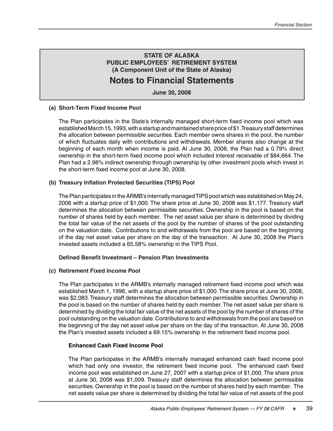# **Notes to Financial Statements**

**June 30, 2008**

## **(a) Short-Term Fixed Income Pool**

The Plan participates in the State's internally managed short-term fixed income pool which was established March 15, 1993, with a startup and maintained share price of \$1. Treasury staff determines the allocation between permissible securities. Each member owns shares in the pool, the number of which fl uctuates daily with contributions and withdrawals. Member shares also change at the beginning of each month when income is paid. At June 30, 2008, the Plan had a 0.79% direct ownership in the short-term fixed income pool which included interest receivable of \$84,664. The Plan had a 2.98% indirect ownership through ownership by other investment pools which invest in the short-term fixed income pool at June 30, 2008.

## **(b) Treasury Inflation Protected Securities (TIPS) Pool**

The Plan participates in the ARMB's internally managed TIPS pool which was established on May 24, 2006 with a startup price of \$1,000. The share price at June 30, 2008 was \$1,177. Treasury staff determines the allocation between permissible securities. Ownership in the pool is based on the number of shares held by each member. The net asset value per share is determined by dividing the total fair value of the net assets of the pool by the number of shares of the pool outstanding on the valuation date. Contributions to and withdrawals from the pool are based on the beginning of the day net asset value per share on the day of the transaction. At June 30, 2008 the Plan's invested assets included a 65.58% ownership in the TIPS Pool.

## **Defined Benefit Investment – Pension Plan Investments**

## **(c) Retirement Fixed Income Pool**

The Plan participates in the ARMB's internally managed retirement fixed income pool which was established March 1, 1996, with a startup share price of \$1,000. The share price at June 30, 2008, was \$2,083. Treasury staff determines the allocation between permissible securities. Ownership in the pool is based on the number of shares held by each member. The net asset value per share is determined by dividing the total fair value of the net assets of the pool by the number of shares of the pool outstanding on the valuation date. Contributions to and withdrawals from the pool are based on the beginning of the day net asset value per share on the day of the transaction. At June 30, 2008 the Plan's invested assets included a 69.15% ownership in the retirement fixed income pool.

## **Enhanced Cash Fixed Income Pool**

The Plan participates in the ARMB's internally managed enhanced cash fixed income pool which had only one investor, the retirement fixed income pool. The enhanced cash fixed income pool was established on June 27, 2007 with a startup price of \$1,000. The share price at June 30, 2008 was \$1,009. Treasury staff determines the allocation between permissible securities. Ownership in the pool is based on the number of shares held by each member. The net assets value per share is determined by dividing the total fair value of net assets of the pool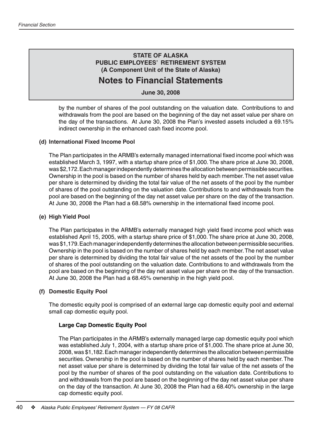## **Notes to Financial Statements**

**June 30, 2008**

by the number of shares of the pool outstanding on the valuation date. Contributions to and withdrawals from the pool are based on the beginning of the day net asset value per share on the day of the transactions. At June 30, 2008 the Plan's invested assets included a 69.15% indirect ownership in the enhanced cash fixed income pool.

#### **(d) International Fixed Income Pool**

The Plan participates in the ARMB's externally managed international fixed income pool which was established March 3, 1997, with a startup share price of \$1,000. The share price at June 30, 2008, was \$2,172. Each manager independently determines the allocation between permissible securities. Ownership in the pool is based on the number of shares held by each member. The net asset value per share is determined by dividing the total fair value of the net assets of the pool by the number of shares of the pool outstanding on the valuation date. Contributions to and withdrawals from the pool are based on the beginning of the day net asset value per share on the day of the transaction. At June 30, 2008 the Plan had a 68.58% ownership in the international fixed income pool.

#### **(e) High Yield Pool**

The Plan participates in the ARMB's externally managed high yield fixed income pool which was established April 15, 2005, with a startup share price of \$1,000. The share price at June 30, 2008, was \$1,179. Each manager independently determines the allocation between permissible securities. Ownership in the pool is based on the number of shares held by each member. The net asset value per share is determined by dividing the total fair value of the net assets of the pool by the number of shares of the pool outstanding on the valuation date. Contributions to and withdrawals from the pool are based on the beginning of the day net asset value per share on the day of the transaction. At June 30, 2008 the Plan had a 68.45% ownership in the high yield pool.

#### **(f) Domestic Equity Pool**

The domestic equity pool is comprised of an external large cap domestic equity pool and external small cap domestic equity pool.

## **Large Cap Domestic Equity Pool**

The Plan participates in the ARMB's externally managed large cap domestic equity pool which was established July 1, 2004, with a startup share price of \$1,000. The share price at June 30, 2008, was \$1,182. Each manager independently determines the allocation between permissible securities. Ownership in the pool is based on the number of shares held by each member. The net asset value per share is determined by dividing the total fair value of the net assets of the pool by the number of shares of the pool outstanding on the valuation date. Contributions to and withdrawals from the pool are based on the beginning of the day net asset value per share on the day of the transaction. At June 30, 2008 the Plan had a 68.40% ownership in the large cap domestic equity pool.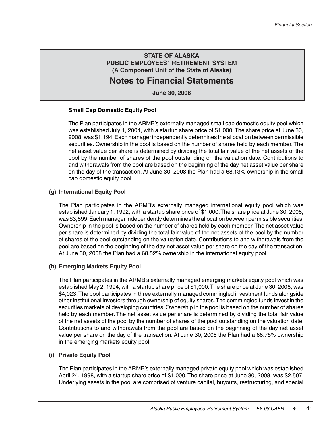# **Notes to Financial Statements**

**June 30, 2008**

## **Small Cap Domestic Equity Pool**

The Plan participates in the ARMB's externally managed small cap domestic equity pool which was established July 1, 2004, with a startup share price of \$1,000. The share price at June 30, 2008, was \$1,194. Each manager independently determines the allocation between permissible securities. Ownership in the pool is based on the number of shares held by each member. The net asset value per share is determined by dividing the total fair value of the net assets of the pool by the number of shares of the pool outstanding on the valuation date. Contributions to and withdrawals from the pool are based on the beginning of the day net asset value per share on the day of the transaction. At June 30, 2008 the Plan had a 68.13% ownership in the small cap domestic equity pool.

#### **(g) International Equity Pool**

The Plan participates in the ARMB's externally managed international equity pool which was established January 1, 1992, with a startup share price of \$1,000. The share price at June 30, 2008, was \$3,899. Each manager independently determines the allocation between permissible securities. Ownership in the pool is based on the number of shares held by each member. The net asset value per share is determined by dividing the total fair value of the net assets of the pool by the number of shares of the pool outstanding on the valuation date. Contributions to and withdrawals from the pool are based on the beginning of the day net asset value per share on the day of the transaction. At June 30, 2008 the Plan had a 68.52% ownership in the international equity pool.

## **(h) Emerging Markets Equity Pool**

The Plan participates in the ARMB's externally managed emerging markets equity pool which was established May 2, 1994, with a startup share price of \$1,000. The share price at June 30, 2008, was \$4,023. The pool participates in three externally managed commingled investment funds alongside other institutional investors through ownership of equity shares. The commingled funds invest in the securities markets of developing countries. Ownership in the pool is based on the number of shares held by each member. The net asset value per share is determined by dividing the total fair value of the net assets of the pool by the number of shares of the pool outstanding on the valuation date. Contributions to and withdrawals from the pool are based on the beginning of the day net asset value per share on the day of the transaction. At June 30, 2008 the Plan had a 68.75% ownership in the emerging markets equity pool.

#### **(i) Private Equity Pool**

The Plan participates in the ARMB's externally managed private equity pool which was established April 24, 1998, with a startup share price of \$1,000. The share price at June 30, 2008, was \$2,507. Underlying assets in the pool are comprised of venture capital, buyouts, restructuring, and special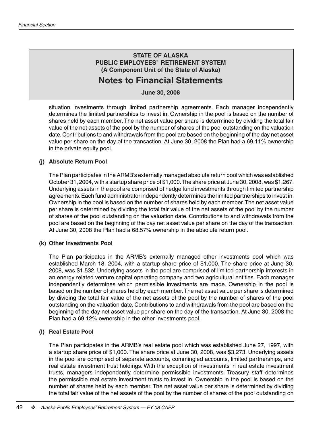## **Notes to Financial Statements**

**June 30, 2008**

situation investments through limited partnership agreements. Each manager independently determines the limited partnerships to invest in. Ownership in the pool is based on the number of shares held by each member. The net asset value per share is determined by dividing the total fair value of the net assets of the pool by the number of shares of the pool outstanding on the valuation date. Contributions to and withdrawals from the pool are based on the beginning of the day net asset value per share on the day of the transaction. At June 30, 2008 the Plan had a 69.11% ownership in the private equity pool.

#### **(j) Absolute Return Pool**

The Plan participates in the ARMB's externally managed absolute return pool which was established October 31, 2004, with a startup share price of \$1,000. The share price at June 30, 2008, was \$1,267. Underlying assets in the pool are comprised of hedge fund investments through limited partnership agreements. Each fund administrator independently determines the limited partnerships to invest in. Ownership in the pool is based on the number of shares held by each member. The net asset value per share is determined by dividing the total fair value of the net assets of the pool by the number of shares of the pool outstanding on the valuation date. Contributions to and withdrawals from the pool are based on the beginning of the day net asset value per share on the day of the transaction. At June 30, 2008 the Plan had a 68.57% ownership in the absolute return pool.

#### **(k) Other Investments Pool**

The Plan participates in the ARMB's externally managed other investments pool which was established March 18, 2004, with a startup share price of \$1,000. The share price at June 30, 2008, was \$1,532. Underlying assets in the pool are comprised of limited partnership interests in an energy related venture capital operating company and two agricultural entities. Each manager independently determines which permissible investments are made. Ownership in the pool is based on the number of shares held by each member. The net asset value per share is determined by dividing the total fair value of the net assets of the pool by the number of shares of the pool outstanding on the valuation date. Contributions to and withdrawals from the pool are based on the beginning of the day net asset value per share on the day of the transaction. At June 30, 2008 the Plan had a 69.12% ownership in the other investments pool.

## **(l) Real Estate Pool**

The Plan participates in the ARMB's real estate pool which was established June 27, 1997, with a startup share price of \$1,000. The share price at June 30, 2008, was \$3,273. Underlying assets in the pool are comprised of separate accounts, commingled accounts, limited partnerships, and real estate investment trust holdings. With the exception of investments in real estate investment trusts, managers independently determine permissible investments. Treasury staff determines the permissible real estate investment trusts to invest in. Ownership in the pool is based on the number of shares held by each member. The net asset value per share is determined by dividing the total fair value of the net assets of the pool by the number of shares of the pool outstanding on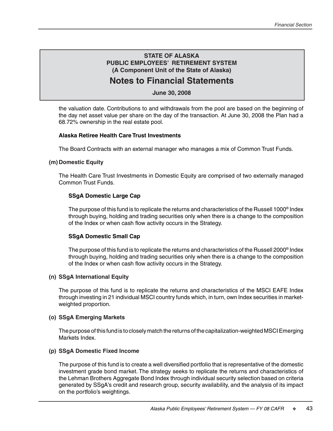# **Notes to Financial Statements**

**June 30, 2008**

the valuation date. Contributions to and withdrawals from the pool are based on the beginning of the day net asset value per share on the day of the transaction. At June 30, 2008 the Plan had a 68.72% ownership in the real estate pool.

## **Alaska Retiree Health Care Trust Investments**

The Board Contracts with an external manager who manages a mix of Common Trust Funds.

#### **(m) Domestic Equity**

The Health Care Trust Investments in Domestic Equity are comprised of two externally managed Common Trust Funds.

## **SSgA Domestic Large Cap**

The purpose of this fund is to replicate the returns and characteristics of the Russell 1000® Index through buying, holding and trading securities only when there is a change to the composition of the Index or when cash flow activity occurs in the Strategy.

## **SSgA Domestic Small Cap**

The purpose of this fund is to replicate the returns and characteristics of the Russell 2000® Index through buying, holding and trading securities only when there is a change to the composition of the Index or when cash flow activity occurs in the Strategy.

#### **(n) SSgA International Equity**

The purpose of this fund is to replicate the returns and characteristics of the MSCI EAFE Index through investing in 21 individual MSCI country funds which, in turn, own Index securities in marketweighted proportion.

## **(o) SSgA Emerging Markets**

The purpose of this fund is to closely match the returns of the capitalization-weighted MSCI Emerging Markets Index.

#### **(p) SSgA Domestic Fixed Income**

The purpose of this fund is to create a well diversified portfolio that is representative of the domestic investment grade bond market. The strategy seeks to replicate the returns and characteristics of the Lehman Brothers Aggregate Bond Index through individual security selection based on criteria generated by SSgA's credit and research group, security availability, and the analysis of its impact on the portfolio's weightings.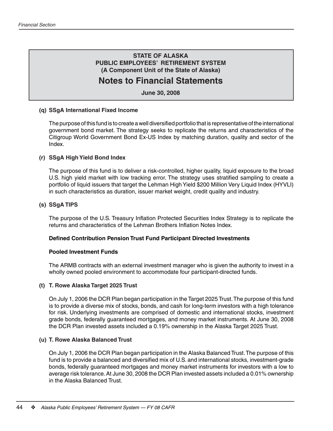# **Notes to Financial Statements**

**June 30, 2008**

#### **(q) SSgA International Fixed Income**

The purpose of this fund is to create a well diversified portfolio that is representative of the international government bond market. The strategy seeks to replicate the returns and characteristics of the Citigroup World Government Bond Ex-US Index by matching duration, quality and sector of the Index.

#### **(r) SSgA High Yield Bond Index**

The purpose of this fund is to deliver a risk-controlled, higher quality, liquid exposure to the broad U.S. high yield market with low tracking error. The strategy uses stratified sampling to create a portfolio of liquid issuers that target the Lehman High Yield \$200 Million Very Liquid Index (HYVLI) in such characteristics as duration, issuer market weight, credit quality and industry.

#### **(s) SSgA TIPS**

The purpose of the U.S. Treasury Inflation Protected Securities Index Strategy is to replicate the returns and characteristics of the Lehman Brothers Inflation Notes Index.

#### **Defi ned Contribution Pension Trust Fund Participant Directed Investments**

#### **Pooled Investment Funds**

The ARMB contracts with an external investment manager who is given the authority to invest in a wholly owned pooled environment to accommodate four participant-directed funds.

#### **(t) T. Rowe Alaska Target 2025 Trust**

On July 1, 2006 the DCR Plan began participation in the Target 2025 Trust. The purpose of this fund is to provide a diverse mix of stocks, bonds, and cash for long-term investors with a high tolerance for risk. Underlying investments are comprised of domestic and international stocks, investment grade bonds, federally guaranteed mortgages, and money market instruments. At June 30, 2008 the DCR Plan invested assets included a 0.19% ownership in the Alaska Target 2025 Trust.

#### **(u) T. Rowe Alaska Balanced Trust**

On July 1, 2006 the DCR Plan began participation in the Alaska Balanced Trust. The purpose of this fund is to provide a balanced and diversified mix of U.S. and international stocks, investment-grade bonds, federally guaranteed mortgages and money market instruments for investors with a low to average risk tolerance. At June 30, 2008 the DCR Plan invested assets included a 0.01% ownership in the Alaska Balanced Trust.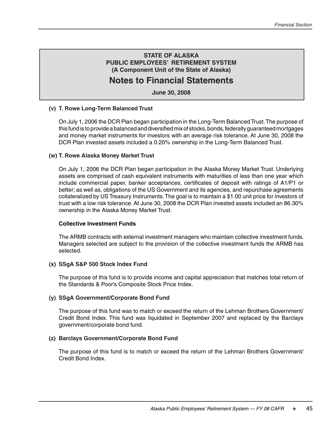# **Notes to Financial Statements**

**June 30, 2008**

## **(v) T. Rowe Long-Term Balanced Trust**

On July 1, 2006 the DCR Plan began participation in the Long-Term Balanced Trust. The purpose of this fund is to provide a balanced and diversified mix of stocks, bonds, federally guaranteed mortgages and money market instruments for investors with an average risk tolerance. At June 30, 2008 the DCR Plan invested assets included a 0.20% ownership in the Long-Term Balanced Trust.

## **(w) T. Rowe Alaska Money Market Trust**

On July 1, 2006 the DCR Plan began participation in the Alaska Money Market Trust. Underlying assets are comprised of cash equivalent instruments with maturities of less than one year which include commercial paper, banker acceptances, certificates of deposit with ratings of A1/P1 or better; as well as, obligations of the US Government and its agencies, and repurchase agreements collateralized by US Treasury Instruments. The goal is to maintain a \$1.00 unit price for investors of trust with a low risk tolerance. At June 30, 2008 the DCR Plan invested assets included an 86.30% ownership in the Alaska Money Market Trust.

## **Collective Investment Funds**

The ARMB contracts with external investment managers who maintain collective investment funds. Managers selected are subject to the provision of the collective investment funds the ARMB has selected.

## **(x) SSgA S&P 500 Stock Index Fund**

The purpose of this fund is to provide income and capital appreciation that matches total return of the Standards & Poor's Composite Stock Price Index.

## **(y) SSgA Government/Corporate Bond Fund**

The purpose of this fund was to match or exceed the return of the Lehman Brothers Government/ Credit Bond Index. This fund was liquidated in September 2007 and replaced by the Barclays government/corporate bond fund.

## **(z) Barclays Government/Corporate Bond Fund**

The purpose of this fund is to match or exceed the return of the Lehman Brothers Government/ Credit Bond Index.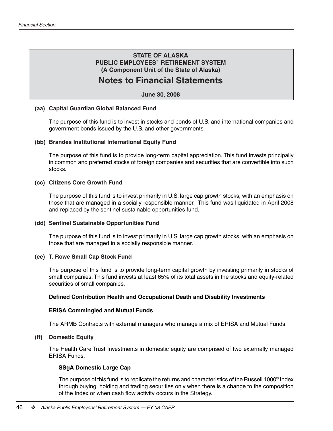## **Notes to Financial Statements**

**June 30, 2008**

#### **(aa) Capital Guardian Global Balanced Fund**

The purpose of this fund is to invest in stocks and bonds of U.S. and international companies and government bonds issued by the U.S. and other governments.

#### **(bb) Brandes Institutional International Equity Fund**

The purpose of this fund is to provide long-term capital appreciation. This fund invests principally in common and preferred stocks of foreign companies and securities that are convertible into such stocks.

#### **(cc) Citizens Core Growth Fund**

The purpose of this fund is to invest primarily in U.S. large cap growth stocks, with an emphasis on those that are managed in a socially responsible manner. This fund was liquidated in April 2008 and replaced by the sentinel sustainable opportunities fund.

#### **(dd) Sentinel Sustainable Opportunities Fund**

The purpose of this fund is to invest primarily in U.S. large cap growth stocks, with an emphasis on those that are managed in a socially responsible manner.

#### **(ee) T. Rowe Small Cap Stock Fund**

The purpose of this fund is to provide long-term capital growth by investing primarily in stocks of small companies. This fund invests at least 65% of its total assets in the stocks and equity-related securities of small companies.

#### **Defined Contribution Health and Occupational Death and Disability Investments**

#### **ERISA Commingled and Mutual Funds**

The ARMB Contracts with external managers who manage a mix of ERISA and Mutual Funds.

#### **(ff) Domestic Equity**

The Health Care Trust Investments in domestic equity are comprised of two externally managed ERISA Funds.

#### **SSgA Domestic Large Cap**

The purpose of this fund is to replicate the returns and characteristics of the Russell 1000® Index through buying, holding and trading securities only when there is a change to the composition of the Index or when cash flow activity occurs in the Strategy.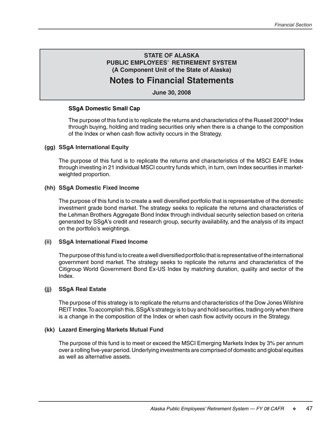# **Notes to Financial Statements**

**June 30, 2008**

## **SSgA Domestic Small Cap**

The purpose of this fund is to replicate the returns and characteristics of the Russell 2000<sup>®</sup> Index through buying, holding and trading securities only when there is a change to the composition of the Index or when cash flow activity occurs in the Strategy.

## **(gg) SSgA International Equity**

The purpose of this fund is to replicate the returns and characteristics of the MSCI EAFE Index through investing in 21 individual MSCI country funds which, in turn, own Index securities in marketweighted proportion.

## **(hh) SSgA Domestic Fixed Income**

The purpose of this fund is to create a well diversified portfolio that is representative of the domestic investment grade bond market. The strategy seeks to replicate the returns and characteristics of the Lehman Brothers Aggregate Bond Index through individual security selection based on criteria generated by SSgA's credit and research group, security availability, and the analysis of its impact on the portfolio's weightings.

## **(ii) SSgA International Fixed Income**

The purpose of this fund is to create a well diversified portfolio that is representative of the international government bond market. The strategy seeks to replicate the returns and characteristics of the Citigroup World Government Bond Ex-US Index by matching duration, quality and sector of the Index.

## **(jj) SSgA Real Estate**

The purpose of this strategy is to replicate the returns and characteristics of the Dow Jones Wilshire REIT Index. To accomplish this, SSgA's strategy is to buy and hold securities, trading only when there is a change in the composition of the Index or when cash flow activity occurs in the Strategy.

## **(kk) Lazard Emerging Markets Mutual Fund**

The purpose of this fund is to meet or exceed the MSCI Emerging Markets Index by 3% per annum over a rolling five-year period. Underlying investments are comprised of domestic and global equities as well as alternative assets.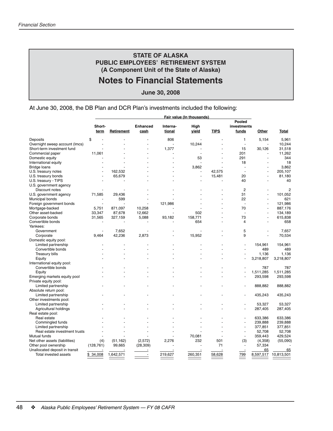## **STATE OF ALASKA PUBLIC EMPLOYEES' RETIREMENT SYSTEM (A Component Unit of the State of Alaska) Notes to Financial Statements**

**June 30, 2008**

At June 30, 2008, the DB Plan and DCR Plan's investments included the following:

|                                          |                |            |                          |                    | Fair value (In thousands) |                          |                                |           |            |
|------------------------------------------|----------------|------------|--------------------------|--------------------|---------------------------|--------------------------|--------------------------------|-----------|------------|
|                                          | Short-<br>term | Retirement | <b>Enhanced</b><br>cash  | Interna-<br>tional | High<br>yield             | <b>TIPS</b>              | Pooled<br>investments<br>funds | Other     | Total      |
| Deposits                                 | \$             |            |                          | 806                |                           |                          | 1                              | 5,154     | 5,961      |
| Overnight sweep account (Imcs)           |                |            |                          |                    | 10,244                    |                          | L,                             |           | 10,244     |
| Short-term investment fund               |                |            |                          | 1,377              |                           |                          | 15                             | 30,126    | 31,518     |
| Commercial paper                         | 11,061         |            |                          |                    |                           |                          | 201                            |           | 11,262     |
| Domestic equity                          |                |            |                          |                    | 53                        |                          | 291                            |           | 344        |
| International equity                     |                |            |                          |                    |                           | $\overline{\phantom{a}}$ | 18                             |           | 18         |
| Bridge loans                             |                |            |                          |                    | 3,862                     |                          | ÷,                             |           | 3,862      |
| U.S. treasury notes                      | ÷,             | 162,532    |                          |                    | $\overline{a}$            | 42,575                   | ÷,                             |           | 205,107    |
| U.S. treasury bonds                      |                | 65,679     |                          |                    | $\overline{a}$            | 15,481                   | 20                             |           | 81,180     |
| U.S. treasury - TIPS                     |                |            |                          |                    |                           |                          | 40                             |           | 40         |
| U.S. government agency<br>Discount notes |                |            |                          |                    |                           |                          | $\overline{2}$                 |           | 2          |
| U.S. government agency                   | 71,585         | 29,436     |                          |                    |                           |                          | 31                             |           | 101,052    |
| Municipal bonds                          |                | 599        |                          |                    |                           |                          | 22                             |           | 621        |
| Foreign government bonds                 | L,             |            |                          | 121,986            |                           |                          | ÷,                             |           | 121,986    |
| Mortgage-backed                          | 5,751          | 871,097    | 10,258                   |                    |                           |                          | 70                             |           | 887,176    |
| Other asset-backed                       | 33,347         | 87,678     | 12,662                   |                    | 502                       |                          | L.                             |           | 134,189    |
| Corporate bonds                          | 31,565         | 327,159    | 5,088                    | 93,182             | 158,771                   |                          | 73                             |           | 615,838    |
| Convertible bonds                        |                |            |                          |                    | 654                       |                          | $\overline{4}$                 |           | 658        |
| Yankees:                                 |                |            |                          |                    |                           |                          |                                |           |            |
| Government                               |                | 7,652      |                          |                    |                           |                          | 5                              |           | 7,657      |
| Corporate                                | 9,464          | 42,236     | 2,873                    |                    | 15,952                    |                          | 9                              |           | 70,534     |
| Domestic equity pool:                    |                |            |                          |                    |                           |                          |                                |           |            |
| Limited partnership                      |                |            |                          |                    |                           |                          |                                | 154,961   | 154,961    |
| Convertible bonds                        |                |            |                          |                    |                           |                          |                                | 489       | 489        |
| <b>Treasury bills</b>                    |                |            |                          |                    |                           |                          |                                | 1,136     | 1,136      |
| Equity                                   |                |            |                          |                    |                           |                          | ä,                             | 3,218,807 | 3,218,807  |
| International equity pool:               |                |            |                          |                    |                           |                          |                                |           |            |
| Convertible bonds                        |                |            |                          |                    |                           |                          |                                | 787       | 787        |
| Equity                                   |                |            |                          |                    |                           |                          | Ĭ.                             | 1,511,285 | 1,511,285  |
| Emerging markets equity pool             |                |            |                          |                    |                           |                          |                                | 293,598   | 293,598    |
| Private equity pool:                     |                |            |                          |                    |                           |                          |                                |           |            |
| Limited partnership                      |                |            |                          |                    |                           |                          | ÷,                             | 888,882   | 888,882    |
| Absolute return pool:                    |                |            |                          |                    |                           |                          |                                |           |            |
| Limited partnership                      |                |            |                          |                    |                           |                          |                                | 435,243   | 435,243    |
| Other investments pool:                  |                |            |                          |                    |                           |                          |                                |           |            |
| Limited partnership                      |                |            |                          |                    |                           |                          |                                | 53.327    | 53,327     |
| Agricultural holdings                    |                |            |                          |                    |                           |                          | ä,                             | 287,405   | 287,405    |
| Real estate pool:                        |                |            |                          |                    |                           |                          |                                |           |            |
| Real estate                              |                |            |                          |                    |                           |                          |                                | 633,386   | 633,386    |
| Commingled funds                         |                |            |                          |                    |                           |                          |                                | 239,888   | 239,888    |
| Limited partnership                      |                |            |                          |                    |                           |                          |                                | 377,851   | 377,851    |
| Real estate investment trusts            |                |            |                          |                    |                           |                          |                                | 52,708    | 52,708     |
| Mutual funds                             |                |            |                          |                    | 70,081                    |                          |                                | 359,443   | 429,524    |
| Net other assets (liabilities)           | (4)            | (51, 162)  | (2,572)                  | 2,276              | 232                       | 501                      | (3)                            | (4,358)   | (55,090)   |
| Other pool ownership                     | (128, 761)     | 99,665     | (28, 309)                |                    |                           | 71                       |                                | 57,334    |            |
| Unallocated deposit in transit           |                |            |                          |                    |                           |                          |                                | 65        | 65         |
| Total invested assets                    | \$34,008       | 1,642,571  | $\overline{\phantom{a}}$ | 219,627            | 260,351                   | 58,628                   | 799                            | 8,597,517 | 10,813,501 |
|                                          |                |            |                          |                    |                           |                          |                                |           |            |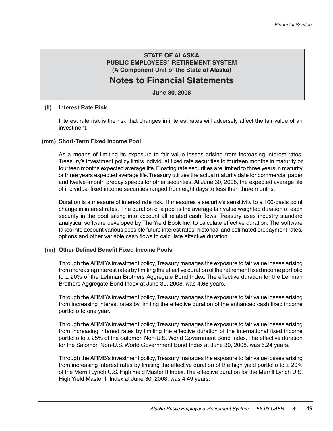## **Notes to Financial Statements**

**June 30, 2008**

#### **(ll) Interest Rate Risk**

Interest rate risk is the risk that changes in interest rates will adversely affect the fair value of an investment.

#### **(mm) Short-Term Fixed Income Pool**

As a means of limiting its exposure to fair value losses arising from increasing interest rates, Treasury's investment policy limits individual fixed rate securities to fourteen months in maturity or fourteen months expected average life. Floating rate securities are limited to three years in maturity or three years expected average life. Treasury utilizes the actual maturity date for commercial paper and twelve–month prepay speeds for other securities. At June 30, 2008, the expected average life of individual fixed income securities ranged from eight days to less than three months.

Duration is a measure of interest rate risk. It measures a security's sensitivity to a 100-basis point change in interest rates. The duration of a pool is the average fair value weighted duration of each security in the pool taking into account all related cash flows. Treasury uses industry standard analytical software developed by The Yield Book Inc. to calculate effective duration. The software takes into account various possible future interest rates, historical and estimated prepayment rates, options and other variable cash flows to calculate effective duration.

#### (nn) Other Defined Benefit Fixed Income Pools

Through the ARMB's investment policy, Treasury manages the exposure to fair value losses arising from increasing interest rates by limiting the effective duration of the retirement fixed income portfolio to  $\pm$  20% of the Lehman Brothers Aggregate Bond Index. The effective duration for the Lehman Brothers Aggregate Bond Index at June 30, 2008, was 4.68 years.

Through the ARMB's investment policy, Treasury manages the exposure to fair value losses arising from increasing interest rates by limiting the effective duration of the enhanced cash fixed income portfolio to one year.

Through the ARMB's investment policy, Treasury manages the exposure to fair value losses arising from increasing interest rates by limiting the effective duration of the international fixed income portfolio to  $\pm$  25% of the Salomon Non-U.S. World Government Bond Index. The effective duration for the Salomon Non-U.S. World Government Bond Index at June 30, 2008, was 6.24 years.

Through the ARMB's investment policy, Treasury manages the exposure to fair value losses arising from increasing interest rates by limiting the effective duration of the high yield portfolio to  $\pm 20\%$ of the Merrill Lynch U.S. High Yield Master II Index. The effective duration for the Merrill Lynch U.S. High Yield Master II Index at June 30, 2008, was 4.49 years.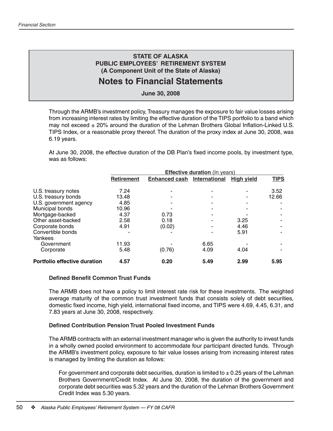# **Notes to Financial Statements**

**June 30, 2008**

Through the ARMB's investment policy, Treasury manages the exposure to fair value losses arising from increasing interest rates by limiting the effective duration of the TIPS portfolio to a band which may not exceed  $\pm$  20% around the duration of the Lehman Brothers Global Inflation-Linked U.S. TIPS Index, or a reasonable proxy thereof. The duration of the proxy index at June 30, 2008, was 6.19 years.

At June 30, 2008, the effective duration of the DB Plan's fixed income pools, by investment type, was as follows:

|                              | <b>Effective duration (In years)</b> |                                    |      |                   |             |
|------------------------------|--------------------------------------|------------------------------------|------|-------------------|-------------|
|                              | <b>Retirement</b>                    | <b>Enhanced cash International</b> |      | <b>High yield</b> | <b>TIPS</b> |
| U.S. treasury notes          | 7.24                                 |                                    |      |                   | 3.52        |
| U.S. treasury bonds          | 13.48                                |                                    |      |                   | 12.66       |
| U.S. government agency       | 4.85                                 |                                    |      | ۰                 |             |
| Municipal bonds              | 10.96                                |                                    |      |                   |             |
| Mortgage-backed              | 4.37                                 | 0.73                               |      |                   |             |
| Other asset-backed           | 2.58                                 | 0.18                               |      | 3.25              |             |
| Corporate bonds              | 4.91                                 | (0.02)                             |      | 4.46              |             |
| Convertible bonds            |                                      |                                    |      | 5.91              |             |
| Yankees                      |                                      |                                    |      |                   |             |
| Government                   | 11.93                                |                                    | 6.65 |                   |             |
| Corporate                    | 5.48                                 | (0.76)                             | 4.09 | 4.04              |             |
| Portfolio effective duration | 4.57                                 | 0.20                               | 5.49 | 2.99              | 5.95        |

#### **Defined Benefit Common Trust Funds**

The ARMB does not have a policy to limit interest rate risk for these investments. The weighted average maturity of the common trust investment funds that consists solely of debt securities, domestic fixed income, high yield, international fixed income, and TIPS were 4.69, 4.45, 6.31, and 7.83 years at June 30, 2008, respectively.

#### **Defined Contribution Pension Trust Pooled Investment Funds**

The ARMB contracts with an external investment manager who is given the authority to invest funds in a wholly owned pooled environment to accommodate four participant directed funds. Through the ARMB's investment policy, exposure to fair value losses arising from increasing interest rates is managed by limiting the duration as follows:

For government and corporate debt securities, duration is limited to  $\pm$  0.25 years of the Lehman Brothers Government/Credit Index. At June 30, 2008, the duration of the government and corporate debt securities was 5.32 years and the duration of the Lehman Brothers Government Credit Index was 5.30 years.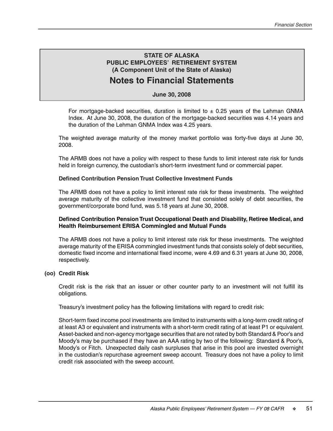# **Notes to Financial Statements**

**June 30, 2008**

For mortgage-backed securities, duration is limited to  $\pm$  0.25 years of the Lehman GNMA Index. At June 30, 2008, the duration of the mortgage-backed securities was 4.14 years and the duration of the Lehman GNMA Index was 4.25 years.

The weighted average maturity of the money market portfolio was forty-five days at June 30, 2008.

The ARMB does not have a policy with respect to these funds to limit interest rate risk for funds held in foreign currency, the custodian's short-term investment fund or commercial paper.

#### **Defined Contribution Pension Trust Collective Investment Funds**

The ARMB does not have a policy to limit interest rate risk for these investments. The weighted average maturity of the collective investment fund that consisted solely of debt securities, the government/corporate bond fund, was 5.18 years at June 30, 2008.

#### **Defined Contribution Pension Trust Occupational Death and Disability, Retiree Medical, and Health Reimbursement ERISA Commingled and Mutual Funds**

The ARMB does not have a policy to limit interest rate risk for these investments. The weighted average maturity of the ERISA commingled investment funds that consists solely of debt securities, domestic fixed income and international fixed income, were 4.69 and 6.31 years at June 30, 2008, respectively.

## **(oo) Credit Risk**

Credit risk is the risk that an issuer or other counter party to an investment will not fulfill its obligations.

Treasury's investment policy has the following limitations with regard to credit risk:

Short-term fixed income pool investments are limited to instruments with a long-term credit rating of at least A3 or equivalent and instruments with a short-term credit rating of at least P1 or equivalent. Asset-backed and non-agency mortgage securities that are not rated by both Standard & Poor's and Moody's may be purchased if they have an AAA rating by two of the following: Standard & Poor's, Moody's or Fitch. Unexpected daily cash surpluses that arise in this pool are invested overnight in the custodian's repurchase agreement sweep account. Treasury does not have a policy to limit credit risk associated with the sweep account.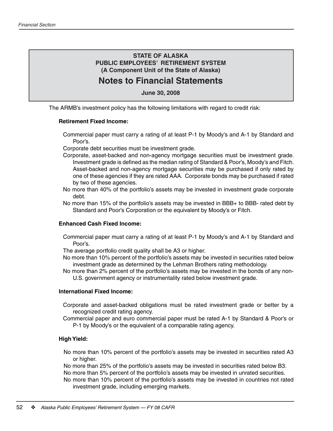# **Notes to Financial Statements**

**June 30, 2008**

The ARMB's investment policy has the following limitations with regard to credit risk:

#### **Retirement Fixed Income:**

- Commercial paper must carry a rating of at least P-1 by Moody's and A-1 by Standard and Poor's.
- Corporate debt securities must be investment grade.
- Corporate, asset-backed and non-agency mortgage securities must be investment grade. Investment grade is defined as the median rating of Standard & Poor's, Moody's and Fitch. Asset-backed and non-agency mortgage securities may be purchased if only rated by one of these agencies if they are rated AAA. Corporate bonds may be purchased if rated by two of these agencies.
- No more than 40% of the portfolio's assets may be invested in investment grade corporate debt.
- No more than 15% of the portfolio's assets may be invested in BBB+ to BBB- rated debt by Standard and Poor's Corporation or the equivalent by Moody's or Fitch.

#### **Enhanced Cash Fixed Income:**

- Commercial paper must carry a rating of at least P-1 by Moody's and A-1 by Standard and Poor's.
- The average portfolio credit quality shall be A3 or higher.
- No more than 10% percent of the portfolio's assets may be invested in securities rated below investment grade as determined by the Lehman Brothers rating methodology.
- No more than 2% percent of the portfolio's assets may be invested in the bonds of any non-U.S. government agency or instrumentality rated below investment grade.

#### **International Fixed Income:**

- Corporate and asset-backed obligations must be rated investment grade or better by a recognized credit rating agency.
- Commercial paper and euro commercial paper must be rated A-1 by Standard & Poor's or P-1 by Moody's or the equivalent of a comparable rating agency.

#### **High Yield:**

- No more than 10% percent of the portfolio's assets may be invested in securities rated A3 or higher.
- No more than 25% of the portfolio's assets may be invested in securities rated below B3.
- No more than 5% percent of the portfolio's assets may be invested in unrated securities.
- No more than 10% percent of the portfolio's assets may be invested in countries not rated investment grade, including emerging markets.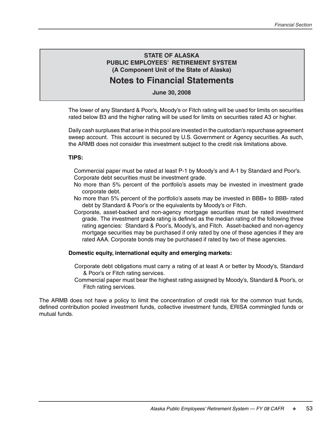# **Notes to Financial Statements**

**June 30, 2008**

The lower of any Standard & Poor's, Moody's or Fitch rating will be used for limits on securities rated below B3 and the higher rating will be used for limits on securities rated A3 or higher.

Daily cash surpluses that arise in this pool are invested in the custodian's repurchase agreement sweep account. This account is secured by U.S. Government or Agency securities. As such, the ARMB does not consider this investment subject to the credit risk limitations above.

## **TIPS:**

Commercial paper must be rated at least P-1 by Moody's and A-1 by Standard and Poor's. Corporate debt securities must be investment grade.

- No more than 5% percent of the portfolio's assets may be invested in investment grade corporate debt.
- No more than 5% percent of the portfolio's assets may be invested in BBB+ to BBB- rated debt by Standard & Poor's or the equivalents by Moody's or Fitch.
- Corporate, asset-backed and non-agency mortgage securities must be rated investment grade. The investment grade rating is defined as the median rating of the following three rating agencies: Standard & Poor's, Moody's, and Fitch. Asset-backed and non-agency mortgage securities may be purchased if only rated by one of these agencies if they are rated AAA. Corporate bonds may be purchased if rated by two of these agencies.

## **Domestic equity, international equity and emerging markets:**

- Corporate debt obligations must carry a rating of at least A or better by Moody's, Standard & Poor's or Fitch rating services.
- Commercial paper must bear the highest rating assigned by Moody's, Standard & Poor's, or Fitch rating services.

The ARMB does not have a policy to limit the concentration of credit risk for the common trust funds, defined contribution pooled investment funds, collective investment funds, ERISA commingled funds or mutual funds.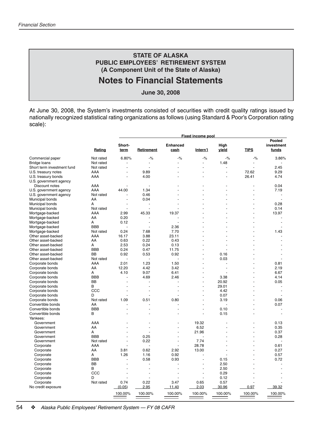# **Notes to Financial Statements**

**June 30, 2008**

At June 30, 2008, the System's investments consisted of securities with credit quality ratings issued by nationally recognized statistical rating organizations as follows (using Standard & Poor's Corporation rating scale):

|                            |            |                      |                      |                          | Fixed income pool    |                      |                      |                               |
|----------------------------|------------|----------------------|----------------------|--------------------------|----------------------|----------------------|----------------------|-------------------------------|
|                            | Rating     | Short-<br>term       | Retirement           | <b>Enhanced</b><br>cash  | Intern'l             | High<br>vield        | <b>TIPS</b>          | Pooled<br>investment<br>funds |
| Commercial paper           | Not rated  | 6.80%                | $-$ %                | $-$ %                    | $-$ %                | $-$ %                | $-$ %                | 3.86%                         |
| <b>Bridge loans</b>        | Not rated  |                      | $\blacksquare$       | $\ddot{\phantom{1}}$     | $\ddot{\phantom{1}}$ | 1.48                 | $\blacksquare$       | $\ddot{\phantom{1}}$          |
| Short term investment fund | Not rated  |                      |                      | $\ddot{\phantom{1}}$     |                      |                      |                      | 2.45                          |
| U.S. treasury notes        | AAA        | Ē.                   | 9.89                 | $\sim$                   | $\ddot{\phantom{1}}$ | $\ddot{\phantom{1}}$ | 72.62                | 9.29                          |
| U.S. treasury bonds        | AAA        | $\ddot{\phantom{1}}$ | 4.00                 |                          | ÷                    | $\overline{a}$       | 26.41                | 4.74                          |
| U.S. government agency     |            |                      |                      |                          |                      |                      |                      |                               |
| Discount notes             | AAA        |                      |                      |                          |                      |                      |                      | 0.04                          |
| U.S. government agency     | AAA        | 44.00                | 1.34                 |                          |                      |                      |                      | 7.19                          |
| U.S. government agency     | Not rated  |                      | 0.46                 |                          |                      |                      |                      | $\blacksquare$                |
| Municipal bonds            | AA         | $\ddot{\phantom{1}}$ | 0.04                 | $\overline{a}$           |                      | L                    |                      | ÷.                            |
| Municipal bonds            | A          |                      |                      |                          |                      |                      |                      | 0.28                          |
| Municipal bonds            | Not rated  |                      |                      |                          |                      |                      |                      | 0.14                          |
| Mortgage-backed            | AAA        | 2.99                 | 45.33                | 19.37                    |                      |                      |                      | 13.97                         |
| Mortgage-backed            | AA         | 0.20                 |                      |                          |                      |                      |                      |                               |
| Mortgage-backed            | A          | 0.12                 |                      |                          |                      |                      |                      | ÷,                            |
| Mortgage-backed            | <b>BBB</b> |                      | $\ddot{\phantom{1}}$ | 2.36                     |                      |                      |                      |                               |
| Mortgage-backed            | Not rated  | 0.24                 | 7.68                 | 7.70                     |                      |                      |                      | 1.43                          |
| Other asset-backed         | AAA        | 16.17                | 3.88                 | 23.11                    |                      | L,                   |                      |                               |
| Other asset-backed         | AA         | 0.63                 | 0.22                 | 0.43                     |                      |                      |                      |                               |
| Other asset-backed         | A          | 2.53                 | 0.24                 | 0.13                     |                      |                      |                      |                               |
| Other asset-backed         | <b>BBB</b> | 0.24                 | 0.47                 | 11.75                    |                      |                      |                      |                               |
|                            | <b>BB</b>  |                      |                      |                          | $\ddot{\phantom{1}}$ |                      |                      |                               |
| Other asset-backed         | Not rated  | 0.92                 | 0.53                 | 0.92<br>$\overline{a}$   | ÷.                   | 0.16                 |                      |                               |
| Other asset-backed         |            |                      | 1.23                 |                          |                      | 0.03                 |                      |                               |
| Corporate bonds            | AAA        | 2.01                 |                      | 1.50                     |                      |                      |                      | 0.81                          |
| Corporate bonds            | AA         | 12.20                | 4.42                 | 3.42                     |                      | Ĭ.                   |                      | 2.19                          |
| Corporate bonds            | A          | 4.10                 | 9.07                 | 6.41                     |                      |                      |                      | 6.67                          |
| Corporate bonds            | <b>BBB</b> |                      | 4.69                 | 2.46                     |                      | 3.38                 |                      | 4.14                          |
| Corporate bonds            | <b>BB</b>  |                      |                      |                          | ä,                   | 20.92                |                      | 0.05                          |
| Corporate bonds            | В          |                      |                      | $\overline{a}$           | $\ddot{\phantom{1}}$ | 29.01                |                      |                               |
| Corporate bonds            | CCC        | L.                   |                      | $\overline{\phantom{a}}$ | $\overline{a}$       | 4.42                 |                      | ÷                             |
| Corporate bonds            | D          |                      |                      |                          | ÷                    | 0.07                 |                      |                               |
| Corporate bonds            | Not rated  | 1.09                 | 0.51                 | 0.80                     |                      | 3.19                 |                      | 0.06                          |
| Convertible bonds          | AA         |                      |                      |                          |                      |                      |                      | 0.07                          |
| Convertible bonds          | <b>BBB</b> |                      |                      | ÷.                       |                      | 0.10                 |                      |                               |
| Convertible bonds          | B          |                      |                      |                          | $\ddot{\phantom{1}}$ | 0.15                 | ÷                    | $\ddot{\phantom{1}}$          |
| Yankees:                   |            |                      |                      |                          |                      |                      |                      |                               |
| Government                 | AAA        |                      |                      |                          | 19.32                |                      |                      | 0.13                          |
| Government                 | AA         |                      |                      |                          | 6.52                 |                      |                      | 0.35                          |
| Government                 | A          |                      |                      | ÷,                       | 21.96                |                      |                      | 0.37                          |
| Government                 | <b>BBB</b> |                      | 0.25                 | ÷.                       |                      |                      |                      | 0.28                          |
| Government                 | Not rated  | L,                   | 0.22                 | ÷.                       | 7.74                 |                      |                      |                               |
| Corporate                  | AAA        |                      |                      | $\sim$                   | 28.78                |                      |                      | 0.61                          |
| Corporate                  | AA         | 3.81                 | 0.62                 | 2.92                     | 13.00                | L.                   |                      | 0.27                          |
| Corporate                  | А          | 1.26                 | 1.16                 | 0.92                     | ÷.                   | L.                   |                      | 0.57                          |
| Corporate                  | <b>BBB</b> | $\overline{a}$       | 0.58                 | 0.93                     | ä,                   | 0.15                 |                      | 0.72                          |
| Corporate                  | <b>BB</b>  |                      |                      |                          |                      | 2.50                 |                      |                               |
| Corporate                  | B          |                      |                      |                          | $\blacksquare$       | 2.50                 |                      |                               |
| Corporate                  | CCC        | L.                   |                      | $\overline{\phantom{a}}$ | $\blacksquare$       | 0.29                 | ÷                    |                               |
| Corporate                  | D          |                      |                      |                          | $\overline{a}$       | 0.12                 | $\ddot{\phantom{1}}$ |                               |
| Corporate                  | Not rated  | 0.74                 | 0.22                 | 3.47                     | 0.65                 | 0.57                 |                      |                               |
| No credit exposure         |            | (0.05)               | 2.95                 | 11.40                    | 2.03                 | 30.96                | 0.97                 | 39.32                         |
|                            |            | 100.00%              | 100.00%              | 100.00%                  | 100.00%              | 100.00%              | 100.00%              | 100.00%                       |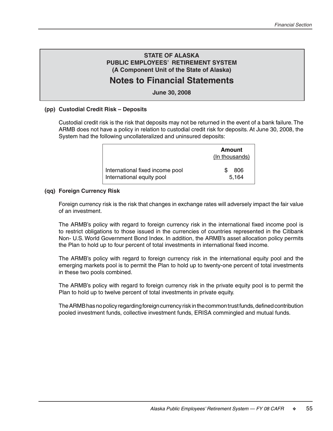# **Notes to Financial Statements**

**June 30, 2008**

## **(pp) Custodial Credit Risk – Deposits**

Custodial credit risk is the risk that deposits may not be returned in the event of a bank failure. The ARMB does not have a policy in relation to custodial credit risk for deposits. At June 30, 2008, the System had the following uncollateralized and uninsured deposits:

|                                                              | Amount<br>(In thousands) |
|--------------------------------------------------------------|--------------------------|
| International fixed income pool<br>International equity pool | 806<br>5.164             |

## **(qq) Foreign Currency Risk**

Foreign currency risk is the risk that changes in exchange rates will adversely impact the fair value of an investment.

The ARMB's policy with regard to foreign currency risk in the international fixed income pool is to restrict obligations to those issued in the currencies of countries represented in the Citibank Non- U.S. World Government Bond Index. In addition, the ARMB's asset allocation policy permits the Plan to hold up to four percent of total investments in international fixed income.

The ARMB's policy with regard to foreign currency risk in the international equity pool and the emerging markets pool is to permit the Plan to hold up to twenty-one percent of total investments in these two pools combined.

The ARMB's policy with regard to foreign currency risk in the private equity pool is to permit the Plan to hold up to twelve percent of total investments in private equity.

The ARMB has no policy regarding foreign currency risk in the common trust funds, defined contribution pooled investment funds, collective investment funds, ERISA commingled and mutual funds.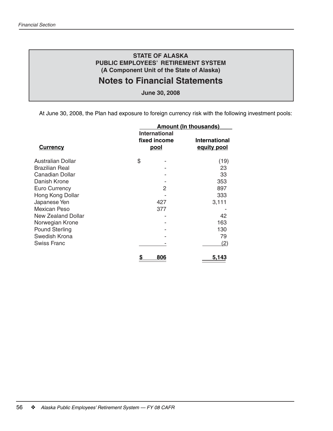# **Notes to Financial Statements**

**June 30, 2008**

At June 30, 2008, the Plan had exposure to foreign currency risk with the following investment pools:

|                       | <b>Amount (In thousands)</b>                        |                                     |  |  |  |
|-----------------------|-----------------------------------------------------|-------------------------------------|--|--|--|
| <b>Currency</b>       | <b>International</b><br>fixed income<br><u>pool</u> | <b>International</b><br>equity pool |  |  |  |
| Australian Dollar     | \$                                                  | (19)                                |  |  |  |
| Brazilian Real        |                                                     | 23                                  |  |  |  |
| Canadian Dollar       |                                                     | 33                                  |  |  |  |
| Danish Krone          |                                                     | 353                                 |  |  |  |
| <b>Euro Currency</b>  | 2                                                   | 897                                 |  |  |  |
| Hong Kong Dollar      |                                                     | 333                                 |  |  |  |
| Japanese Yen          | 427                                                 | 3,111                               |  |  |  |
| Mexican Peso          | 377                                                 |                                     |  |  |  |
| New Zealand Dollar    |                                                     | 42                                  |  |  |  |
| Norwegian Krone       |                                                     | 163                                 |  |  |  |
| <b>Pound Sterling</b> |                                                     | 130                                 |  |  |  |
| Swedish Krona         |                                                     | 79                                  |  |  |  |
| Swiss Franc           |                                                     | (2)                                 |  |  |  |
|                       | S<br>806                                            | 5,143                               |  |  |  |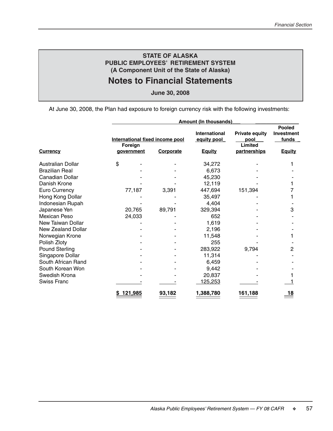# **Notes to Financial Statements**

**June 30, 2008**

At June 30, 2008, the Plan had exposure to foreign currency risk with the following investments:

|                           | <b>Amount (In thousands)</b>                             |           |                                               |                                                          |                                                       |
|---------------------------|----------------------------------------------------------|-----------|-----------------------------------------------|----------------------------------------------------------|-------------------------------------------------------|
| <b>Currency</b>           | International fixed income pool<br>Foreign<br>government | Corporate | International<br>equity pool<br><b>Equity</b> | <b>Private equity</b><br>bool<br>Limited<br>partnerships | <b>Pooled</b><br>Investment<br>funds<br><b>Equity</b> |
| Australian Dollar         | \$                                                       |           | 34,272                                        |                                                          |                                                       |
| <b>Brazilian Real</b>     |                                                          |           | 6,673                                         |                                                          |                                                       |
| <b>Canadian Dollar</b>    |                                                          |           | 45,230                                        |                                                          |                                                       |
| Danish Krone              |                                                          |           | 12,119                                        |                                                          |                                                       |
| Euro Currency             | 77,187                                                   | 3,391     | 447,694                                       | 151,394                                                  |                                                       |
| Hong Kong Dollar          |                                                          |           | 35,497                                        |                                                          |                                                       |
| Indonesian Rupah          |                                                          |           | 4,404                                         |                                                          |                                                       |
| Japanese Yen              | 20,765                                                   | 89,791    | 329,394                                       |                                                          | 3                                                     |
| Mexican Peso              | 24,033                                                   |           | 652                                           |                                                          |                                                       |
| New Taiwan Dollar         |                                                          |           | 1,619                                         |                                                          |                                                       |
| <b>New Zealand Dollar</b> |                                                          |           | 2,196                                         |                                                          |                                                       |
| Norwegian Krone           |                                                          |           | 11,548                                        |                                                          |                                                       |
| Polish Zloty              |                                                          |           | 255                                           |                                                          |                                                       |
| <b>Pound Sterling</b>     |                                                          |           | 283,922                                       | 9,794                                                    | 2                                                     |
| Singapore Dollar          |                                                          |           | 11,314                                        |                                                          |                                                       |
| South African Rand        |                                                          |           | 6,459                                         |                                                          |                                                       |
| South Korean Won          |                                                          |           | 9,442                                         |                                                          |                                                       |
| Swedish Krona             |                                                          |           | 20,837                                        |                                                          |                                                       |
| <b>Swiss Franc</b>        |                                                          |           | 125,253                                       |                                                          |                                                       |
|                           | 121,985                                                  | 93,182    | 1,388,780                                     | 161,188                                                  | 18                                                    |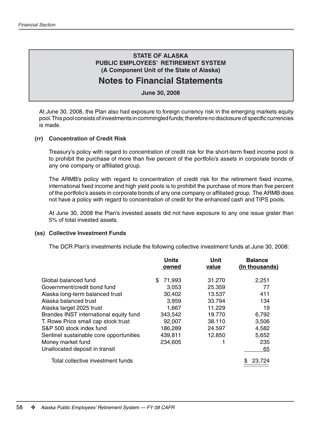# **Notes to Financial Statements**

**June 30, 2008**

At June 30, 2008, the Plan also had exposure to foreign currency risk in the emerging markets equity pool. This pool consists of investments in commingled funds; therefore no disclosure of specific currencies is made.

#### **(rr) Concentration of Credit Risk**

Treasury's policy with regard to concentration of credit risk for the short-term fixed income pool is to prohibit the purchase of more than five percent of the portfolio's assets in corporate bonds of any one company or affiliated group.

The ARMB's policy with regard to concentration of credit risk for the retirement fixed income, international fixed income and high yield pools is to prohibit the purchase of more than five percent of the portfolio's assets in corporate bonds of any one company or affiliated group. The ARMB does not have a policy with regard to concentration of credit for the enhanced cash and TIPS pools.

At June 30, 2008 the Plan's invested assets did not have exposure to any one issue grater than 5% of total invested assets.

#### **(ss) Collective Investment Funds**

The DCR Plan's investments include the following collective investment funds at June 30, 2008:

|                                         | <b>Units</b><br>owned | Unit<br>value | <b>Balance</b><br>(In thousands) |
|-----------------------------------------|-----------------------|---------------|----------------------------------|
| Global balanced fund                    | 71,993<br>\$          | 31.270        | 2,251                            |
| Government/credit bond fund             | 3,053                 | 25.359        | 77                               |
| Alaska long-term balanced trust         | 30,402                | 13.537        | 411                              |
| Alaska balanced trust                   | 3,959                 | 33.794        | 134                              |
| Alaska target 2025 trust                | 1,667                 | 11.229        | 19                               |
| Brandes INST international equity fund  | 343,542               | 19.770        | 6,792                            |
| T. Rowe Price small cap stock trust     | 92,007                | 38.110        | 3,506                            |
| S&P 500 stock index fund                | 186,289               | 24.597        | 4,582                            |
| Sentinel sustainable core opportunities | 439,811               | 12.850        | 5,652                            |
| Money market fund                       | 234,605               |               | 235                              |
| Unallocated deposit in transit          |                       |               | 65                               |
| Total collective investment funds       |                       |               | 23,724<br>S                      |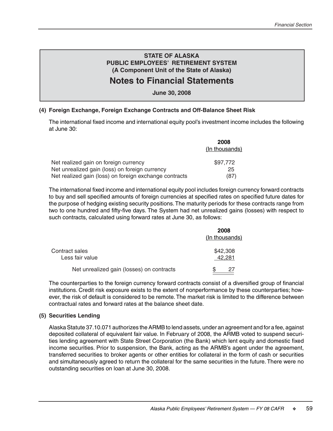# **Notes to Financial Statements**

**June 30, 2008**

## **(4) Foreign Exchange, Foreign Exchange Contracts and Off-Balance Sheet Risk**

The international fixed income and international equity pool's investment income includes the following at June 30:

|                                                        | 2008           |
|--------------------------------------------------------|----------------|
|                                                        | (In thousands) |
| Net realized gain on foreign currency                  | \$97,772       |
| Net unrealized gain (loss) on foreign currency         | 25             |
| Net realized gain (loss) on foreign exchange contracts | (87)           |

The international fixed income and international equity pool includes foreign currency forward contracts to buy and sell specified amounts of foreign currencies at specified rates on specified future dates for the purpose of hedging existing security positions. The maturity periods for these contracts range from two to one hundred and fifty-five days. The System had net unrealized gains (losses) with respect to such contracts, calculated using forward rates at June 30, as follows:

|                                           | 2008           |
|-------------------------------------------|----------------|
|                                           | (In thousands) |
| Contract sales                            | \$42,308       |
| Less fair value                           | 42,281         |
| Net unrealized gain (losses) on contracts | 27             |

The counterparties to the foreign currency forward contracts consist of a diversified group of financial institutions. Credit risk exposure exists to the extent of nonperformance by these counterparties; however, the risk of default is considered to be remote. The market risk is limited to the difference between contractual rates and forward rates at the balance sheet date.

## **(5) Securities Lending**

Alaska Statute 37.10.071 authorizes the ARMB to lend assets, under an agreement and for a fee, against deposited collateral of equivalent fair value. In February of 2008, the ARMB voted to suspend securities lending agreement with State Street Corporation (the Bank) which lent equity and domestic fixed income securities. Prior to suspension, the Bank, acting as the ARMB's agent under the agreement, transferred securities to broker agents or other entities for collateral in the form of cash or securities and simultaneously agreed to return the collateral for the same securities in the future. There were no outstanding securities on loan at June 30, 2008.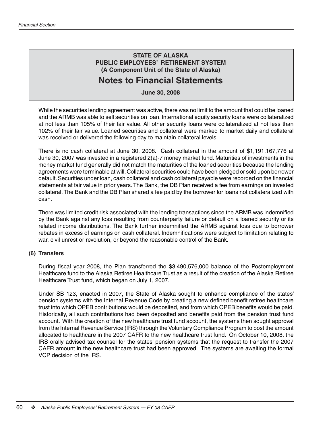## **Notes to Financial Statements**

**June 30, 2008**

While the securities lending agreement was active, there was no limit to the amount that could be loaned and the ARMB was able to sell securities on loan. International equity security loans were collateralized at not less than 105% of their fair value. All other security loans were collateralized at not less than 102% of their fair value. Loaned securities and collateral were marked to market daily and collateral was received or delivered the following day to maintain collateral levels.

There is no cash collateral at June 30, 2008. Cash collateral in the amount of \$1,191,167,776 at June 30, 2007 was invested in a registered 2(a)-7 money market fund. Maturities of investments in the money market fund generally did not match the maturities of the loaned securities because the lending agreements were terminable at will. Collateral securities could have been pledged or sold upon borrower default. Securities under loan, cash collateral and cash collateral payable were recorded on the financial statements at fair value in prior years. The Bank, the DB Plan received a fee from earnings on invested collateral. The Bank and the DB Plan shared a fee paid by the borrower for loans not collateralized with cash.

There was limited credit risk associated with the lending transactions since the ARMB was indemnified by the Bank against any loss resulting from counterparty failure or default on a loaned security or its related income distributions. The Bank further indemnified the ARMB against loss due to borrower rebates in excess of earnings on cash collateral. Indemnifications were subject to limitation relating to war, civil unrest or revolution, or beyond the reasonable control of the Bank.

#### **(6) Transfers**

During fiscal year 2008, the Plan transferred the \$3,490,576,000 balance of the Postemployment Healthcare fund to the Alaska Retiree Healthcare Trust as a result of the creation of the Alaska Retiree Healthcare Trust fund, which began on July 1, 2007.

Under SB 123, enacted in 2007, the State of Alaska sought to enhance compliance of the states' pension systems with the Internal Revenue Code by creating a new defined benefit retiree healthcare trust into which OPEB contributions would be deposited, and from which OPEB benefits would be paid. Historically, all such contributions had been deposited and benefits paid from the pension trust fund account. With the creation of the new healthcare trust fund account, the systems then sought approval from the Internal Revenue Service (IRS) through the Voluntary Compliance Program to post the amount allocated to healthcare in the 2007 CAFR to the new healthcare trust fund. On October 10, 2008, the IRS orally advised tax counsel for the states' pension systems that the request to transfer the 2007 CAFR amount in the new healthcare trust had been approved. The systems are awaiting the formal VCP decision of the IRS.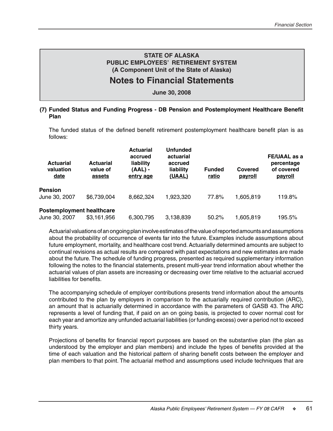## **Notes to Financial Statements**

**June 30, 2008**

#### **(7) Funded Status and Funding Progress - DB Pension and Postemployment Healthcare Benefi t Plan**

The funded status of the defined benefit retirement postemployment healthcare benefit plan is as follows:

| <b>Actuarial</b><br>valuation<br>date | <b>Actuarial</b><br>value of<br>assets | <b>Actuarial</b><br>accrued<br>liability<br>(AAL) -<br>entry age | <b>Unfunded</b><br>actuarial<br>accrued<br>liability<br>(UAAL) | <b>Funded</b><br>ratio | Covered<br>payroll | <b>FE/UAAL as a</b><br>percentage<br>of covered<br>payroll |
|---------------------------------------|----------------------------------------|------------------------------------------------------------------|----------------------------------------------------------------|------------------------|--------------------|------------------------------------------------------------|
| <b>Pension</b>                        |                                        |                                                                  |                                                                |                        |                    |                                                            |
| June 30, 2007                         | \$6,739,004                            | 8,662,324                                                        | 1,923,320                                                      | 77.8%                  | 1,605,819          | 119.8%                                                     |
| <b>Postemployment healthcare</b>      |                                        |                                                                  |                                                                |                        |                    |                                                            |
| June 30, 2007                         | \$3,161,956                            | 6,300,795                                                        | 3,138,839                                                      | 50.2%                  | 1,605,819          | 195.5%                                                     |

Actuarial valuations of an ongoing plan involve estimates of the value of reported amounts and assumptions about the probability of occurrence of events far into the future. Examples include assumptions about future employment, mortality, and healthcare cost trend. Actuarially determined amounts are subject to continual revisions as actual results are compared with past expectations and new estimates are made about the future. The schedule of funding progress, presented as required supplementary information following the notes to the financial statements, present multi-year trend information about whether the actuarial values of plan assets are increasing or decreasing over time relative to the actuarial accrued liabilities for benefits.

The accompanying schedule of employer contributions presents trend information about the amounts contributed to the plan by employers in comparison to the actuarially required contribution (ARC), an amount that is actuarially determined in accordance with the parameters of GASB 43. The ARC represents a level of funding that, if paid on an on going basis, is projected to cover normal cost for each year and amortize any unfunded actuarial liabilities (or funding excess) over a period not to exceed thirty years.

Projections of benefits for financial report purposes are based on the substantive plan (the plan as understood by the employer and plan members) and include the types of benefits provided at the time of each valuation and the historical pattern of sharing benefit costs between the employer and plan members to that point. The actuarial method and assumptions used include techniques that are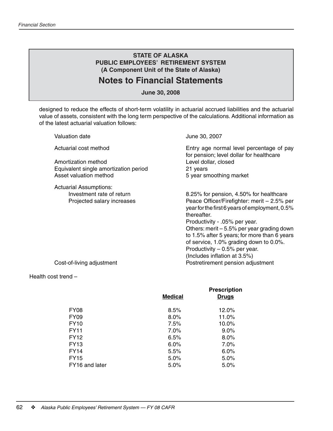# **Notes to Financial Statements**

**June 30, 2008**

designed to reduce the effects of short-term volatility in actuarial accrued liabilities and the actuarial value of assets, consistent with the long term perspective of the calculations. Additional information as of the latest actuarial valuation follows:

| Valuation date                        | June 30, 2007                                                                        |
|---------------------------------------|--------------------------------------------------------------------------------------|
| Actuarial cost method                 | Entry age normal level percentage of pay<br>for pension; level dollar for healthcare |
| Amortization method                   | Level dollar, closed                                                                 |
| Equivalent single amortization period | 21 years                                                                             |
| Asset valuation method                | 5 year smoothing market                                                              |
| <b>Actuarial Assumptions:</b>         |                                                                                      |
| Investment rate of return             | 8.25% for pension, 4.50% for healthcare                                              |
| Projected salary increases            | Peace Officer/Firefighter: merit - 2.5% per                                          |
|                                       | year for the first 6 years of employment, 0.5%<br>thereafter.                        |
|                                       | Productivity - .05% per year.                                                        |
|                                       | Others: merit $-5.5\%$ per year grading down                                         |
|                                       | to 1.5% after 5 years; for more than 6 years                                         |
|                                       | of service, 1.0% grading down to 0.0%.                                               |
|                                       | Productivity $-0.5%$ per year.                                                       |
|                                       | (Includes inflation at 3.5%)                                                         |
| Cost-of-living adjustment             | Postretirement pension adjustment                                                    |

Health cost trend –

|                | <b>Prescription</b> |
|----------------|---------------------|
| <b>Medical</b> | <b>Drugs</b>        |
|                | 12.0%               |
| 8.0%           | 11.0%               |
| 7.5%           | 10.0%               |
| 7.0%           | 9.0%                |
| 6.5%           | 8.0%                |
| 6.0%           | $7.0\%$             |
| 5.5%           | 6.0%                |
| 5.0%           | 5.0%                |
| 5.0%           | 5.0%                |
|                | 8.5%                |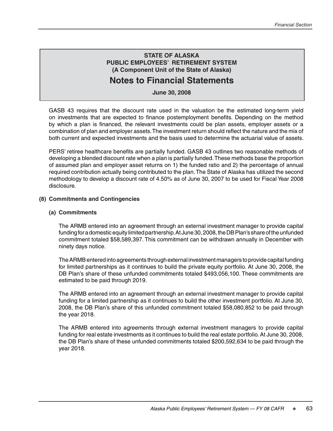# **Notes to Financial Statements**

**June 30, 2008**

GASB 43 requires that the discount rate used in the valuation be the estimated long-term yield on investments that are expected to finance postemployment benefits. Depending on the method by which a plan is financed, the relevant investments could be plan assets, employer assets or a combination of plan and employer assets. The investment return should reflect the nature and the mix of both current and expected investments and the basis used to determine the actuarial value of assets.

PERS' retiree healthcare benefits are partially funded. GASB 43 outlines two reasonable methods of developing a blended discount rate when a plan is partially funded. These methods base the proportion of assumed plan and employer asset returns on 1) the funded ratio and 2) the percentage of annual required contribution actually being contributed to the plan. The State of Alaska has utilized the second methodology to develop a discount rate of 4.50% as of June 30, 2007 to be used for Fiscal Year 2008 disclosure.

## **(8) Commitments and Contingencies**

#### **(a) Commitments**

The ARMB entered into an agreement through an external investment manager to provide capital funding for a domestic equity limited partnership. At June 30, 2008, the DB Plan's share of the unfunded commitment totaled \$58,589,397. This commitment can be withdrawn annually in December with ninety days notice.

The ARMB entered into agreements through external investment managers to provide capital funding for limited partnerships as it continues to build the private equity portfolio. At June 30, 2008, the DB Plan's share of these unfunded commitments totaled \$493,056,100. These commitments are estimated to be paid through 2019.

The ARMB entered into an agreement through an external investment manager to provide capital funding for a limited partnership as it continues to build the other investment portfolio. At June 30, 2008, the DB Plan's share of this unfunded commitment totaled \$58,080,852 to be paid through the year 2018.

The ARMB entered into agreements through external investment managers to provide capital funding for real estate investments as it continues to build the real estate portfolio. At June 30, 2008, the DB Plan's share of these unfunded commitments totaled \$200,592,634 to be paid through the year 2018.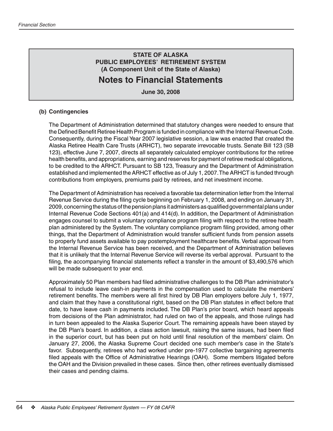# **Notes to Financial Statements**

**June 30, 2008**

#### **(b) Contingencies**

The Department of Administration determined that statutory changes were needed to ensure that the Defined Benefit Retiree Health Program is funded in compliance with the Internal Revenue Code. Consequently, during the Fiscal Year 2007 legislative session, a law was enacted that created the Alaska Retiree Health Care Trusts (ARHCT), two separate irrevocable trusts. Senate Bill 123 (SB 123), effective June 7, 2007, directs all separately calculated employer contributions for the retiree health benefits, and appropriations, earning and reserves for payment of retiree medical obligations, to be credited to the ARHCT. Pursuant to SB 123, Treasury and the Department of Administration established and implemented the ARHCT effective as of July 1, 2007. The ARHCT is funded through contributions from employers, premiums paid by retirees, and net investment income.

The Department of Administration has received a favorable tax determination letter from the Internal Revenue Service during the filing cycle beginning on February 1, 2008, and ending on January 31, 2009, concerning the status of the pension plans it administers as qualified governmental plans under Internal Revenue Code Sections 401(a) and 414(d). In addition, the Department of Administration engages counsel to submit a voluntary compliance program filing with respect to the retiree health plan administered by the System. The voluntary compliance program filing provided, among other things, that the Department of Administration would transfer sufficient funds from pension assets to properly fund assets available to pay postemployment healthcare benefits. Verbal approval from the Internal Revenue Service has been received, and the Department of Administration believes that it is unlikely that the Internal Revenue Service will reverse its verbal approval. Pursuant to the filing, the accompanying financial statements reflect a transfer in the amount of \$3,490,576 which will be made subsequent to year end.

Approximately 50 Plan members had filed administrative challenges to the DB Plan administrator's refusal to include leave cash-in payments in the compensation used to calculate the members' retirement benefits. The members were all first hired by DB Plan employers before July 1, 1977, and claim that they have a constitutional right, based on the DB Plan statutes in effect before that date, to have leave cash in payments included. The DB Plan's prior board, which heard appeals from decisions of the Plan administrator, had ruled on two of the appeals, and those rulings had in turn been appealed to the Alaska Superior Court. The remaining appeals have been stayed by the DB Plan's board. In addition, a class action lawsuit, raising the same issues, had been filed in the superior court, but has been put on hold until final resolution of the members' claim. On January 27, 2006, the Alaska Supreme Court decided one such member's case in the State's favor. Subsequently, retirees who had worked under pre-1977 collective bargaining agreements filed appeals with the Office of Administrative Hearings (OAH). Some members litigated before the OAH and the Division prevailed in these cases. Since then, other retirees eventually dismissed their cases and pending claims.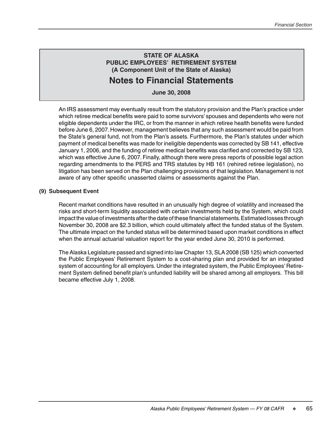# **Notes to Financial Statements**

**June 30, 2008**

An IRS assessment may eventually result from the statutory provision and the Plan's practice under which retiree medical benefits were paid to some survivors' spouses and dependents who were not eligible dependents under the IRC, or from the manner in which retiree health benefits were funded before June 6, 2007. However, management believes that any such assessment would be paid from the State's general fund, not from the Plan's assets. Furthermore, the Plan's statutes under which payment of medical benefits was made for ineligible dependents was corrected by SB 141, effective January 1, 2006, and the funding of retiree medical benefits was clarified and corrected by SB 123, which was effective June 6, 2007. Finally, although there were press reports of possible legal action regarding amendments to the PERS and TRS statutes by HB 161 (rehired retiree legislation), no litigation has been served on the Plan challenging provisions of that legislation. Management is not aware of any other specific unasserted claims or assessments against the Plan.

### **(9) Subsequent Event**

Recent market conditions have resulted in an unusually high degree of volatility and increased the risks and short-term liquidity associated with certain investments held by the System, which could impact the value of investments after the date of these financial statements. Estimated losses through November 30, 2008 are \$2.3 billion, which could ultimately affect the funded status of the System. The ultimate impact on the funded status will be determined based upon market conditions in effect when the annual actuarial valuation report for the year ended June 30, 2010 is performed.

The Alaska Legislature passed and signed into law Chapter 13, SLA 2008 (SB 125) which converted the Public Employees' Retirement System to a cost-sharing plan and provided for an integrated system of accounting for all employers. Under the integrated system, the Public Employees' Retirement System defined benefit plan's unfunded liability will be shared among all employers. This bill became effective July 1, 2008.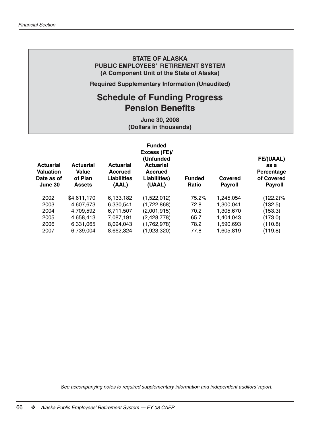**Required Supplementary Information (Unaudited)**

# **Schedule of Funding Progress Pension Benefits**

**June 30, 2008 (Dollars in thousands)**

| <b>Actuarial</b><br><b>Valuation</b><br>Date as of<br>June 30 | <b>Actuarial</b><br>Value<br>of Plan<br><b>Assets</b> | <b>Actuarial</b><br><b>Accrued</b><br><b>Liabilities</b><br>(AAL) | <b>Funded</b><br>Excess (FE)/<br>(Unfunded<br><b>Actuarial</b><br><b>Accrued</b><br><b>Liabilities)</b><br>(UAAL) | <b>Funded</b><br>Ratio | Covered<br><b>Payroll</b> | <b>FE/(UAAL)</b><br>as a<br>Percentage<br>of Covered<br><b>Payroll</b> |
|---------------------------------------------------------------|-------------------------------------------------------|-------------------------------------------------------------------|-------------------------------------------------------------------------------------------------------------------|------------------------|---------------------------|------------------------------------------------------------------------|
| 2002                                                          | \$4,611,170                                           | 6.133.182                                                         | (1,522,012)                                                                                                       | 75.2%                  | 1,245,054                 | (122.2)%                                                               |
| 2003                                                          | 4.607.673                                             | 6.330.541                                                         | (1,722,868)                                                                                                       | 72.8                   | 1.300.041                 | (132.5)                                                                |
| 2004                                                          | 4,709,592                                             | 6,711,507                                                         | (2,001,915)                                                                                                       | 70.2                   | 1,305,670                 | (153.3)                                                                |
| 2005                                                          | 4,658,413                                             | 7,087,191                                                         | (2,428,778)                                                                                                       | 65.7                   | 1,404,043                 | (173.0)                                                                |
| 2006                                                          | 6.331.065                                             | 8.094.043                                                         | (1,762,978)                                                                                                       | 78.2                   | 1,590,693                 | (110.8)                                                                |
| 2007                                                          | 6,739,004                                             | 8,662,324                                                         | (1,923,320)                                                                                                       | 77.8                   | 1,605,819                 | (119.8)                                                                |

*See accompanying notes to required supplementary information and independent auditors' report.*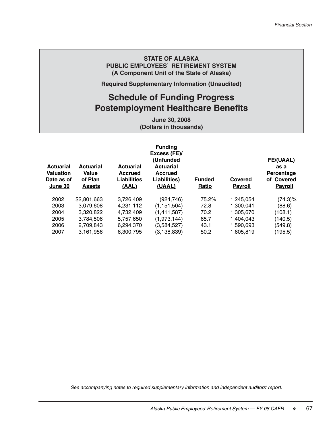**Required Supplementary Information (Unaudited)**

# **Schedule of Funding Progress Postemployment Healthcare Benefits**

**June 30, 2008 (Dollars in thousands)**

| <b>Actuarial</b><br><b>Valuation</b><br>Date as of<br>June 30 | <b>Actuarial</b><br>Value<br>of Plan<br><b>Assets</b> | <b>Actuarial</b><br>Accrued<br><b>Liabilities</b><br>(AAL) | <b>Funding</b><br>Excess (FE)/<br>(Unfunded<br><b>Actuarial</b><br><b>Accrued</b><br><b>Liabilities)</b><br>(UAAL) | <b>Funded</b><br><b>Ratio</b> | Covered<br><b>Payroll</b> | <b>FE/(UAAL)</b><br>as a<br>Percentage<br>of Covered<br><b>Payroll</b> |
|---------------------------------------------------------------|-------------------------------------------------------|------------------------------------------------------------|--------------------------------------------------------------------------------------------------------------------|-------------------------------|---------------------------|------------------------------------------------------------------------|
| 2002                                                          | \$2,801,663                                           | 3.726.409                                                  | (924, 746)                                                                                                         | 75.2%                         | 1,245,054                 | $(74.3)\%$                                                             |
| 2003                                                          | 3.079.608                                             | 4.231.112                                                  | (1, 151, 504)                                                                                                      | 72.8                          | 1,300,041                 | (88.6)                                                                 |
| 2004                                                          | 3.320.822                                             | 4.732.409                                                  | (1, 411, 587)                                                                                                      | 70.2                          | 1,305,670                 | (108.1)                                                                |
| 2005                                                          | 3.784.506                                             | 5.757.650                                                  | (1,973,144)                                                                                                        | 65.7                          | 1.404.043                 | (140.5)                                                                |
| 2006                                                          | 2,709,843                                             | 6,294,370                                                  | (3,584,527)                                                                                                        | 43.1                          | 1,590,693                 | (549.8)                                                                |
| 2007                                                          | 3,161,956                                             | 6,300,795                                                  | (3,138,839)                                                                                                        | 50.2                          | 1,605,819                 | (195.5)                                                                |

*See accompanying notes to required supplementary information and independent auditors' report.*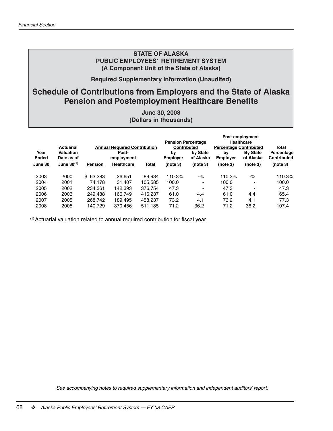**Required Supplementary Information (Unaudited)**

# **Schedule of Contributions from Employers and the State of Alaska Pension and Postemployment Healthcare Benefits**

**June 30, 2008 (Dollars in thousands)**

|                      | <b>Actuarial</b>               |                | <b>Annual Required Contribution</b> |         | <b>Pension Percentage</b><br><b>Contributed</b> |                          | <b>Percentage Contributed</b> | Post-employment<br><b>Healthcare</b> | <b>Total</b>              |
|----------------------|--------------------------------|----------------|-------------------------------------|---------|-------------------------------------------------|--------------------------|-------------------------------|--------------------------------------|---------------------------|
| Year<br><b>Ended</b> | <b>Valuation</b><br>Date as of |                | Post-<br>employment                 |         | by<br><b>Employer</b>                           | by State<br>of Alaska    | bv<br><b>Employer</b>         | <b>By State</b><br>of Alaska         | Percentage<br>Contributed |
| June 30              | June $30^{(1)}$                | <b>Pension</b> | <b>Healthcare</b>                   | Total   | (note 3)                                        | (note 3)                 | (note 3)                      | (note 3)                             | (note 3)                  |
| 2003                 | 2000                           | 63.283<br>\$   | 26.651                              | 89.934  | 110.3%                                          | $-$ %                    | 110.3%                        | $-$ %                                | 110.3%                    |
| 2004                 | 2001                           | 74.178         | 31.407                              | 105.585 | 100.0                                           | ٠                        | 100.0                         | $\overline{\phantom{0}}$             | 100.0                     |
| 2005                 | 2002                           | 234,361        | 142.393                             | 376.754 | 47.3                                            | $\overline{\phantom{0}}$ | 47.3                          | -                                    | 47.3                      |
| 2006                 | 2003                           | 249.488        | 166.749                             | 416.237 | 61.0                                            | 4.4                      | 61.0                          | 4.4                                  | 65.4                      |
| 2007                 | 2005                           | 268.742        | 189.495                             | 458.237 | 73.2                                            | 4.1                      | 73.2                          | 4.1                                  | 77.3                      |
| 2008                 | 2005                           | 140,729        | 370.456                             | 511.185 | 71.2                                            | 36.2                     | 71.2                          | 36.2                                 | 107.4                     |

 $(1)$  Actuarial valuation related to annual required contribution for fiscal year.

*See accompanying notes to required supplementary information and independent auditors' report.*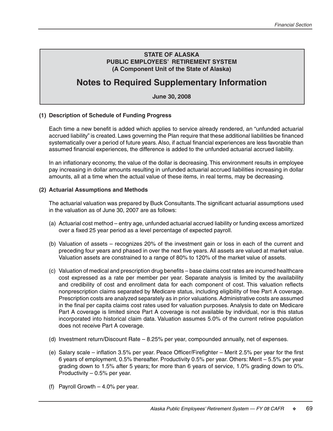# **Notes to Required Supplementary Information**

**June 30, 2008**

# **(1) Description of Schedule of Funding Progress**

Each time a new benefit is added which applies to service already rendered, an "unfunded actuarial accrued liability" is created. Laws governing the Plan require that these additional liabilities be financed systematically over a period of future years. Also, if actual financial experiences are less favorable than assumed financial experiences, the difference is added to the unfunded actuarial accrued liability.

In an inflationary economy, the value of the dollar is decreasing. This environment results in employee pay increasing in dollar amounts resulting in unfunded actuarial accrued liabilities increasing in dollar amounts, all at a time when the actual value of these items, in real terms, may be decreasing.

### **(2) Actuarial Assumptions and Methods**

The actuarial valuation was prepared by Buck Consultants. The significant actuarial assumptions used in the valuation as of June 30, 2007 are as follows:

- (a) Actuarial cost method entry age, unfunded actuarial accrued liability or funding excess amortized over a fixed 25 year period as a level percentage of expected payroll.
- (b) Valuation of assets recognizes 20% of the investment gain or loss in each of the current and preceding four years and phased in over the next five years. All assets are valued at market value. Valuation assets are constrained to a range of 80% to 120% of the market value of assets.
- (c) Valuation of medical and prescription drug benefits base claims cost rates are incurred healthcare cost expressed as a rate per member per year. Separate analysis is limited by the availability and credibility of cost and enrollment data for each component of cost. This valuation reflects nonprescription claims separated by Medicare status, including eligibility of free Part A coverage. Prescription costs are analyzed separately as in prior valuations. Administrative costs are assumed in the final per capita claims cost rates used for valuation purposes. Analysis to date on Medicare Part A coverage is limited since Part A coverage is not available by individual, nor is this status incorporated into historical claim data. Valuation assumes 5.0% of the current retiree population does not receive Part A coverage.
- (d) Investment return/Discount Rate 8.25% per year, compounded annually, net of expenses.
- (e) Salary scale inflation 3.5% per year. Peace Officer/Firefighter Merit 2.5% per year for the first 6 years of employment, 0.5% thereafter. Productivity 0.5% per year. Others: Merit – 5.5% per year grading down to 1.5% after 5 years; for more than 6 years of service, 1.0% grading down to 0%. Productivity – 0.5% per year.
- (f) Payroll Growth  $-4.0\%$  per year.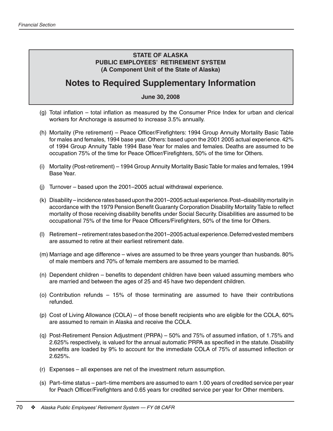# **Notes to Required Supplementary Information**

**June 30, 2008**

- (g) Total inflation  $-$  total inflation as measured by the Consumer Price Index for urban and clerical workers for Anchorage is assumed to increase 3.5% annually.
- (h) Mortality (Pre retirement) Peace Officer/Firefighters: 1994 Group Annuity Mortality Basic Table for males and females, 1994 base year. Others: based upon the 2001 2005 actual experience. 42% of 1994 Group Annuity Table 1994 Base Year for males and females. Deaths are assumed to be occupation 75% of the time for Peace Officer/Firefighters, 50% of the time for Others.
- (i) Mortality (Post-retirement) 1994 Group Annuity Mortality Basic Table for males and females, 1994 Base Year.
- (j) Turnover based upon the 2001–2005 actual withdrawal experience.
- (k) Disability incidence rates based upon the 2001–2005 actual experience. Post–disability mortality in accordance with the 1979 Pension Benefit Guaranty Corporation Disability Mortality Table to reflect mortality of those receiving disability benefits under Social Security. Disabilities are assumed to be occupational 75% of the time for Peace Officers/Firefighters, 50% of the time for Others.
- (l) Retirement retirement rates based on the 2001–2005 actual experience. Deferred vested members are assumed to retire at their earliest retirement date.
- (m) Marriage and age difference wives are assumed to be three years younger than husbands. 80% of male members and 70% of female members are assumed to be married.
- (n) Dependent children benefits to dependent children have been valued assuming members who are married and between the ages of 25 and 45 have two dependent children.
- (o) Contribution refunds 15% of those terminating are assumed to have their contributions refunded.
- (p) Cost of Living Allowance (COLA) of those benefit recipients who are eligible for the COLA,  $60\%$ are assumed to remain in Alaska and receive the COLA.
- (g) Post-Retirement Pension Adjustment (PRPA) 50% and 75% of assumed inflation, of 1.75% and 2.625% respectively, is valued for the annual automatic PRPA as specified in the statute. Disability benefits are loaded by 9% to account for the immediate COLA of 75% of assumed inflection or 2.625%.
- (r) Expenses all expenses are net of the investment return assumption.
- (s) Part–time status part–time members are assumed to earn 1.00 years of credited service per year for Peach Officer/Firefighters and 0.65 years for credited service per year for Other members.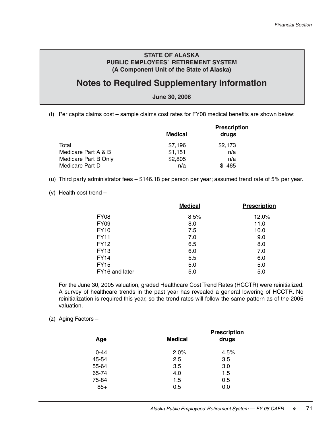# **Notes to Required Supplementary Information**

**June 30, 2008**

(t) Per capita claims cost – sample claims cost rates for FY08 medical benefits are shown below:

| drugs   |
|---------|
| \$2,173 |
| n/a     |
| n/a     |
| 465     |
|         |

(u) Third party administrator fees – \$146.18 per person per year; assumed trend rate of 5% per year.

(v) Health cost trend –

|                | <b>Medical</b> | <b>Prescription</b> |
|----------------|----------------|---------------------|
| <b>FY08</b>    | 8.5%           | 12.0%               |
| <b>FY09</b>    | 8.0            | 11.0                |
| <b>FY10</b>    | 7.5            | 10.0                |
| <b>FY11</b>    | 7.0            | 9.0                 |
| <b>FY12</b>    | 6.5            | 8.0                 |
| <b>FY13</b>    | 6.0            | 7.0                 |
| <b>FY14</b>    | 5.5            | 6.0                 |
| <b>FY15</b>    | 5.0            | 5.0                 |
| FY16 and later | 5.0            | 5.0                 |

For the June 30, 2005 valuation, graded Healthcare Cost Trend Rates (HCCTR) were reinitialized. A survey of healthcare trends in the past year has revealed a general lowering of HCCTR. No reinitialization is required this year, so the trend rates will follow the same pattern as of the 2005 valuation.

(z) Aging Factors –

| <b>Age</b> | <b>Medical</b> | <b>Prescription</b><br>drugs |
|------------|----------------|------------------------------|
| $0 - 44$   | 2.0%           | 4.5%                         |
| 45-54      | 2.5            | 3.5                          |
| 55-64      | 3.5            | 3.0                          |
| 65-74      | 4.0            | 1.5                          |
| 75-84      | 1.5            | 0.5                          |
| $85+$      | 0.5            | 0.0                          |
|            |                |                              |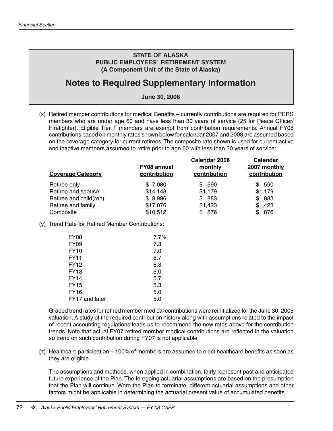# **Notes to Required Supplementary Information**

**June 30, 2008**

 $(x)$  Retired member contributions for medical Benefits – currently contributions are required for PERS members who are under age 60 and have less than 30 years of service (25 for Peace Officer/ Firefighter). Eligible Tier 1 members are exempt from contribution requirements. Annual FY08 contributions based on monthly rates shown below for calendar 2007 and 2008 are assumed based on the coverage category for current retirees. The composite rate shown is used for current active and inactive members assumed to retire prior to age 60 with less than 30 years of service:

| <b>Coverage Category</b> | <b>FY08 annual</b><br>contribution | Calendar 2008<br>monthly<br>contribution | <b>Calendar</b><br>2007 monthly<br>contribution |
|--------------------------|------------------------------------|------------------------------------------|-------------------------------------------------|
| Retiree only             | \$7,080                            | 590<br>\$.                               | 590<br>S                                        |
| Retiree and spouse       | \$14,148                           | \$1,179                                  | \$1,179                                         |
| Retiree and child(ren)   | \$9,996                            | 883<br>\$                                | 883<br>S                                        |
| Retiree and family       | \$17,076                           | \$1,423                                  | \$1,423                                         |
| Composite                | \$10,512                           | \$ 876                                   | 876<br>S.                                       |

(y) Trend Rate for Retired Member Contributions:

| FY08           | 7.7% |
|----------------|------|
| <b>FY09</b>    | 7.3  |
| <b>FY10</b>    | 7.0  |
| FY11           | 6.7  |
| <b>FY12</b>    | 6.3  |
| <b>FY13</b>    | 6.0  |
| <b>FY14</b>    | 5.7  |
| <b>FY15</b>    | 5.3  |
| <b>FY16</b>    | 5.0  |
| FY17 and later | 5.0  |
|                |      |

Graded trend rates for retired member medical contributions were reinitialized for the June 30, 2005 valuation. A study of the required contribution history along with assumptions related to the impact of recent accounting regulations leads us to recommend the new rates above for the contribution trends. Note that actual FY07 retired member medical contributions are reflected in the valuation so trend on such contribution during FY07 is not applicable.

 $(z)$  Healthcare participation  $-100\%$  of members are assumed to elect healthcare benefits as soon as they are eligible.

The assumptions and methods, when applied in combination, fairly represent past and anticipated future experience of the Plan. The foregoing actuarial assumptions are based on the presumption that the Plan will continue. Were the Plan to terminate, different actuarial assumptions and other factors might be applicable in determining the actuarial present value of accumulated benefits.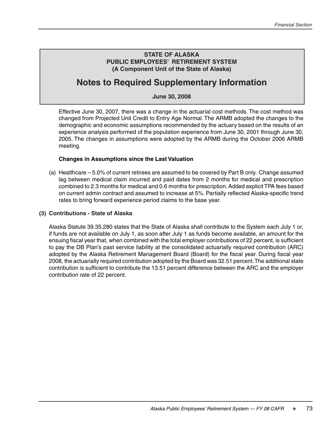# **Notes to Required Supplementary Information**

**June 30, 2008**

Effective June 30, 2007, there was a change in the actuarial cost methods. The cost method was changed from Projected Unit Credit to Entry Age Normal. The ARMB adopted the changes to the demographic and economic assumptions recommended by the actuary based on the results of an experience analysis performed of the population experience from June 30, 2001 through June 30, 2005. The changes in assumptions were adopted by the ARMB during the October 2006 ARMB meeting.

## **Changes in Assumptions since the Last Valuation**

(a) Healthcare – 5.0% of current retirees are assumed to be covered by Part B only. Change assumed lag between medical claim incurred and paid dates from 2 months for medical and prescription combined to 2.3 months for medical and 0.6 months for prescription. Added explicit TPA fees based on current admin contract and assumed to increase at 5%. Partially reflected Alaska-specific trend rates to bring forward experience period claims to the base year.

### **(3) Contributions - State of Alaska**

Alaska Statute 39.35.280 states that the State of Alaska shall contribute to the System each July 1 or, if funds are not available on July 1, as soon after July 1 as funds become available, an amount for the ensuing fiscal year that, when combined with the total employer contributions of 22 percent, is sufficient to pay the DB Plan's past service liability at the consolidated actuarially required contribution (ARC) adopted by the Alaska Retirement Management Board (Board) for the fiscal year. During fiscal year 2008, the actuarially required contribution adopted by the Board was 32.51 percent. The additional state contribution is sufficient to contribute the 13.51 percent difference between the ARC and the employer contribution rate of 22 percent.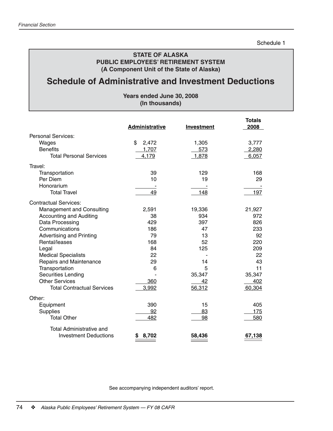Schedule 1

# **STATE OF ALASKA PUBLIC EMPLOYEES' RETIREMENT SYSTEM (A Component Unit of the State of Alaska)**

# **Schedule of Administrative and Investment Deductions**

**Years ended June 30, 2008 (In thousands)**

|                                   | <b>Administrative</b> | <b>Investment</b> | <b>Totals</b><br>2008 |
|-----------------------------------|-----------------------|-------------------|-----------------------|
| <b>Personal Services:</b>         |                       |                   |                       |
| Wages                             | \$<br>2,472           | 1,305             | 3,777                 |
| <b>Benefits</b>                   | 1,707                 | 573               | 2,280                 |
| <b>Total Personal Services</b>    | 4,179                 | 1,878             | 6,057                 |
| Travel:                           |                       |                   |                       |
| Transportation                    | 39                    | 129               | 168                   |
| Per Diem                          | 10                    | 19                | 29                    |
| Honorarium                        |                       |                   |                       |
| <b>Total Travel</b>               | 49                    | 148               | 197                   |
| <b>Contractual Services:</b>      |                       |                   |                       |
| <b>Management and Consulting</b>  | 2,591                 | 19,336            | 21,927                |
| <b>Accounting and Auditing</b>    | 38                    | 934               | 972                   |
| Data Processing                   | 429                   | 397               | 826                   |
| Communications                    | 186                   | 47                | 233                   |
| <b>Advertising and Printing</b>   | 79                    | 13                | 92                    |
| Rental/leases                     | 168                   | 52                | 220                   |
| Legal                             | 84                    | 125               | 209                   |
| <b>Medical Specialists</b>        | 22                    |                   | 22                    |
| <b>Repairs and Maintenance</b>    | 29                    | 14                | 43                    |
| Transportation                    | 6                     | 5                 | 11                    |
| <b>Securities Lending</b>         |                       | 35,347            | 35,347                |
| <b>Other Services</b>             | 360                   | 42                | 402                   |
| <b>Total Contractual Services</b> | 3,992                 | 56,312            | 60,304                |
| Other:                            |                       |                   |                       |
| Equipment                         | 390                   | 15                | 405                   |
| Supplies                          | 92                    | 83                | 175                   |
| <b>Total Other</b>                | 482                   | 98                | 580                   |
| <b>Total Administrative and</b>   |                       |                   |                       |
| <b>Investment Deductions</b>      | 8,702<br>\$           | 58,436            | 67,138                |

See accompanying independent auditors' report.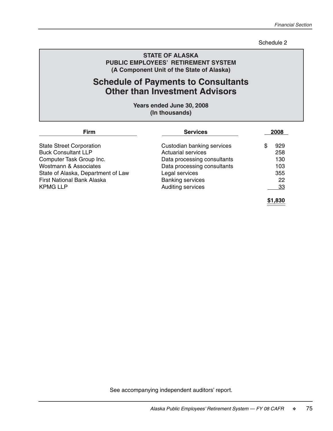Schedule 2

# **STATE OF ALASKA PUBLIC EMPLOYEES' RETIREMENT SYSTEM (A Component Unit of the State of Alaska)**

# **Schedule of Payments to Consultants Other than Investment Advisors**

**Years ended June 30, 2008 (In thousands)**

| <b>Firm</b>                        | <b>Services</b>             |   | 2008    |
|------------------------------------|-----------------------------|---|---------|
| <b>State Street Corporation</b>    | Custodian banking services  | S | 929     |
| <b>Buck Consultant LLP</b>         | <b>Actuarial services</b>   |   | 258     |
| Computer Task Group Inc.           | Data processing consultants |   | 130     |
| <b>Wostmann &amp; Associates</b>   | Data processing consultants |   | 103     |
| State of Alaska, Department of Law | Legal services              |   | 355     |
| <b>First National Bank Alaska</b>  | <b>Banking services</b>     |   | 22      |
| <b>KPMG LLP</b>                    | Auditing services           |   | 33      |
|                                    |                             |   | \$1.830 |

See accompanying independent auditors' report.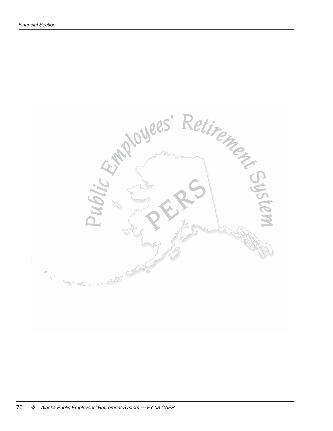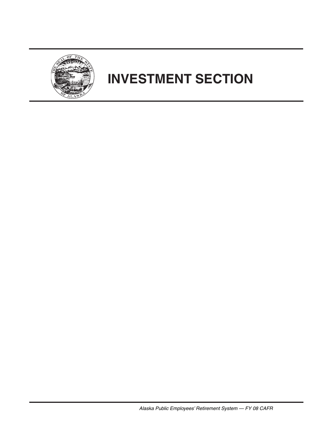

# **INVESTMENT SECTION**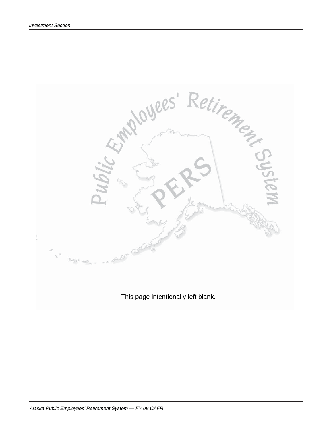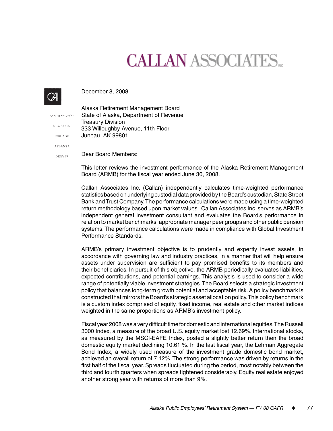# **CALLAN ASSOCIATES...**



December 8, 2008

**SAN FRANCISCO** NEW YORK **CHICAGO ATLANTA DENVER** 

Alaska Retirement Management Board State of Alaska, Department of Revenue Treasury Division 333 Willoughby Avenue, 11th Floor Juneau, AK 99801

Dear Board Members:

This letter reviews the investment performance of the Alaska Retirement Management Board (ARMB) for the fiscal year ended June 30, 2008.

Callan Associates Inc. (Callan) independently calculates time-weighted performance statistics based on underlying custodial data provided by the Board's custodian, State Street Bank and Trust Company. The performance calculations were made using a time-weighted return methodology based upon market values. Callan Associates Inc. serves as ARMB's independent general investment consultant and evaluates the Board's performance in relation to market benchmarks, appropriate manager peer groups and other public pension systems. The performance calculations were made in compliance with Global Investment Performance Standards.

ARMB's primary investment objective is to prudently and expertly invest assets, in accordance with governing law and industry practices, in a manner that will help ensure assets under supervision are sufficient to pay promised benefits to its members and their beneficiaries. In pursuit of this objective, the ARMB periodically evaluates liabilities, expected contributions, and potential earnings. This analysis is used to consider a wide range of potentially viable investment strategies. The Board selects a strategic investment policy that balances long-term growth potential and acceptable risk. A policy benchmark is constructed that mirrors the Board's strategic asset allocation policy. This policy benchmark is a custom index comprised of equity, fixed income, real estate and other market indices weighted in the same proportions as ARMB's investment policy.

Fiscal year 2008 was a very difficult time for domestic and international equities. The Russell 3000 Index, a measure of the broad U.S. equity market lost 12.69%. International stocks, as measured by the MSCI-EAFE Index, posted a slightly better return then the broad domestic equity market declining 10.61 %. In the last fiscal year, the Lehman Aggregate Bond Index, a widely used measure of the investment grade domestic bond market, achieved an overall return of 7.12%. The strong performance was driven by returns in the first half of the fiscal year. Spreads fluctuated during the period, most notably between the third and fourth quarters when spreads tightened considerably. Equity real estate enjoyed another strong year with returns of more than 9%.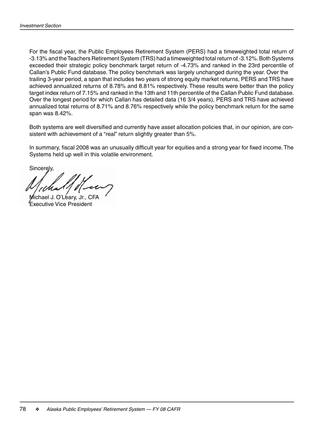For the fiscal year, the Public Employees Retirement System (PERS) had a timeweighted total return of -3.13% and the Teachers Retirement System (TRS) had a timeweighted total return of -3.12%. Both Systems exceeded their strategic policy benchmark target return of -4.73% and ranked in the 23rd percentile of Callan's Public Fund database. The policy benchmark was largely unchanged during the year. Over the trailing 3-year period, a span that includes two years of strong equity market returns, PERS and TRS have achieved annualized returns of 8.78% and 8.81% respectively. These results were better than the policy target index return of 7.15% and ranked in the 13th and 11th percentile of the Callan Public Fund database. Over the longest period for which Callan has detailed data (16 3/4 years), PERS and TRS have achieved annualized total returns of 8.71% and 8.76% respectively while the policy benchmark return for the same span was 8.42%.

Both systems are well diversified and currently have asset allocation policies that, in our opinion, are consistent with achievement of a "real" return slightly greater than 5%.

In summary, fiscal 2008 was an unusually difficult year for equities and a strong year for fixed income. The Systems held up well in this volatile environment.

Sincerely,

J. O'Leary, Jr., CFA Executive Vice President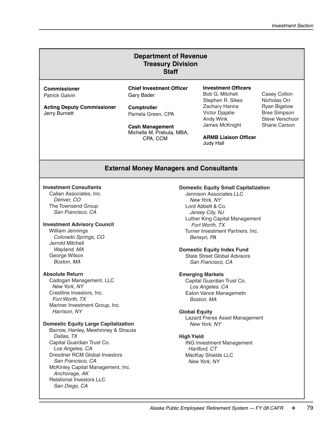# **Department of Revenue Treasury Division Staff**

#### **Commissioner** Patrick Galvin

**Acting Deputy Commissioner** Jerry Burnett

**Chief Investment Officer** Gary Bader

**Comptroller** Pamela Green, CPA

**Cash Management** Michelle M. Prebula, MBA, CPA, CCM

**Investment Officers** 

Stephen R. Sikes Nicholas Orr Zachary Hanna Ryan Bigelow Victor Djajalie Bree Simpson Andy Wink Steve Verschoor James McKnight Shane Carson

Bob G. Mitchell Casey Colton

**ARMB Liaison Officer** Judy Hall

# **External Money Managers and Consultants**

#### **Investment Consultants**

 Callan Associates, Inc. *Denver, CO* The Townsend Group *San Francisco, CA*

#### **Investment Advisory Council**

 William Jennings *Colorado Springs, CO* Jerrold Mitchell *Wayland, MA* George Wilson *Boston, MA*

#### **Absolute Return**

 Cadogan Management, LLC *New York, NY* Crestline Investors, Inc.  *Fort Worth, TX* Mariner Investment Group, Inc. *Harrison, NY*

#### **Domestic Equity Large Capitalization**

 Barrow, Hanley, Mewhinney & Strauss *Dallas, TX* Capital Guardian Trust Co. *Los Angeles, CA* Dresdner RCM Global Investors *San Francisco, CA* McKinley Capital Management, Inc. *Anchorage, AK* Relational Investors LLC *San Diego, CA*

#### **Domestic Equity Small Capitalization**

 Jennison Associates LLC *New York, NY* Lord Abbett & Co. *Jersey City, NJ* Luther King Capital Management  *Fort Worth, TX* Turner Investment Partners, Inc. *Berwyn, PA*

#### **Domestic Equity Index Fund**

 State Street Global Advisors *San Francisco, CA*

#### **Emerging Markets**

 Capital Guardian Trust Co. *Los Angeles, CA* Eaton Vance Managemetn *Boston, MA*

#### **Global Equity**

 Lazard Freres Asset Management *New York, NY*

#### **High Yield**

 ING Investment Management *Hartford, CT* MacKay Shields LLC *New York, NY*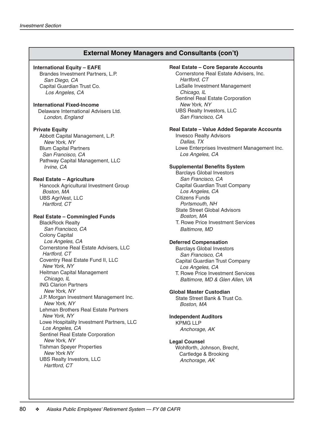# **External Money Managers and Consultants (con't)**

#### **International Equity – EAFE**

 Brandes Investment Partners, L.P. *San Diego, CA* Capital Guardian Trust Co. *Los Angeles, CA*

#### **International Fixed-Income**

 Delaware International Advisers Ltd. *London, England*

#### **Private Equity**

 Abbott Capital Management, L.P. *New York, NY* Blum Capital Partners *San Francisco, CA* Pathway Capital Management, LLC *Irvine, CA*

#### **Real Estate – Agriculture**

 Hancock Agricultural Investment Group *Boston, MA* UBS AgriVest, LLC *Hartford, CT*

#### **Real Estate – Commingled Funds**

 BlackRock Realty *San Francisco, CA* Colony Capital *Los Angeles, CA* Cornerstone Real Estate Advisers, LLC *Hartford, CT* Coventry Real Estate Fund II, LLC *New York, NY* Heitman Capital Management *Chicago, IL* ING Clarion Partners *New York, NY* J.P. Morgan Investment Management Inc. *New York, NY* Lehman Brothers Real Estate Partners *New York, NY* Lowe Hospitality Investment Partners, LLC *Los Angeles, CA* Sentinel Real Estate Corporation *New York, NY* Tishman Speyer Properties *New York NY* UBS Realty Investors, LLC *Hartford, CT*

**Real Estate – Core Separate Accounts** Cornerstone Real Estate Advisers, Inc. *Hartford, CT* LaSalle Investment Management *Chicago, IL* Sentinel Real Estate Corporation *New York, NY*

 UBS Realty Investors, LLC *San Francisco, CA*

#### **Real Estate – Value Added Separate Accounts**

 Invesco Realty Advisors  *Dallas, TX* Lowe Enterprises Investment Management Inc. *Los Angeles, CA*

#### **Supplemental Benefits System**

 Barclays Global Investors *San Francisco, CA* Capital Guardian Trust Company *Los Angeles, CA* Citizens Funds *Portsmouth, NH* State Street Global Advisors *Boston, MA* T. Rowe Price Investment Services *Baltimore, MD*

#### **Deferred Compensation**

 Barclays Global Investors *San Francisco, CA* Capital Guardian Trust Company *Los Angeles, CA* T. Rowe Price Investment Services *Baltimore, MD & Glen Allen, VA*

#### **Global Master Custodian**

 State Street Bank & Trust Co. *Boston, MA*

#### **Independent Auditors** KPMG LLP

*Anchorage, AK*

#### **Legal Counsel**

 Wohlforth, Johnson, Brecht, Cartledge & Brooking *Anchorage, AK*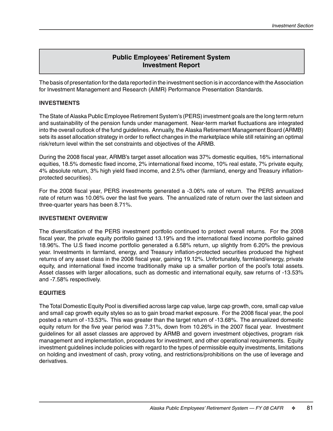# **Public Employees' Retirement System Investment Report**

The basis of presentation for the data reported in the investment section is in accordance with the Association for Investment Management and Research (AIMR) Performance Presentation Standards.

# **INVESTMENTS**

The State of Alaska Public Employee Retirement System's (PERS) investment goals are the long term return and sustainability of the pension funds under management. Near-term market fluctuations are integrated into the overall outlook of the fund guidelines. Annually, the Alaska Retirement Management Board (ARMB) sets its asset allocation strategy in order to reflect changes in the marketplace while still retaining an optimal risk/return level within the set constraints and objectives of the ARMB.

During the 2008 fiscal year, ARMB's target asset allocation was 37% domestic equities, 16% international equities, 18.5% domestic fixed income, 2% international fixed income, 10% real estate, 7% private equity, 4% absolute return, 3% high yield fixed income, and 2.5% other (farmland, energy and Treasury inflationprotected securities).

For the 2008 fiscal year, PERS investments generated a -3.06% rate of return. The PERS annualized rate of return was 10.06% over the last five years. The annualized rate of return over the last sixteen and three-quarter years has been 8.71%.

#### **INVESTMENT OVERVIEW**

The diversification of the PERS investment portfolio continued to protect overall returns. For the 2008 fiscal year, the private equity portfolio gained 13.19% and the international fixed income portfolio gained 18.96%. The U.S fixed income portfolio generated a 6.58% return, up slightly from 6.20% the previous year. Investments in farmland, energy, and Treasury inflation-protected securities produced the highest returns of any asset class in the 2008 fiscal year, gaining 19.12%. Unfortunately, farmland/energy, private equity, and international fixed income traditionally make up a smaller portion of the pool's total assets. Asset classes with larger allocations, such as domestic and international equity, saw returns of -13.53% and -7.58% respectively.

## **EQUITIES**

The Total Domestic Equity Pool is diversified across large cap value, large cap growth, core, small cap value and small cap growth equity styles so as to gain broad market exposure. For the 2008 fiscal year, the pool posted a return of -13.53%. This was greater than the target return of -13.68%. The annualized domestic equity return for the five year period was 7.31%, down from 10.26% in the 2007 fiscal year. Investment guidelines for all asset classes are approved by ARMB and govern investment objectives, program risk management and implementation, procedures for investment, and other operational requirements. Equity investment guidelines include policies with regard to the types of permissible equity investments, limitations on holding and investment of cash, proxy voting, and restrictions/prohibitions on the use of leverage and derivatives.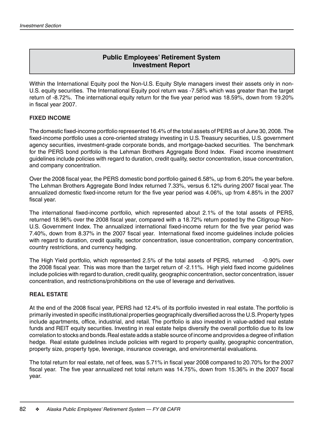# **Public Employees' Retirement System Investment Report**

Within the International Equity pool the Non-U.S. Equity Style managers invest their assets only in non-U.S. equity securities. The International Equity pool return was -7.58% which was greater than the target return of -8.72%. The international equity return for the five year period was 18.59%, down from 19.20% in fiscal year 2007.

# **FIXED INCOME**

The domestic fixed-income portfolio represented 16.4% of the total assets of PERS as of June 30, 2008. The fixed-income portfolio uses a core-oriented strategy investing in U.S. Treasury securities, U.S. government agency securities, investment-grade corporate bonds, and mortgage-backed securities. The benchmark for the PERS bond portfolio is the Lehman Brothers Aggregate Bond Index. Fixed income investment guidelines include policies with regard to duration, credit quality, sector concentration, issue concentration, and company concentration.

Over the 2008 fiscal year, the PERS domestic bond portfolio gained 6.58%, up from 6.20% the year before. The Lehman Brothers Aggregate Bond Index returned 7.33%, versus 6.12% during 2007 fiscal year. The annualized domestic fixed-income return for the five year period was 4.06%, up from 4.85% in the 2007 fiscal year.

The international fixed-income portfolio, which represented about 2.1% of the total assets of PERS, returned 18.96% over the 2008 fiscal year, compared with a 18.72% return posted by the Citigroup Non-U.S. Government Index. The annualized international fixed-income return for the five year period was 7.40%, down from 8.37% in the 2007 fiscal year. International fixed income guidelines include policies with regard to duration, credit quality, sector concentration, issue concentration, company concentration, country restrictions, and currency hedging.

The High Yield portfolio, which represented 2.5% of the total assets of PERS, returned -0.90% over the 2008 fiscal year. This was more than the target return of -2.11%. High yield fixed income guidelines include policies with regard to duration, credit quality, geographic concentration, sector concentration, issuer concentration, and restrictions/prohibitions on the use of leverage and derivatives.

## **REAL ESTATE**

At the end of the 2008 fiscal year, PERS had 12.4% of its portfolio invested in real estate. The portfolio is primarily invested in specific institutional properties geographically diversified across the U.S. Property types include apartments, office, industrial, and retail. The portfolio is also invested in value-added real estate funds and REIT equity securities. Investing in real estate helps diversify the overall portfolio due to its low correlation to stocks and bonds. Real estate adds a stable source of income and provides a degree of inflation hedge. Real estate guidelines include policies with regard to property quality, geographic concentration, property size, property type, leverage, insurance coverage, and environmental evaluations.

The total return for real estate, net of fees, was 5.71% in fiscal year 2008 compared to 20.70% for the 2007 fiscal year. The five year annualized net total return was 14.75%, down from 15.36% in the 2007 fiscal year.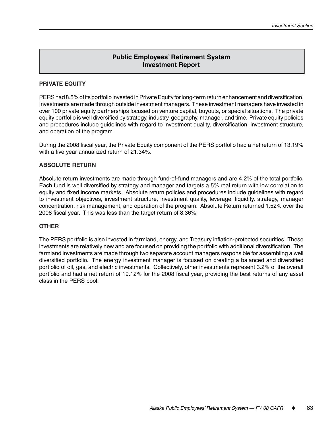# **Public Employees' Retirement System Investment Report**

## **PRIVATE EQUITY**

PERS had 8.5% of its portfolio invested in Private Equity for long-term return enhancement and diversification. Investments are made through outside investment managers. These investment managers have invested in over 100 private equity partnerships focused on venture capital, buyouts, or special situations. The private equity portfolio is well diversified by strategy, industry, geography, manager, and time. Private equity policies and procedures include quidelines with regard to investment quality, diversification, investment structure, and operation of the program.

During the 2008 fiscal year, the Private Equity component of the PERS portfolio had a net return of 13.19% with a five year annualized return of 21.34%.

#### **ABSOLUTE RETURN**

Absolute return investments are made through fund-of-fund managers and are 4.2% of the total portfolio. Each fund is well diversified by strategy and manager and targets a 5% real return with low correlation to equity and fixed income markets. Absolute return policies and procedures include quidelines with regard to investment objectives, investment structure, investment quality, leverage, liquidity, strategy, manager concentration, risk management, and operation of the program. Absolute Return returned 1.52% over the 2008 fiscal year. This was less than the target return of 8.36%.

#### **OTHER**

The PERS portfolio is also invested in farmland, energy, and Treasury inflation-protected securities. These investments are relatively new and are focused on providing the portfolio with additional diversification. The farmland investments are made through two separate account managers responsible for assembling a well diversified portfolio. The energy investment manager is focused on creating a balanced and diversified portfolio of oil, gas, and electric investments. Collectively, other investments represent 3.2% of the overall portfolio and had a net return of 19.12% for the 2008 fiscal year, providing the best returns of any asset class in the PERS pool.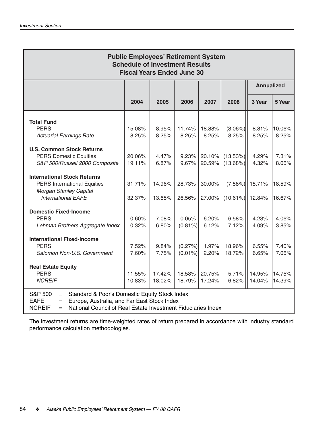| <b>Public Employees' Retirement System</b><br><b>Schedule of Investment Results</b><br><b>Fiscal Years Ended June 30</b>                                                                                                                                                                                     |                                                         |                                                      |                                                                  |                                                         |                                                                     |                                                      |                                                       |
|--------------------------------------------------------------------------------------------------------------------------------------------------------------------------------------------------------------------------------------------------------------------------------------------------------------|---------------------------------------------------------|------------------------------------------------------|------------------------------------------------------------------|---------------------------------------------------------|---------------------------------------------------------------------|------------------------------------------------------|-------------------------------------------------------|
|                                                                                                                                                                                                                                                                                                              |                                                         |                                                      |                                                                  |                                                         |                                                                     | <b>Annualized</b>                                    |                                                       |
|                                                                                                                                                                                                                                                                                                              | 2004                                                    | 2005                                                 | 2006                                                             | 2007                                                    | 2008                                                                | 3 Year                                               | 5 Year                                                |
| <b>Total Fund</b><br><b>PERS</b><br><b>Actuarial Earnings Rate</b><br><b>U.S. Common Stock Returns</b><br><b>PERS Domestic Equities</b><br>S&P 500/Russell 2000 Composite<br><b>International Stock Returns</b><br><b>PERS International Equities</b><br>Morgan Stanley Capital<br><b>International EAFE</b> | 15.08%<br>8.25%<br>20.06%<br>19.11%<br>31.71%<br>32.37% | 8.95%<br>8.25%<br>4.47%<br>6.87%<br>14.96%<br>13.65% | 11.74%<br>8.25%<br>9.23%<br>9.67%<br>28.73%<br>26.56%            | 18.88%<br>8.25%<br>20.10%<br>20.59%<br>30.00%<br>27.00% | $(3.06\%)$<br>8.25%<br>$(13.53\%)$<br>$(13.68\%)$<br>$(7.58\%)$     | 8.81%<br>8.25%<br>4.29%<br>4.32%<br>15.71%<br>12.84% | 10.06%<br>8.25%<br>7.31%<br>8.06%<br>18.59%<br>16.67% |
| <b>Domestic Fixed-Income</b><br><b>PERS</b><br>Lehman Brothers Aggregate Index<br><b>International Fixed-Income</b><br><b>PERS</b><br>Salomon Non-U.S. Government<br><b>Real Estate Equity</b><br><b>PERS</b><br><b>NCREIF</b>                                                                               | 0.60%<br>0.32%<br>7.52%<br>7.60%<br>11.55%<br>10.83%    | 7.08%<br>6.80%<br>9.84%<br>7.75%<br>17.42%<br>18.02% | 0.05%<br>$(0.81\%)$<br>(0.27%)<br>$(0.01\%)$<br>18.58%<br>18.79% | 6.20%<br>6.12%<br>1.97%<br>2.20%<br>20.75%<br>17.24%    | $(10.61\%)$<br>6.58%<br>7.12%<br>18.96%<br>18.72%<br>5.71%<br>6.82% | 4.23%<br>4.09%<br>6.55%<br>6.65%<br>14.95%<br>14.04% | 4.06%<br>3.85%<br>7.40%<br>7.06%<br>14.75%<br>14.39%  |
| Standard & Poor's Domestic Equity Stock Index<br><b>S&amp;P 500</b><br>$=$<br><b>EAFE</b><br>Europe, Australia, and Far East Stock Index<br>$=$<br>National Council of Real Estate Investment Fiduciaries Index<br><b>NCREIF</b><br>$=$                                                                      |                                                         |                                                      |                                                                  |                                                         |                                                                     |                                                      |                                                       |

The investment returns are time-weighted rates of return prepared in accordance with industry standard performance calculation methodologies.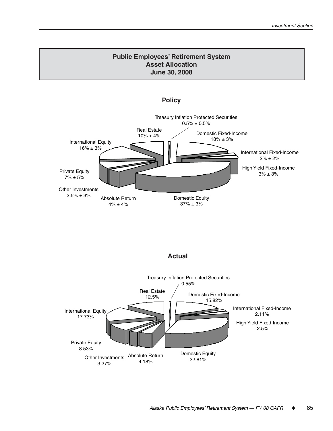





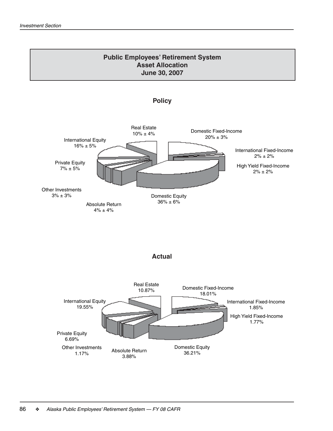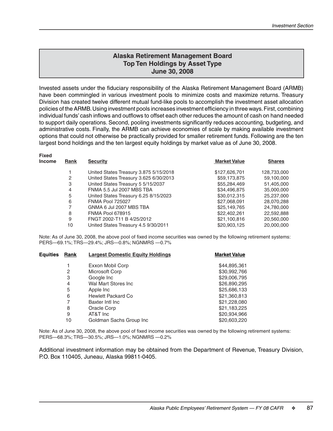# **Alaska Retirement Management Board Top Ten Holdings by Asset Type June 30, 2008**

Invested assets under the fiduciary responsibility of the Alaska Retirement Management Board (ARMB) have been commingled in various investment pools to minimize costs and maximize returns. Treasury Division has created twelve different mutual fund-like pools to accomplish the investment asset allocation policies of the ARMB. Using investment pools increases investment efficiency in three ways. First, combining individual funds' cash inflows and outflows to offset each other reduces the amount of cash on hand needed to support daily operations. Second, pooling investments significantly reduces accounting, budgeting, and administrative costs. Finally, the ARMB can achieve economies of scale by making available investment options that could not otherwise be practically provided for smaller retirement funds. Following are the ten largest bond holdings and the ten largest equity holdings by market value as of June 30, 2008.

#### **Fixed**

| <b>Income</b> | Rank | <b>Security</b>                        | <b>Market Value</b> | <b>Shares</b> |
|---------------|------|----------------------------------------|---------------------|---------------|
|               |      | United States Treasury 3.875 5/15/2018 | \$127,626,701       | 128,733,000   |
|               | 2    | United States Treasury 3.625 6/30/2013 | \$59,173,875        | 59,100,000    |
|               | 3    | United States Treasury 5 5/15/2037     | \$55,284,469        | 51,405,000    |
|               | 4    | FNMA 5.5 Jul 2007 MBS TBA              | \$34,496,875        | 35,000,000    |
|               | 5    | United States Treasury 6.25 8/15/2023  | \$30,012,315        | 25,237,000    |
|               | 6    | <b>FNMA Pool 725027</b>                | \$27,068,091        | 28,070,288    |
|               |      | GNMA 6 Jul 2007 MBS TBA                | \$25,149,765        | 24,780,000    |
|               | 8    | <b>FNMA Pool 678915</b>                | \$22,402,261        | 22,592,888    |
|               | 9    | FNGT 2002-T11 B 4/25/2012              | \$21,100,816        | 20,560,000    |
|               | 10   | United States Treasury 4.5 9/30/2011   | \$20,903,125        | 20,000,000    |
|               |      |                                        |                     |               |

Note: As of June 30, 2008, the above pool of fixed income securities was owned by the following retirement systems: PERS—69.1%; TRS—29.4%; JRS—0.8%; NGNMRS —0.7%

| <b>Equities</b><br>Rank |    | <b>Largest Domestic Equity Holdings</b> | <b>Market Value</b> |  |
|-------------------------|----|-----------------------------------------|---------------------|--|
|                         |    | Exxon Mobil Corp                        | \$44,895,361        |  |
|                         | 2  | Microsoft Corp                          | \$30,992,766        |  |
|                         | 3  | Google Inc                              | \$29,006,795        |  |
|                         | 4  | Wal Mart Stores Inc                     | \$26,890,295        |  |
|                         | 5  | Apple Inc                               | \$25,686,133        |  |
|                         | 6  | <b>Hewlett Packard Co</b>               | \$21,360,813        |  |
|                         | 7  | Baxter Intl Inc                         | \$21,228,080        |  |
|                         | 8  | Oracle Corp                             | \$21,183,225        |  |
|                         | 9  | AT&T Inc                                | \$20,934,966        |  |
|                         | 10 | Goldman Sachs Group Inc                 | \$20,603,220        |  |

Note: As of June 30, 2008, the above pool of fixed income securities was owned by the following retirement systems: PERS—68.3%; TRS—30.5%; JRS—1.0%; NGNMRS —0.2%

Additional investment information may be obtained from the Department of Revenue, Treasury Division, P.O. Box 110405, Juneau, Alaska 99811-0405.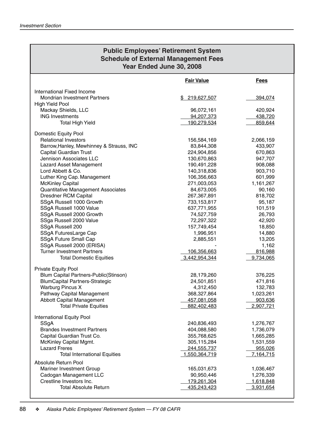| <b>Public Employees' Retirement System</b><br><b>Schedule of External Management Fees</b><br>Year Ended June 30, 2008 |                           |                    |  |
|-----------------------------------------------------------------------------------------------------------------------|---------------------------|--------------------|--|
|                                                                                                                       | <b>Fair Value</b>         | <u>Fees</u>        |  |
| International Fixed Income                                                                                            |                           |                    |  |
| <b>Mondrian Investment Partners</b>                                                                                   | \$219,627,507             | 394,074            |  |
| High Yield Pool                                                                                                       |                           |                    |  |
| Mackay Shields, LLC                                                                                                   | 96,072,161                | 420,924            |  |
| <b>ING Investments</b><br><b>Total High Yield</b>                                                                     | 94,207,373<br>190,279,534 | 438,720<br>859,644 |  |
|                                                                                                                       |                           |                    |  |
| Domestic Equity Pool                                                                                                  |                           |                    |  |
| <b>Relational Investors</b>                                                                                           | 156,584,169               | 2,066,159          |  |
| Barrow, Hanley, Mewhinney & Strauss, INC                                                                              | 83,844,308                | 433,907            |  |
| Capital Guardian Trust                                                                                                | 224,904,856               | 670,863            |  |
| Jennison Associates LLC                                                                                               | 130,670,863               | 947,707            |  |
| Lazard Asset Management                                                                                               | 190,491,228               | 908,088            |  |
| Lord Abbett & Co.                                                                                                     | 140,318,836               | 903,710            |  |
| Luther King Cap. Management                                                                                           | 106,356,663               | 601,999            |  |
| <b>McKinley Capital</b>                                                                                               | 271,003,053               | 1,161,267          |  |
| Quantitative Management Associates                                                                                    | 84,673,005                | 90,160             |  |
| Dresdner RCM Capital                                                                                                  | 267,367,891               | 818,702            |  |
| SSgA Russell 1000 Growth                                                                                              | 733,153,817               | 95,187             |  |
| SSgA Russell 1000 Value                                                                                               | 637,771,955               | 101,519            |  |
| SSgA Russell 2000 Growth<br>SSga Russell 2000 Value                                                                   | 74,527,759                | 26,793<br>42,920   |  |
| SSgA Russell 200                                                                                                      | 72,297,322<br>157,749,454 | 18,850             |  |
| SSgA FuturesLarge Cap                                                                                                 | 1,996,951                 | 14,880             |  |
| SSgA Future Small Cap                                                                                                 | 2,885,551                 | 13,205             |  |
| SSgA Russell 2000 (ERISA)                                                                                             |                           | 1,162              |  |
| <b>Turner Investment Partners</b>                                                                                     | 106,356,663               | 816,988            |  |
| <b>Total Domestic Equities</b>                                                                                        | 3,442,954,344             | 9,734,065          |  |
| <b>Private Equity Pool</b>                                                                                            |                           |                    |  |
| Blum Capital Partners-Public(Stinson)                                                                                 | 28,179,260                | 376,225            |  |
| <b>BlumCapital Partners-Strategic</b>                                                                                 | 24,501,851                | 471,816            |  |
| <b>Warburg Pincus X</b>                                                                                               | 4,312,450                 | 132,783            |  |
| Pathway Capital Management                                                                                            | 368,327,864               | 1,023,261          |  |
| Abbott Capital Management                                                                                             | 457,081,058               | 903,636            |  |
| <b>Total Private Equities</b>                                                                                         | 882,402,483               | 2,907,721          |  |
| International Equity Pool                                                                                             |                           |                    |  |
| SSgA                                                                                                                  | 240,836,493               | 1,276,767          |  |
| <b>Brandes Investment Partners</b>                                                                                    | 404,088,580               | 1,736,079          |  |
| Capital Guardian Trust Co.                                                                                            | 355,768,625               | 1,665,285          |  |
| McKinley Capital Mgmt.                                                                                                | 305,115,284               | 1,531,559          |  |
| <b>Lazard Freres</b>                                                                                                  | 244,555,737               | 955,026            |  |
| <b>Total International Equities</b>                                                                                   | 1,550,364,719             | 7,164,715          |  |
| Absolute Return Pool                                                                                                  |                           |                    |  |
| Mariner Investment Group                                                                                              | 165,031,673               | 1,036,467          |  |
| Cadogan Management LLC                                                                                                | 90,950,446                | 1,276,339          |  |
| Crestline Investors Inc.                                                                                              | 179,261,304               | 1,618,848          |  |
| <b>Total Absolute Return</b>                                                                                          | 435,243,423               | 3,931,654          |  |

# 88 ❖ *Alaska Public Employees' Retirement System — FY 08 CAFR*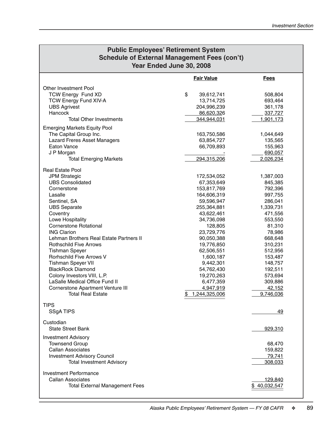| <b>Public Employees' Retirement System</b><br><b>Schedule of External Management Fees (con't)</b><br>Year Ended June 30, 2008 |                     |                |  |  |
|-------------------------------------------------------------------------------------------------------------------------------|---------------------|----------------|--|--|
|                                                                                                                               | <b>Fair Value</b>   | <u>Fees</u>    |  |  |
|                                                                                                                               |                     |                |  |  |
| <b>Other Investment Pool</b>                                                                                                  |                     |                |  |  |
| <b>TCW Energy Fund XD</b>                                                                                                     | \$<br>39,612,741    | 508,804        |  |  |
| <b>TCW Energy Fund XIV-A</b>                                                                                                  | 13,714,725          | 693,464        |  |  |
| <b>UBS Agrivest</b>                                                                                                           | 204,996,239         | 361,178        |  |  |
| Hancock                                                                                                                       | 86,620,326          | 337,727        |  |  |
| <b>Total Other Investments</b>                                                                                                | 344,944,031         | 1,901,173      |  |  |
| <b>Emerging Markets Equity Pool</b>                                                                                           |                     |                |  |  |
| The Capital Group Inc.                                                                                                        | 163,750,586         | 1,044,649      |  |  |
| <b>Lazard Freres Asset Managers</b>                                                                                           | 63,854,727          | 135,565        |  |  |
| <b>Eaton Vance</b>                                                                                                            | 66,709,893          | 155,963        |  |  |
| J P Morgan                                                                                                                    |                     | 690,057        |  |  |
| <b>Total Emerging Markets</b>                                                                                                 | 294,315,206         | 2,026,234      |  |  |
|                                                                                                                               |                     |                |  |  |
| <b>Real Estate Pool</b>                                                                                                       |                     |                |  |  |
| <b>JPM Strategic</b>                                                                                                          | 172,534,052         | 1,387,003      |  |  |
| <b>UBS Consolidated</b>                                                                                                       | 67,353,649          | 845,385        |  |  |
| Cornerstone                                                                                                                   | 153,817,769         | 792,396        |  |  |
| Lasalle                                                                                                                       | 164,606,319         | 997,755        |  |  |
| Sentinel, SA                                                                                                                  | 59,596,947          | 286,041        |  |  |
| <b>UBS Separate</b>                                                                                                           | 255,364,881         | 1,339,731      |  |  |
| Coventry                                                                                                                      | 43,622,461          | 471,556        |  |  |
| Lowe Hospitality                                                                                                              | 34,736,098          | 553,550        |  |  |
| <b>Cornerstone Rotational</b>                                                                                                 | 128,805             | 81,310         |  |  |
| <b>ING Clarion</b>                                                                                                            | 23,729,776          | 78,986         |  |  |
| Lehman Brothers Real Estate Partners II                                                                                       | 90,050,388          | 668,648        |  |  |
| <b>Rothschild Five Arrows</b>                                                                                                 | 19,776,850          | 310,231        |  |  |
| Tishman Speyer                                                                                                                | 62,506,551          | 512,956        |  |  |
| <b>Rorhschild Five Arrows V</b>                                                                                               | 1,600,187           | 153,487        |  |  |
| <b>Tishman Speyer VII</b>                                                                                                     | 9,442,301           | 148,757        |  |  |
| <b>BlackRock Diamond</b>                                                                                                      | 54,762,430          | 192,511        |  |  |
| Colony Investors VIII, L.P.                                                                                                   | 19,270,263          | 573,694        |  |  |
| LaSalle Medical Office Fund II                                                                                                | 6,477,359           | 309,886        |  |  |
| Cornerstone Apartment Venture III                                                                                             | 4,947,919           | 42,152         |  |  |
| <b>Total Real Estate</b>                                                                                                      | 1,244,325,006<br>\$ | 9,746,036      |  |  |
|                                                                                                                               |                     |                |  |  |
| <b>TIPS</b>                                                                                                                   |                     |                |  |  |
| SSgA TIPS                                                                                                                     |                     | 49             |  |  |
|                                                                                                                               |                     |                |  |  |
| Custodian                                                                                                                     |                     |                |  |  |
| <b>State Street Bank</b>                                                                                                      |                     | 929,310        |  |  |
| <b>Investment Advisory</b>                                                                                                    |                     |                |  |  |
| <b>Townsend Group</b>                                                                                                         |                     | 68,470         |  |  |
| <b>Callan Associates</b>                                                                                                      |                     | 159,822        |  |  |
| <b>Investment Advisory Council</b>                                                                                            |                     | 79,741         |  |  |
| <b>Total Investment Advisory</b>                                                                                              |                     | 308,033        |  |  |
|                                                                                                                               |                     |                |  |  |
| <b>Investment Performance</b>                                                                                                 |                     |                |  |  |
| <b>Callan Associates</b>                                                                                                      |                     | <u>129,840</u> |  |  |
| <b>Total External Management Fees</b>                                                                                         |                     | \$40,032,547   |  |  |
|                                                                                                                               |                     |                |  |  |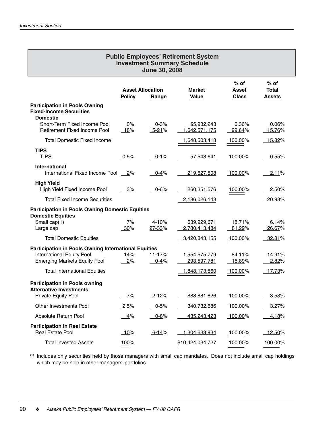| <b>Public Employees' Retirement System</b><br><b>Investment Summary Schedule</b><br><b>June 30, 2008</b> |               |                                  |                              |                                        |                                         |
|----------------------------------------------------------------------------------------------------------|---------------|----------------------------------|------------------------------|----------------------------------------|-----------------------------------------|
|                                                                                                          | Policy        | <b>Asset Allocation</b><br>Range | <b>Market</b><br>Value       | $%$ of<br><b>Asset</b><br><b>Class</b> | $%$ of<br><b>Total</b><br><b>Assets</b> |
| <b>Participation in Pools Owning</b><br><b>Fixed-Income Securities</b><br><b>Domestic</b>                |               |                                  |                              |                                        |                                         |
| Short-Term Fixed Income Pool<br><b>Retirement Fixed Income Pool</b>                                      | $0\%$<br>18%  | $0 - 3%$<br>15-21%               | \$5,932,243<br>1,642,571,175 | 0.36%<br>99.64%                        | 0.06%<br>15.76%                         |
| <b>Total Domestic Fixed Income</b>                                                                       |               |                                  | 1,648,503,418                | 100.00%                                | 15.82%                                  |
| <b>TIPS</b><br><b>TIPS</b>                                                                               | 0.5%          | $0 - 1%$                         | 57,543,641                   | 100.00%                                | 0.55%                                   |
| <b>International</b><br>International Fixed Income Pool 2%                                               |               | $0 - 4%$                         | 219,627,508                  | 100.00%                                | 2.11%                                   |
| <b>High Yield</b><br>High Yield Fixed Income Pool                                                        | 3%            | $0 - 6%$                         | 260,351,576                  | 100.00%                                | 2.50%                                   |
| <b>Total Fixed Income Securities</b>                                                                     |               |                                  | 2,186,026,143                |                                        | 20.98%                                  |
| <b>Participation in Pools Owning Domestic Equities</b><br><b>Domestic Equities</b>                       |               |                                  |                              |                                        |                                         |
| Small cap(1)<br>Large cap                                                                                | 7%<br>30%     | 4-10%<br>27-33%                  | 639,929,671<br>2,780,413,484 | 18.71%<br>81.29%                       | 6.14%<br>26.67%                         |
| <b>Total Domestic Equities</b>                                                                           |               |                                  | 3,420,343,155                | 100.00%                                | 32.81%                                  |
| <b>Participation in Pools Owning International Equities</b>                                              |               |                                  |                              |                                        |                                         |
| International Equity Pool<br><b>Emerging Markets Equity Pool</b>                                         | 14%<br>$-2\%$ | 11-17%<br>$0 - 4%$               | 1,554,575,779<br>293,597,781 | 84.11%<br>15.89%                       | 14.91%<br>2.82%                         |
| <b>Total International Equities</b>                                                                      |               |                                  | 1,848,173,560                | 100.00%                                | 17.73%                                  |
| <b>Participation in Pools owning</b><br><b>Alternative Investments</b>                                   |               |                                  |                              |                                        |                                         |
| Private Equity Pool                                                                                      | $Z\%$         | $2 - 12%$                        | 888,881,826                  | 100.00%                                | 8.53%                                   |
| Other Investments Pool                                                                                   | 2.5%          | $0 - 5%$                         | 340,732,686                  | 100.00%                                | 3.27%                                   |
| Absolute Return Pool                                                                                     | 4%            | $0 - 8%$                         | 435,243,423                  | 100.00%                                | 4.18%                                   |
| <b>Participation in Real Estate</b><br><b>Real Estate Pool</b>                                           | 10%           | $6 - 14%$                        | 1,304,633,934                | 100.00%                                | 12.50%                                  |
| <b>Total Invested Assets</b>                                                                             | 100%          |                                  | \$10,424,034,727             | 100.00%                                | 100.00%                                 |

(1) Includes only securities held by those managers with small cap mandates. Does not include small cap holdings which may be held in other managers' portfolios.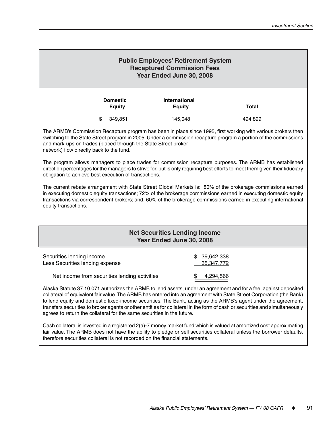| <b>Public Employees' Retirement System</b><br><b>Recaptured Commission Fees</b><br>Year Ended June 30, 2008                                                                                                                                                                                                                                                                                                                                                                                                                                                                                                                                                                                                                                                                                                                                                                                                                                                                                                                     |                                  |                                |              |  |
|---------------------------------------------------------------------------------------------------------------------------------------------------------------------------------------------------------------------------------------------------------------------------------------------------------------------------------------------------------------------------------------------------------------------------------------------------------------------------------------------------------------------------------------------------------------------------------------------------------------------------------------------------------------------------------------------------------------------------------------------------------------------------------------------------------------------------------------------------------------------------------------------------------------------------------------------------------------------------------------------------------------------------------|----------------------------------|--------------------------------|--------------|--|
|                                                                                                                                                                                                                                                                                                                                                                                                                                                                                                                                                                                                                                                                                                                                                                                                                                                                                                                                                                                                                                 | <b>Domestic</b><br><b>Equity</b> | International<br><u>Equity</u> | <b>Total</b> |  |
|                                                                                                                                                                                                                                                                                                                                                                                                                                                                                                                                                                                                                                                                                                                                                                                                                                                                                                                                                                                                                                 | \$<br>349,851                    | 145,048                        | 494,899      |  |
| The ARMB's Commission Recapture program has been in place since 1995, first working with various brokers then<br>switching to the State Street program in 2005. Under a commission recapture program a portion of the commissions<br>and mark-ups on trades (placed through the State Street broker<br>network) flow directly back to the fund.<br>The program allows managers to place trades for commission recapture purposes. The ARMB has established<br>direction percentages for the managers to strive for, but is only requiring best efforts to meet them given their fiduciary<br>obligation to achieve best execution of transactions.<br>The current rebate arrangement with State Street Global Markets is: 80% of the brokerage commissions earned<br>in executing domestic equity transactions; 72% of the brokerage commissions earned in executing domestic equity<br>transactions via correspondent brokers; and, 60% of the brokerage commissions earned in executing international<br>equity transactions. |                                  |                                |              |  |
| <b>Net Securities Lending Income</b><br>Year Ended June 30, 2008                                                                                                                                                                                                                                                                                                                                                                                                                                                                                                                                                                                                                                                                                                                                                                                                                                                                                                                                                                |                                  |                                |              |  |
| Securities lending income<br>Less Securities lending expense                                                                                                                                                                                                                                                                                                                                                                                                                                                                                                                                                                                                                                                                                                                                                                                                                                                                                                                                                                    |                                  | 39,642,338<br>35,347,772       |              |  |
| Net income from securities lending activities                                                                                                                                                                                                                                                                                                                                                                                                                                                                                                                                                                                                                                                                                                                                                                                                                                                                                                                                                                                   |                                  |                                | 4,294,566    |  |
| Alaska Statute 37.10.071 authorizes the ARMB to lend assets, under an agreement and for a fee, against deposited<br>collateral of equivalent fair value. The ARMB has entered into an agreement with State Street Corporation (the Bank)<br>to lend equity and domestic fixed-income securities. The Bank, acting as the ARMB's agent under the agreement,<br>transfers securities to broker agents or other entities for collateral in the form of cash or securities and simultaneously<br>agrees to return the collateral for the same securities in the future.                                                                                                                                                                                                                                                                                                                                                                                                                                                             |                                  |                                |              |  |
| Cash collateral is invested in a registered 2(a)-7 money market fund which is valued at amortized cost approximating<br>fair value. The ARMB does not have the ability to pledge or sell securities collateral unless the borrower defaults,<br>therefore securities collateral is not recorded on the financial statements.                                                                                                                                                                                                                                                                                                                                                                                                                                                                                                                                                                                                                                                                                                    |                                  |                                |              |  |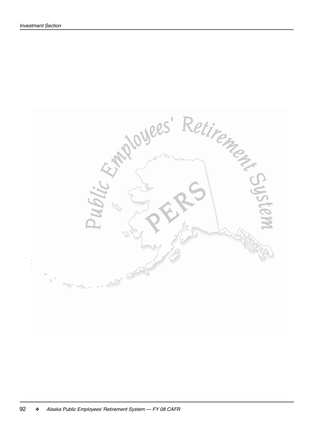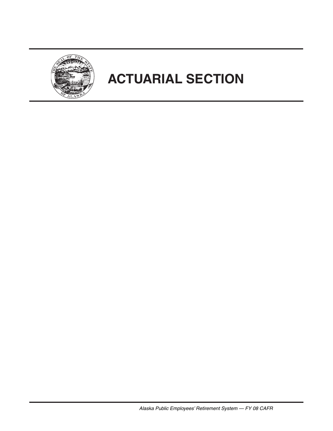

# **ACTUARIAL SECTION**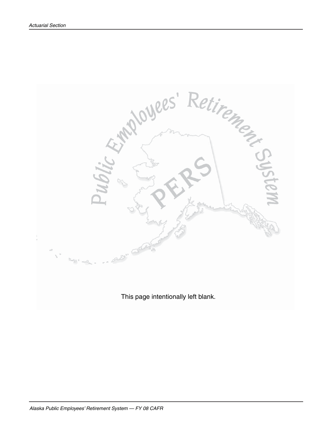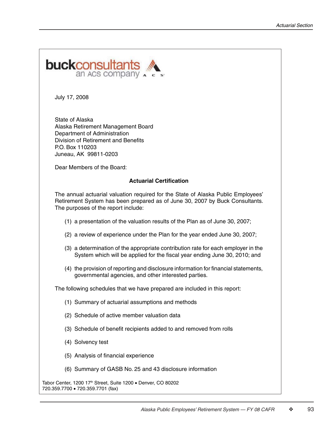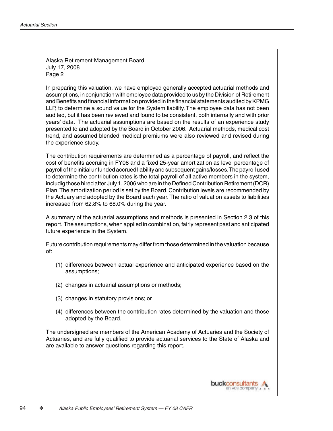Alaska Retirement Management Board July 17, 2008 Page 2

In preparing this valuation, we have employed generally accepted actuarial methods and assumptions, in conjunction with employee data provided to us by the Division of Retirement and Benefits and financial information provided in the financial statements audited by KPMG LLP, to determine a sound value for the System liability. The employee data has not been audited, but it has been reviewed and found to be consistent, both internally and with prior years' data. The actuarial assumptions are based on the results of an experience study presented to and adopted by the Board in October 2006. Actuarial methods, medical cost trend, and assumed blended medical premiums were also reviewed and revised during the experience study.

The contribution requirements are determined as a percentage of payroll, and reflect the cost of benefits accruing in FY08 and a fixed 25-year amortization as level percentage of payroll of the initial unfunded accrued liability and subsequent gains/losses. The payroll used to determine the contribution rates is the total payroll of all active members in the system, includig those hired after July 1, 2006 who are in the Defined Contribution Retirement (DCR) Plan. The amortization period is set by the Board. Contribution levels are recommended by the Actuary and adopted by the Board each year. The ratio of valuation assets to liabilities increased from 62.8% to 68.0% during the year.

A summary of the actuarial assumptions and methods is presented in Section 2.3 of this report. The assumptions, when applied in combination, fairly represent past and anticipated future experience in the System.

Future contribution requirements may differ from those determined in the valuation because of:

- (1) differences between actual experience and anticipated experience based on the assumptions;
- (2) changes in actuarial assumptions or methods;
- (3) changes in statutory provisions; or
- (4) differences between the contribution rates determined by the valuation and those adopted by the Board.

The undersigned are members of the American Academy of Actuaries and the Society of Actuaries, and are fully qualified to provide actuarial services to the State of Alaska and are available to answer questions regarding this report.

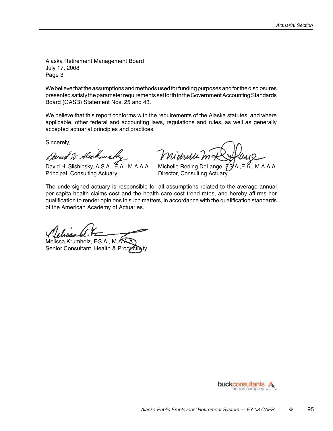Alaska Retirement Management Board July 17, 2008 Page 3

We believe that the assumptions and methods used for funding purposes and for the disclosures presented satisfy the parameter requirements set forth in the Government Accounting Standards Board (GASB) Statement Nos. 25 and 43.

We believe that this report conforms with the requirements of the Alaska statutes, and where applicable, other federal and accounting laws, regulations and rules, as well as generally accepted actuarial principles and practices.

Sincerely,

David W. Dickwicky

Minuu mx

Principal, Consulting Actuary Director, Consulting Actuary

David H. Slishinsky, A.S.A., E.A., M.A.A.A. Michelle Reding DeLange,  $F.S.A., E.A., M.A.A.A.$ 

The undersigned actuary is responsible for all assumptions related to the average annual per capita health claims cost and the health care cost trend rates, and hereby affirms her qualification to render opinions in such matters, in accordance with the qualification standards of the American Academy of Actuaries.

Melissa Krumholz, F.S.A., M.A. Senior Consultant, Health & Productivity

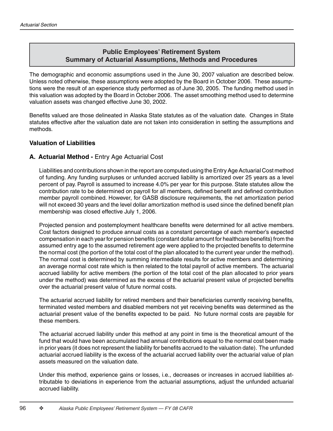# **Public Employees' Retirement System Summary of Actuarial Assumptions, Methods and Procedures**

The demographic and economic assumptions used in the June 30, 2007 valuation are described below. Unless noted otherwise, these assumptions were adopted by the Board in October 2006. These assumptions were the result of an experience study performed as of June 30, 2005. The funding method used in this valuation was adopted by the Board in October 2006. The asset smoothing method used to determine valuation assets was changed effective June 30, 2002.

Benefits valued are those delineated in Alaska State statutes as of the valuation date. Changes in State statutes effective after the valuation date are not taken into consideration in setting the assumptions and methods.

## **Valuation of Liabilities**

## **A. Actuarial Method -** Entry Age Actuarial Cost

Liabilities and contributions shown in the report are computed using the Entry Age Actuarial Cost method of funding. Any funding surpluses or unfunded accrued liability is amortized over 25 years as a level percent of pay. Payroll is assumed to increase 4.0% per year for this purpose. State statutes allow the contribution rate to be determined on payroll for all members, defined benefit and defined contribution member payroll combined. However, for GASB disclosure requirements, the net amortization period will not exceed 30 years and the level dollar amortization method is used since the defined benefit plan membership was closed effective July 1, 2006.

Projected pension and postemployment healthcare benefits were determined for all active members. Cost factors designed to produce annual costs as a constant percentage of each member's expected compensation in each year for pension benefits (constant dollar amount for healthcare benefits) from the assumed entry age to the assumed retirement age were applied to the projected benefits to determine the normal cost (the portion of the total cost of the plan allocated to the current year under the method). The normal cost is determined by summing intermediate results for active members and determining an average normal cost rate which is then related to the total payroll of active members. The actuarial accrued liability for active members (the portion of the total cost of the plan allocated to prior years under the method) was determined as the excess of the actuarial present value of projected benefits over the actuarial present value of future normal costs.

The actuarial accrued liability for retired members and their beneficiaries currently receiving benefits, terminated vested members and disabled members not yet receiving benefits was determined as the actuarial present value of the benefits expected to be paid. No future normal costs are payable for these members.

The actuarial accrued liability under this method at any point in time is the theoretical amount of the fund that would have been accumulated had annual contributions equal to the normal cost been made in prior years (it does not represent the liability for benefits accrued to the valuation date). The unfunded actuarial accrued liability is the excess of the actuarial accrued liability over the actuarial value of plan assets measured on the valuation date.

Under this method, experience gains or losses, i.e., decreases or increases in accrued liabilities attributable to deviations in experience from the actuarial assumptions, adjust the unfunded actuarial accrued liability.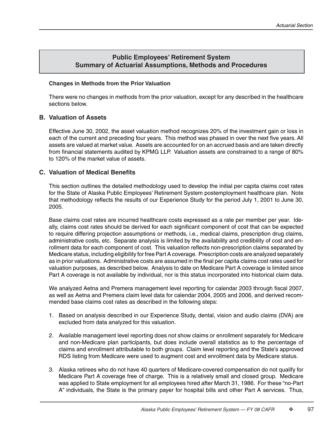#### **Changes in Methods from the Prior Valuation**

There were no changes in methods from the prior valuation, except for any described in the healthcare sections below.

### **B. Valuation of Assets**

Effective June 30, 2002, the asset valuation method recognizes 20% of the investment gain or loss in each of the current and preceding four years. This method was phased in over the next five years. All assets are valued at market value. Assets are accounted for on an accrued basis and are taken directly from financial statements audited by KPMG LLP. Valuation assets are constrained to a range of 80% to 120% of the market value of assets.

### **C. Valuation of Medical Benefits**

This section outlines the detailed methodology used to develop the initial per capita claims cost rates for the State of Alaska Public Employees' Retirement System postemployment healthcare plan. Note that methodology reflects the results of our Experience Study for the period July 1, 2001 to June 30, 2005.

Base claims cost rates are incurred healthcare costs expressed as a rate per member per year. Ideally, claims cost rates should be derived for each significant component of cost that can be expected to require differing projection assumptions or methods, i.e., medical claims, prescription drug claims, administrative costs, etc. Separate analysis is limited by the availability and credibility of cost and enrollment data for each component of cost. This valuation reflects non-prescription claims separated by Medicare status, including eligibility for free Part A coverage. Prescription costs are analyzed separately as in prior valuations. Administrative costs are assumed in the final per capita claims cost rates used for valuation purposes, as described below. Analysis to date on Medicare Part A coverage is limited since Part A coverage is not available by individual, nor is this status incorporated into historical claim data.

We analyzed Aetna and Premera management level reporting for calendar 2003 through fiscal 2007, as well as Aetna and Premera claim level data for calendar 2004, 2005 and 2006, and derived recommended base claims cost rates as described in the following steps:

- 1. Based on analysis described in our Experience Study, dental, vision and audio claims (DVA) are excluded from data analyzed for this valuation.
- 2. Available management level reporting does not show claims or enrollment separately for Medicare and non-Medicare plan participants, but does include overall statistics as to the percentage of claims and enrollment attributable to both groups. Claim level reporting and the State's approved RDS listing from Medicare were used to augment cost and enrollment data by Medicare status.
- 3. Alaska retirees who do not have 40 quarters of Medicare-covered compensation do not qualify for Medicare Part A coverage free of charge. This is a relatively small and closed group. Medicare was applied to State employment for all employees hired after March 31, 1986. For these "no-Part A" individuals, the State is the primary payer for hospital bills and other Part A services. Thus,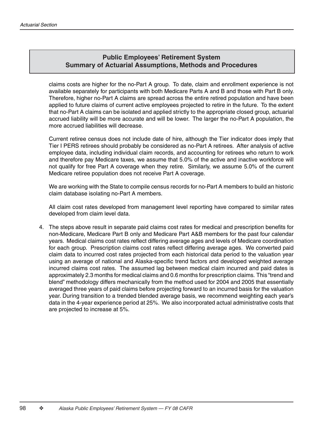claims costs are higher for the no-Part A group. To date, claim and enrollment experience is not available separately for participants with both Medicare Parts A and B and those with Part B only. Therefore, higher no-Part A claims are spread across the entire retired population and have been applied to future claims of current active employees projected to retire in the future. To the extent that no-Part A claims can be isolated and applied strictly to the appropriate closed group, actuarial accrued liability will be more accurate and will be lower. The larger the no-Part A population, the more accrued liabilities will decrease.

 Current retiree census does not include date of hire, although the Tier indicator does imply that Tier I PERS retirees should probably be considered as no-Part A retirees. After analysis of active employee data, including individual claim records, and accounting for retirees who return to work and therefore pay Medicare taxes, we assume that 5.0% of the active and inactive workforce will not qualify for free Part A coverage when they retire. Similarly, we assume 5.0% of the current Medicare retiree population does not receive Part A coverage.

 We are working with the State to compile census records for no-Part A members to build an historic claim database isolating no-Part A members.

 All claim cost rates developed from management level reporting have compared to similar rates developed from claim level data.

4. The steps above result in separate paid claims cost rates for medical and prescription benefits for non-Medicare, Medicare Part B only and Medicare Part A&B members for the past four calendar years. Medical claims cost rates reflect differing average ages and levels of Medicare coordination for each group. Prescription claims cost rates reflect differing average ages. We converted paid claim data to incurred cost rates projected from each historical data period to the valuation year using an average of national and Alaska-specific trend factors and developed weighted average incurred claims cost rates. The assumed lag between medical claim incurred and paid dates is approximately 2.3 months for medical claims and 0.6 months for prescription claims. This "trend and blend" methodology differs mechanically from the method used for 2004 and 2005 that essentially averaged three years of paid claims before projecting forward to an incurred basis for the valuation year. During transition to a trended blended average basis, we recommend weighting each year's data in the 4-year experience period at 25%. We also incorporated actual administrative costs that are projected to increase at 5%.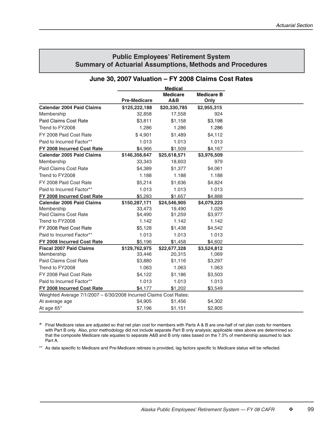### **June 30, 2007 Valuation – FY 2008 Claims Cost Rates**

|                                                                   |                     | <b>Medical</b>  |                   |
|-------------------------------------------------------------------|---------------------|-----------------|-------------------|
|                                                                   |                     | <b>Medicare</b> | <b>Medicare B</b> |
|                                                                   | <b>Pre-Medicare</b> | A&B             | Only              |
| <b>Calendar 2004 Paid Claims</b>                                  | \$125,222,188       | \$20,330,785    | \$2,955,315       |
| Membership                                                        | 32,858              | 17,558          | 924               |
| <b>Paid Claims Cost Rate</b>                                      | \$3,811             | \$1,158         | \$3,198           |
| Trend to FY2008                                                   | 1.286               | 1.286           | 1.286             |
| FY 2008 Paid Cost Rate                                            | \$4,901             | \$1,489         | \$4,112           |
| Paid to Incurred Factor**                                         | 1.013               | 1.013           | 1.013             |
| FY 2008 Incurred Cost Rate                                        | \$4,966             | \$1,509         | \$4,167           |
| <b>Calendar 2005 Paid Claims</b>                                  | \$146,356,647       | \$25,618,571    | \$3,976,509       |
| Membership                                                        | 33,343              | 18,603          | 979               |
| Paid Claims Cost Rate                                             | \$4,389             | \$1,377         | \$4,061           |
| Trend to FY2008                                                   | 1.188               | 1.188           | 1.188             |
| FY 2008 Paid Cost Rate                                            | \$5,214             | \$1,636         | \$4,824           |
| Paid to Incurred Factor**                                         | 1.013               | 1.013           | 1.013             |
| FY 2008 Incurred Cost Rate                                        | \$5,283             | \$1,657         | \$4,888           |
| <b>Calendar 2006 Paid Claims</b>                                  | \$150,287,171       | \$24,546,905    | \$4,079,223       |
| Membership                                                        | 33,473              | 19,490          | 1,026             |
| Paid Claims Cost Rate                                             | \$4,490             | \$1,259         | \$3,977           |
| Trend to FY2008                                                   | 1.142               | 1.142           | 1.142             |
| FY 2008 Paid Cost Rate                                            | \$5,128             | \$1,438         | \$4,542           |
| Paid to Incurred Factor**                                         | 1.013               | 1.013           | 1.013             |
| FY 2008 Incurred Cost Rate                                        | \$5,196             | \$1,458         | \$4,602           |
| <b>Fiscal 2007 Paid Claims</b>                                    | \$129,762,975       | \$22,677,328    | \$3,524,812       |
| Membership                                                        | 33,446              | 20,315          | 1,069             |
| Paid Claims Cost Rate                                             | \$3,880             | \$1,116         | \$3,297           |
| Trend to FY2008                                                   | 1.063               | 1.063           | 1.063             |
| FY 2008 Paid Cost Rate                                            | \$4,122             | \$1,186         | \$3,503           |
| Paid to Incurred Factor**                                         | 1.013               | 1.013           | 1.013             |
| FY 2008 Incurred Cost Rate                                        | \$4,177             | \$1,202         | \$3,549           |
| Weighted Average 7/1/2007 - 6/30/2008 Incurred Claims Cost Rates: |                     |                 |                   |
| At average age                                                    | \$4,905             | \$1,456         | \$4,302           |
| At age 65*                                                        | \$7,196             | \$1,151         | \$2,805           |

\* Final Medicare rates are adjusted so that net plan cost for members with Parts A & B are one-half of net plan costs for members with Part B only. Also, prior methodology did not include separate Part B only analysis; applicable rates above are determined so that the composite Medicare rate equates to separate A&B and B only rates based on the 7.5% of membership assumed to lack Part A.

\*\* As data specific to Medicare and Pre-Medicare retirees is provided, lag factors specific to Medicare status will be reflected.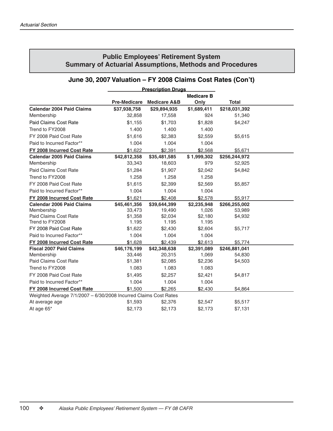### **June 30, 2007 Valuation – FY 2008 Claims Cost Rates (Con't)**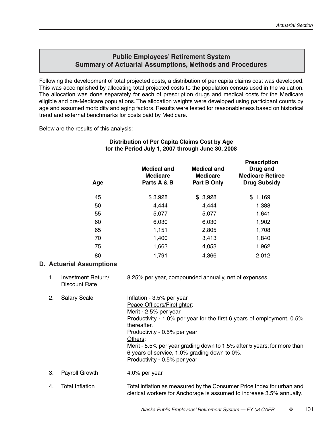Following the development of total projected costs, a distribution of per capita claims cost was developed. This was accomplished by allocating total projected costs to the population census used in the valuation. The allocation was done separately for each of prescription drugs and medical costs for the Medicare eligible and pre-Medicare populations. The allocation weights were developed using participant counts by age and assumed morbidity and aging factors. Results were tested for reasonableness based on historical trend and external benchmarks for costs paid by Medicare.

Below are the results of this analysis:

| <u>Age</u> | <b>Medical and</b><br><b>Medicare</b><br>Parts A & B | <b>Medical and</b><br><b>Medicare</b><br><b>Part B Only</b> | <b>Prescription</b><br>Drug and<br><b>Medicare Retiree</b><br><b>Drug Subsidy</b> |
|------------|------------------------------------------------------|-------------------------------------------------------------|-----------------------------------------------------------------------------------|
| 45         | \$3.928                                              | \$3,928                                                     | \$1,169                                                                           |
| 50         | 4,444                                                | 4,444                                                       | 1,388                                                                             |
| 55         | 5,077                                                | 5,077                                                       | 1,641                                                                             |
| 60         | 6,030                                                | 6,030                                                       | 1,902                                                                             |
| 65         | 1,151                                                | 2,805                                                       | 1,708                                                                             |
| 70         | 1,400                                                | 3,413                                                       | 1,840                                                                             |
| 75         | 1,663                                                | 4,053                                                       | 1,962                                                                             |
| 80         | 1,791                                                | 4,366                                                       | 2,012                                                                             |
|            |                                                      |                                                             |                                                                                   |

# **Distribution of Per Capita Claims Cost by Age for the Period July 1, 2007 through June 30, 2008**

### **D. Actuarial Assumptions**

- 1. Investment Return/ 8.25% per year, compounded annually, net of expenses. Discount Rate
- 2. Salary Scale Inflation 3.5% per year Peace Officers/Firefighter: Merit - 2.5% per year Productivity - 1.0% per year for the first 6 years of employment, 0.5% thereafter. Productivity - 0.5% per year Others: Merit - 5.5% per year grading down to 1.5% after 5 years; for more than 6 years of service, 1.0% grading down to 0%. Productivity - 0.5% per year 3. Payroll Growth 4.0% per year 4. Total Inflation Total inflation as measured by the Consumer Price Index for urban and clerical workers for Anchorage is assumed to increase 3.5% annually.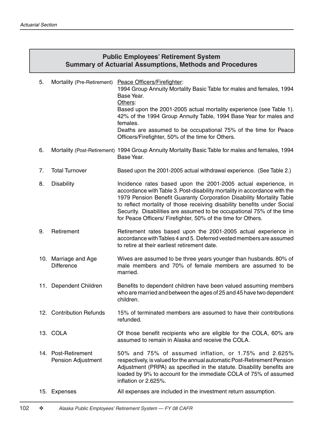| 5. | Mortality (Pre-Retirement)                | Peace Officers/Firefighter:<br>1994 Group Annuity Mortality Basic Table for males and females, 1994<br>Base Year.<br>Others:<br>Based upon the 2001-2005 actual mortality experience (see Table 1).<br>42% of the 1994 Group Annuity Table, 1994 Base Year for males and<br>females.<br>Deaths are assumed to be occupational 75% of the time for Peace<br>Officers/Firefighter, 50% of the time for Others.                             |
|----|-------------------------------------------|------------------------------------------------------------------------------------------------------------------------------------------------------------------------------------------------------------------------------------------------------------------------------------------------------------------------------------------------------------------------------------------------------------------------------------------|
| 6. |                                           | Mortality (Post-Retirement) 1994 Group Annuity Mortality Basic Table for males and females, 1994<br>Base Year.                                                                                                                                                                                                                                                                                                                           |
| 7. | <b>Total Turnover</b>                     | Based upon the 2001-2005 actual withdrawal experience. (See Table 2.)                                                                                                                                                                                                                                                                                                                                                                    |
| 8. | <b>Disability</b>                         | Incidence rates based upon the 2001-2005 actual experience, in<br>accordance with Table 3. Post-disability mortality in accordance with the<br>1979 Pension Benefit Guaranty Corporation Disability Mortality Table<br>to reflect mortality of those receiving disability benefits under Social<br>Security. Disabilities are assumed to be occupational 75% of the time<br>for Peace Officers/ Firefighter, 50% of the time for Others. |
| 9. | Retirement                                | Retirement rates based upon the 2001-2005 actual experience in<br>accordance with Tables 4 and 5. Deferred vested members are assumed<br>to retire at their earliest retirement date.                                                                                                                                                                                                                                                    |
|    | 10. Marriage and Age<br><b>Difference</b> | Wives are assumed to be three years younger than husbands. 80% of<br>male members and 70% of female members are assumed to be<br>married.                                                                                                                                                                                                                                                                                                |
|    | 11. Dependent Children                    | Benefits to dependent children have been valued assuming members<br>who are married and between the ages of 25 and 45 have two dependent<br>children.                                                                                                                                                                                                                                                                                    |
|    | 12. Contribution Refunds                  | 15% of terminated members are assumed to have their contributions<br>refunded.                                                                                                                                                                                                                                                                                                                                                           |
|    | 13. COLA                                  | Of those benefit recipients who are eligible for the COLA, 60% are<br>assumed to remain in Alaska and receive the COLA.                                                                                                                                                                                                                                                                                                                  |
|    | 14. Post-Retirement<br>Pension Adjustment | 50% and 75% of assumed inflation, or 1.75% and 2.625%<br>respectively, is valued for the annual automatic Post-Retirement Pension<br>Adjustment (PRPA) as specified in the statute. Disability benefits are<br>loaded by 9% to account for the immediate COLA of 75% of assumed<br>inflation or 2.625%.                                                                                                                                  |
|    | 15. Expenses                              | All expenses are included in the investment return assumption.                                                                                                                                                                                                                                                                                                                                                                           |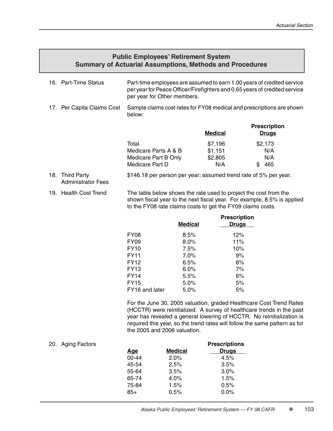| <b>Public Employees' Retirement System</b><br><b>Summary of Actuarial Assumptions, Methods and Procedures</b> |                                              |                                                                                                                                                                                                            |                     |                                      |                                                                                                                                                                                                                                                                                                     |  |  |
|---------------------------------------------------------------------------------------------------------------|----------------------------------------------|------------------------------------------------------------------------------------------------------------------------------------------------------------------------------------------------------------|---------------------|--------------------------------------|-----------------------------------------------------------------------------------------------------------------------------------------------------------------------------------------------------------------------------------------------------------------------------------------------------|--|--|
|                                                                                                               | 16. Part-Time Status                         | Part-time employees are assumed to earn 1.00 years of credited service<br>per year for Peace Officer/Firefighters and 0.65 years of credited service<br>per year for Other members.                        |                     |                                      |                                                                                                                                                                                                                                                                                                     |  |  |
|                                                                                                               | 17. Per Capita Claims Cost                   | Sample claims cost rates for FY08 medical and prescriptions are shown<br>below:                                                                                                                            |                     |                                      |                                                                                                                                                                                                                                                                                                     |  |  |
|                                                                                                               |                                              |                                                                                                                                                                                                            |                     | <b>Medical</b>                       | <b>Prescription</b><br><b>Drugs</b>                                                                                                                                                                                                                                                                 |  |  |
|                                                                                                               |                                              | Total<br>Medicare Parts A & B<br>Medicare Part B Only<br>Medicare Part D                                                                                                                                   |                     | \$7,196<br>\$1.151<br>\$2,805<br>N/A | \$2,173<br>N/A<br>N/A<br>\$465                                                                                                                                                                                                                                                                      |  |  |
|                                                                                                               | 18. Third Party<br><b>Administrator Fees</b> |                                                                                                                                                                                                            |                     |                                      | \$146.18 per person per year; assumed trend rate of 5% per year.                                                                                                                                                                                                                                    |  |  |
|                                                                                                               | 19. Health Cost Trend                        | The table below shows the rate used to project the cost from the<br>shown fiscal year to the next fiscal year. For example, 8.5% is applied<br>to the FY08 rate claims costs to get the FY09 claims costs. |                     |                                      |                                                                                                                                                                                                                                                                                                     |  |  |
|                                                                                                               |                                              |                                                                                                                                                                                                            | <b>Prescription</b> |                                      |                                                                                                                                                                                                                                                                                                     |  |  |
|                                                                                                               |                                              |                                                                                                                                                                                                            |                     |                                      |                                                                                                                                                                                                                                                                                                     |  |  |
|                                                                                                               |                                              |                                                                                                                                                                                                            | <b>Medical</b>      | <b>Drugs</b>                         |                                                                                                                                                                                                                                                                                                     |  |  |
|                                                                                                               |                                              | <b>FY08</b>                                                                                                                                                                                                | 8.5%                | 12%                                  |                                                                                                                                                                                                                                                                                                     |  |  |
|                                                                                                               |                                              | <b>FY09</b>                                                                                                                                                                                                | 8.0%                | 11%                                  |                                                                                                                                                                                                                                                                                                     |  |  |
|                                                                                                               |                                              | <b>FY10</b>                                                                                                                                                                                                | 7.5%                | 10%                                  |                                                                                                                                                                                                                                                                                                     |  |  |
|                                                                                                               |                                              | <b>FY11</b>                                                                                                                                                                                                | 7.0%                | 9%                                   |                                                                                                                                                                                                                                                                                                     |  |  |
|                                                                                                               |                                              | <b>FY12</b>                                                                                                                                                                                                | 6.5%                | 8%                                   |                                                                                                                                                                                                                                                                                                     |  |  |
|                                                                                                               |                                              | <b>FY13</b>                                                                                                                                                                                                | 6.0%                | 7%                                   |                                                                                                                                                                                                                                                                                                     |  |  |
|                                                                                                               |                                              | <b>FY14</b>                                                                                                                                                                                                | 5.5%                | 6%                                   |                                                                                                                                                                                                                                                                                                     |  |  |
|                                                                                                               |                                              | <b>FY15</b>                                                                                                                                                                                                | 5.0%                | 5%                                   |                                                                                                                                                                                                                                                                                                     |  |  |
|                                                                                                               |                                              | FY16 and later                                                                                                                                                                                             | 5.0%                | 5%                                   |                                                                                                                                                                                                                                                                                                     |  |  |
|                                                                                                               |                                              | the 2005 and 2006 valuation.                                                                                                                                                                               |                     |                                      | For the June 30, 2005 valuation, graded Healthcare Cost Trend Rates<br>(HCCTR) were reinitialized. A survey of healthcare trends in the past<br>year has revealed a general lowering of HCCTR. No reinitialization is<br>required this year, so the trend rates will follow the same pattern as for |  |  |
|                                                                                                               |                                              |                                                                                                                                                                                                            |                     |                                      |                                                                                                                                                                                                                                                                                                     |  |  |
|                                                                                                               | 20. Aging Factors                            |                                                                                                                                                                                                            |                     | <b>Prescriptions</b>                 |                                                                                                                                                                                                                                                                                                     |  |  |
|                                                                                                               |                                              | <u>Age</u>                                                                                                                                                                                                 | <b>Medical</b>      | <b>Drugs</b>                         |                                                                                                                                                                                                                                                                                                     |  |  |
|                                                                                                               |                                              | $00 - 44$                                                                                                                                                                                                  | 2.0%                | 4.5%                                 |                                                                                                                                                                                                                                                                                                     |  |  |
|                                                                                                               |                                              | 45-54<br>55-64                                                                                                                                                                                             | 2.5%<br>3.5%        | 3.5%<br>3.0%                         |                                                                                                                                                                                                                                                                                                     |  |  |

 75-84 1.5% 0.5%  $85+$  0.5% 0.0%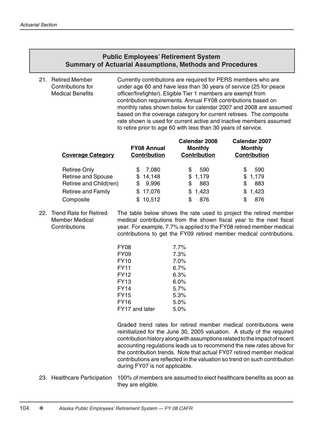21. Retired Member Currently contributions are required for PERS members who are Contributions for under age 60 and have less than 30 years of service (25 for peace Medical Benefits officer/firefighter). Eligible Tier 1 members are exempt from contribution requirements. Annual FY08 contributions based on monthly rates shown below for calendar 2007 and 2008 are assumed based on the coverage category for current retirees. The composite rate shown is used for current active and inactive members assumed to retire prior to age 60 with less than 30 years of service.

| <b>Coverage Category</b>  | <b>FY08 Annual</b><br><b>Contribution</b> | Calendar 2008<br>Monthly<br><b>Contribution</b> | Calendar 2007<br><b>Monthly</b><br><b>Contribution</b> |
|---------------------------|-------------------------------------------|-------------------------------------------------|--------------------------------------------------------|
| <b>Retiree Only</b>       | 7,080                                     | 590<br>S                                        | 590<br>S                                               |
| Retiree and Spouse        | 14,148                                    | 1,179                                           | 1,179                                                  |
|                           | \$.                                       | \$                                              | \$                                                     |
| Retiree and Child(ren)    | 9,996                                     | 883                                             | \$                                                     |
|                           | S                                         | \$                                              | 883                                                    |
| <b>Retiree and Family</b> | 17,076<br>\$.                             | \$1,423                                         | 1,423<br>\$                                            |
| Composite                 | 10,512                                    | 876                                             | 876                                                    |
|                           | S.                                        | S                                               | \$                                                     |

22. Trend Rate for Retired The table below shows the rate used to project the retired member Member Medical medical contributions from the shown fiscal year to the next fiscal Contributions year. For example, 7.7% is applied to the FY08 retired member medical contributions to get the FY09 retired member medical contributions.

| <b>FY08</b>    | 7.7% |
|----------------|------|
|                |      |
| <b>FY09</b>    | 7.3% |
| <b>FY10</b>    | 7.0% |
| <b>FY11</b>    | 6.7% |
| FY12           | 6.3% |
| FY13           | 6.0% |
| FY14           | 5.7% |
| <b>FY15</b>    | 5.3% |
| <b>FY16</b>    | 5.0% |
| FY17 and later | 5.0% |

Graded trend rates for retired member medical contributions were reinitialized for the June 30, 2005 valuation. A study of the required contribution history along with assumptions related to the impact of recent accounting regulations leads us to recommend the new rates above for the contribution trends. Note that actual FY07 retired member medical contributions are reflected in the valuation so trend on such contribution during FY07 is not applicable.

23. Healthcare Participation 100% of members are assumed to elect healthcare benefits as soon as they are eligible.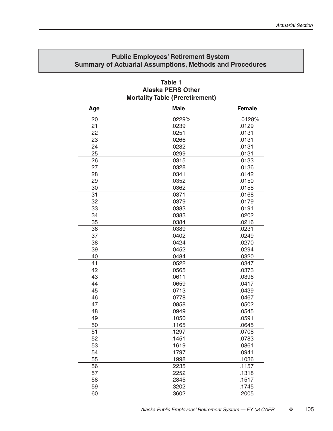| Table 1                                |
|----------------------------------------|
| <b>Alaska PERS Other</b>               |
| <b>Mortality Table (Preretirement)</b> |

| <b>Age</b> | <b>Male</b> | <b>Female</b> |
|------------|-------------|---------------|
| 20         | .0229%      | .0128%        |
| 21         | .0239       | .0129         |
| 22         | .0251       | .0131         |
| 23         | .0266       | .0131         |
| 24         | .0282       | .0131         |
| 25         | .0299       | .0131         |
| 26         | .0315       | .0133         |
| 27         | .0328       | .0136         |
| 28         | .0341       | .0142         |
| 29         | .0352       | .0150         |
| 30         | .0362       | .0158         |
| 31         | .0371       | .0168         |
| 32         | .0379       | .0179         |
| 33         | .0383       | .0191         |
| 34         | .0383       | .0202         |
| 35         | .0384       | .0216         |
| 36         | .0389       | .0231         |
| 37         | .0402       | .0249         |
| 38         | .0424       | .0270         |
| 39         | .0452       | .0294         |
| 40         | .0484       | .0320         |
| 41         | .0522       | .0347         |
| 42         | .0565       | .0373         |
| 43         | .0611       | .0396         |
| 44         | .0659       | .0417         |
| 45         | .0713       | .0439         |
| 46         | .0778       | .0467         |
| 47         | .0858       | .0502         |
| 48         | .0949       | .0545         |
| 49         | .1050       | .0591         |
| 50         | .1165       | .0645         |
| 51         | .1297       | .0708         |
| 52         | .1451       | .0783         |
| 53         | .1619       | .0861         |
| 54         | .1797       | .0941         |
| 55         | .1998       | .1036         |
| 56         | .2235       | .1157         |
| 57         | .2252       | .1318         |
| 58         | .2845       | .1517         |
| 59         | .3202       | .1745         |
| 60         | .3602       | .2005         |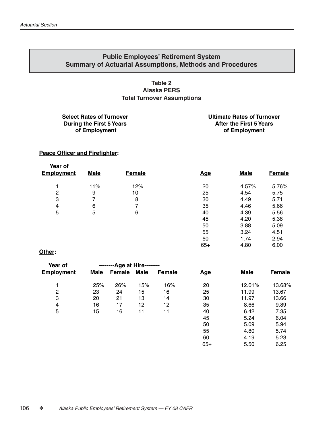### **Table 2 Alaska PERS Total Turnover Assumptions**

### **Select Rates of Turnover Ultimate Rates of Turnover During the First 5 Years After the First 5 Years** After the First 5 Years  **of Employment of Employment**

#### **Peace Officer and Firefighter:**

| Year of<br><b>Employment</b> | <b>Male</b> | <b>Female</b> | <b>Age</b> | <b>Male</b> | <b>Female</b> |
|------------------------------|-------------|---------------|------------|-------------|---------------|
|                              | 11%         | 12%           | 20         | 4.57%       | 5.76%         |
| 2                            | 9           | 10            | 25         | 4.54        | 5.75          |
| 3                            | 7           | 8             | 30         | 4.49        | 5.71          |
| 4                            | 6           | 7             | 35         | 4.46        | 5.66          |
| 5                            | 5           | 6             | 40         | 4.39        | 5.56          |
|                              |             |               | 45         | 4.20        | 5.38          |
|                              |             |               | 50         | 3.88        | 5.09          |
|                              |             |               | 55         | 3.24        | 4.51          |
|                              |             |               | 60         | 1.74        | 2.94          |

 $65+$  4.80 6.00

#### **Other:**

| Year of           |             | -------- Age at Hire-------- |             |               |            |             |               |
|-------------------|-------------|------------------------------|-------------|---------------|------------|-------------|---------------|
| <b>Employment</b> | <b>Male</b> | Female                       | <b>Male</b> | <b>Female</b> | <u>Age</u> | <b>Male</b> | <b>Female</b> |
|                   | 25%         | 26%                          | 15%         | 16%           | 20         | 12.01%      | 13.68%        |
| 2                 | 23          | 24                           | 15          | 16            | 25         | 11.99       | 13.67         |
| 3                 | 20          | 21                           | 13          | 14            | 30         | 11.97       | 13.66         |
| 4                 | 16          | 17                           | 12          | 12            | 35         | 8.66        | 9.89          |
| 5                 | 15          | 16                           | 11          | 11            | 40         | 6.42        | 7.35          |
|                   |             |                              |             |               | 45         | 5.24        | 6.04          |
|                   |             |                              |             |               | 50         | 5.09        | 5.94          |
|                   |             |                              |             |               | 55         | 4.80        | 5.74          |
|                   |             |                              |             |               | 60         | 4.19        | 5.23          |
|                   |             |                              |             |               | $65+$      | 5.50        | 6.25          |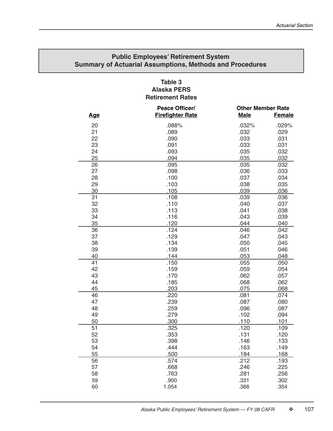|            | <u>Summary of Actualian Assumptions, Metricus and Frocedules</u> |                          |               |
|------------|------------------------------------------------------------------|--------------------------|---------------|
|            | Table 3<br><b>Alaska PERS</b><br><b>Retirement Rates</b>         |                          |               |
|            | <b>Peace Officer/</b>                                            | <b>Other Member Rate</b> |               |
| <u>Age</u> | <b>Firefighter Rate</b>                                          | <b>Male</b>              | <b>Female</b> |
| 20         | .088%                                                            | .032%                    | .029%         |
| 21         | .089                                                             | .032                     | .029          |
| 22         | .090                                                             | .033                     | .031          |
| 23         | .091                                                             | .033                     | .031          |
| 24         | .093                                                             | .035                     | .032          |
| 25         | .094                                                             | .035                     | .032          |
| 26         | .095                                                             | .035                     | .032          |
| 27         | .098                                                             | .036                     | .033          |
| 28         | .100                                                             | .037                     | .034          |
| 29         | .103                                                             | .038                     | .035          |
| 30         | .105                                                             | .039                     | .036          |
| 31         | .108                                                             | .039                     | .036          |
| 32         | .110                                                             | .040                     | .037          |
| 33         | .113                                                             | .041                     | .038          |
| 34         | .116                                                             | .043                     | .039          |
| 35         | .120                                                             | .044                     | .040          |
| 36         | .124                                                             | .046                     | .042          |
| 37         | .129                                                             | .047                     | .043          |
| 38         | .134                                                             | .050                     | .045          |
| 39         | .139                                                             | .051                     | .046          |
| 40         | .144                                                             | .053                     | .048          |
| 41         | .150                                                             | .055                     | .050          |
| 42         | .159                                                             | .059                     | .054          |
| 43         | .170                                                             | .062                     | .057          |
| 44         | .185                                                             | .068                     | .062          |
| 45         | .203                                                             | .075                     | .068          |
| 46         | .220                                                             | .081                     | .074          |
| 47         | .239                                                             | .087                     | .080          |
| 48         | .259                                                             | .096                     | .087          |
| 49         | .279                                                             | .102                     | .094          |
| 50         | .300                                                             | .110                     | .101          |
| 51         | .325                                                             | .120                     | .109          |
| 52         | .353                                                             | .131                     | .120          |
| 53         | .398                                                             | .146                     | .133          |
| 54         | .444                                                             | .163                     | .149          |
| 55         | .500                                                             | .184                     | .168          |
| 56         | .574                                                             | .212                     | .193          |
| 57         | .668                                                             | .246                     | .225          |
| 58         | .763                                                             | .281                     | .256          |
| 59         | .900                                                             | .331                     | .302          |
| 60         | 1.054                                                            | .388                     | .354          |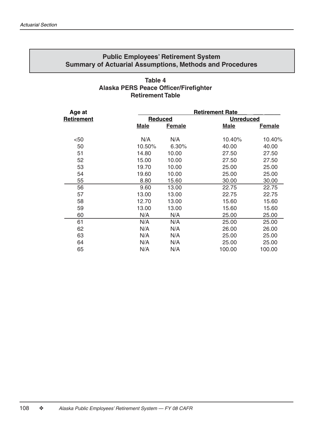### **Table 4 Alaska PERS Peace Officer/Firefighter Retirement Table**

| Age at            | <b>Retirement Rate</b> |                |                  |               |  |  |  |
|-------------------|------------------------|----------------|------------------|---------------|--|--|--|
| <b>Retirement</b> |                        | <b>Reduced</b> | <b>Unreduced</b> |               |  |  |  |
|                   | <b>Male</b>            | <b>Female</b>  | <b>Male</b>      | <b>Female</b> |  |  |  |
| $50$              | N/A                    | N/A            | 10.40%           | 10.40%        |  |  |  |
| 50                | 10.50%                 | 6.30%          | 40.00            | 40.00         |  |  |  |
| 51                | 14.80                  | 10.00          | 27.50            | 27.50         |  |  |  |
| 52                | 15.00                  | 10.00          | 27.50            | 27.50         |  |  |  |
| 53                | 19.70                  | 10.00          | 25.00            | 25.00         |  |  |  |
| 54                | 19.60                  | 10.00          | 25.00            | 25.00         |  |  |  |
| 55                | 8.80                   | 15.60          | 30.00            | 30.00         |  |  |  |
| 56                | 9.60                   | 13.00          | 22.75            | 22.75         |  |  |  |
| 57                | 13.00                  | 13.00          | 22.75            | 22.75         |  |  |  |
| 58                | 12.70                  | 13.00          | 15.60            | 15.60         |  |  |  |
| 59                | 13.00                  | 13.00          | 15.60            | 15.60         |  |  |  |
| 60                | N/A                    | N/A            | 25.00            | 25.00         |  |  |  |
| 61                | N/A                    | N/A            | 25.00            | 25.00         |  |  |  |
| 62                | N/A                    | N/A            | 26.00            | 26.00         |  |  |  |
| 63                | N/A                    | N/A            | 25.00            | 25.00         |  |  |  |
| 64                | N/A                    | N/A            | 25.00            | 25.00         |  |  |  |
| 65                | N/A                    | N/A            | 100.00           | 100.00        |  |  |  |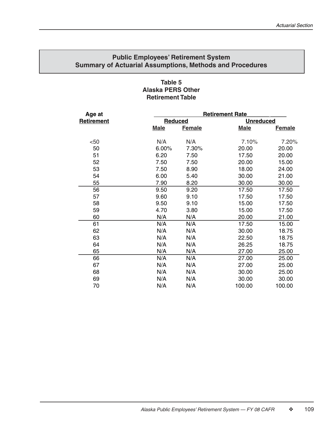### **Table 5 Alaska PERS Other Retirement Table**

| Age at            | <b>Retirement Rate</b> |               |                  |               |  |  |  |
|-------------------|------------------------|---------------|------------------|---------------|--|--|--|
| <b>Retirement</b> | <b>Reduced</b>         |               | <b>Unreduced</b> |               |  |  |  |
|                   | <b>Male</b>            | <b>Female</b> | <b>Male</b>      | <b>Female</b> |  |  |  |
| $50$              | N/A                    | N/A           | 7.10%            | 7.20%         |  |  |  |
| 50                | 6.00%                  | 7.30%         | 20.00            | 20.00         |  |  |  |
| 51                | 6.20                   | 7.50          | 17.50            | 20.00         |  |  |  |
| 52                | 7.50                   | 7.50          | 20.00            | 15.00         |  |  |  |
| 53                | 7.50                   | 8.90          | 18.00            | 24.00         |  |  |  |
| 54                | 6.00                   | 5.40          | 30.00            | 21.00         |  |  |  |
| 55                | 7.90                   | 8.20          | 30.00            | 30.00         |  |  |  |
| 56                | 9.50                   | 9.20          | 17.50            | 17.50         |  |  |  |
| 57                | 9.60                   | 9.10          | 17.50            | 17.50         |  |  |  |
| 58                | 9.50                   | 9.10          | 15.00            | 17.50         |  |  |  |
| 59                | 4.70                   | 3.80          | 15.00            | 17.50         |  |  |  |
| 60                | N/A                    | N/A           | 20.00            | 21.00         |  |  |  |
| 61                | N/A                    | N/A           | 17.50            | 15.00         |  |  |  |
| 62                | N/A                    | N/A           | 30.00            | 18.75         |  |  |  |
| 63                | N/A                    | N/A           | 22.50            | 18.75         |  |  |  |
| 64                | N/A                    | N/A           | 26.25            | 18.75         |  |  |  |
| 65                | N/A                    | N/A           | 27.00            | 25.00         |  |  |  |
| 66                | N/A                    | N/A           | 27.00            | 25.00         |  |  |  |
| 67                | N/A                    | N/A           | 27.00            | 25.00         |  |  |  |
| 68                | N/A                    | N/A           | 30.00            | 25.00         |  |  |  |
| 69                | N/A                    | N/A           | 30.00            | 30.00         |  |  |  |
| 70                | N/A                    | N/A           | 100.00           | 100.00        |  |  |  |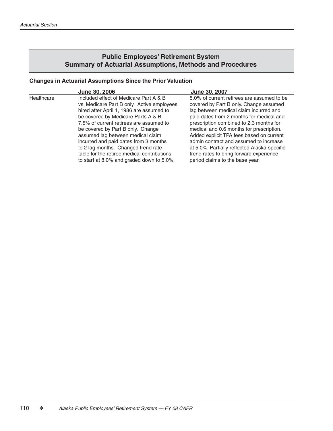#### **Changes in Actuarial Assumptions Since the Prior Valuation**

|            | June 30, 2006                                                                                                                                                                                                                                                                                                                                                                                                                                                            | June 30, 2007                                                                                                                                                                                                                                                                                                                                                                                                                                                                         |
|------------|--------------------------------------------------------------------------------------------------------------------------------------------------------------------------------------------------------------------------------------------------------------------------------------------------------------------------------------------------------------------------------------------------------------------------------------------------------------------------|---------------------------------------------------------------------------------------------------------------------------------------------------------------------------------------------------------------------------------------------------------------------------------------------------------------------------------------------------------------------------------------------------------------------------------------------------------------------------------------|
| Healthcare | Included effect of Medicare Part A & B<br>vs. Medicare Part B only. Active employees<br>hired after April 1, 1986 are assumed to<br>be covered by Medicare Parts A & B.<br>7.5% of current retirees are assumed to<br>be covered by Part B only. Change<br>assumed lag between medical claim<br>incurred and paid dates from 3 months<br>to 2 lag months. Changed trend rate<br>table for the retiree medical contributions<br>to start at 8.0% and graded down to 5.0%. | 5.0% of current retirees are assumed to be<br>covered by Part B only. Change assumed<br>lag between medical claim incurred and<br>paid dates from 2 months for medical and<br>prescription combined to 2.3 months for<br>medical and 0.6 months for prescription.<br>Added explicit TPA fees based on current<br>admin contract and assumed to increase<br>at 5.0%. Partially reflected Alaska-specific<br>trend rates to bring forward experience<br>period claims to the base year. |
|            |                                                                                                                                                                                                                                                                                                                                                                                                                                                                          |                                                                                                                                                                                                                                                                                                                                                                                                                                                                                       |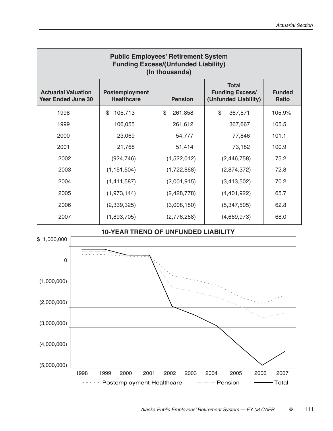| <b>Public Employees' Retirement System</b><br><b>Funding Excess/(Unfunded Liability)</b><br>(In thousands) |                                            |                           |                                                                |                               |  |  |  |  |  |
|------------------------------------------------------------------------------------------------------------|--------------------------------------------|---------------------------|----------------------------------------------------------------|-------------------------------|--|--|--|--|--|
| <b>Actuarial Valuation</b><br><b>Year Ended June 30</b>                                                    | <b>Postemployment</b><br><b>Healthcare</b> | <b>Pension</b>            | <b>Total</b><br><b>Funding Excess/</b><br>(Unfunded Liability) | <b>Funded</b><br><b>Ratio</b> |  |  |  |  |  |
| 1998                                                                                                       | \$<br>105,713                              | $\mathfrak{S}$<br>261,858 | $\mathfrak{S}$<br>367,571                                      | 105.9%                        |  |  |  |  |  |
| 1999                                                                                                       | 106,055                                    | 261,612                   | 367,667                                                        | 105.5                         |  |  |  |  |  |
| 2000                                                                                                       | 23,069                                     | 54,777                    | 77,846                                                         | 101.1                         |  |  |  |  |  |
| 2001                                                                                                       | 21,768                                     | 51,414                    | 73,182                                                         | 100.9                         |  |  |  |  |  |
| 2002                                                                                                       | (924, 746)                                 | (1,522,012)               | (2,446,758)                                                    | 75.2                          |  |  |  |  |  |
| 2003                                                                                                       | (1, 151, 504)                              | (1,722,868)               | (2,874,372)                                                    | 72.8                          |  |  |  |  |  |
| 2004                                                                                                       | (1,411,587)                                | (2,001,915)               | (3,413,502)                                                    | 70.2                          |  |  |  |  |  |
| 2005                                                                                                       | (1,973,144)                                | (2,428,778)               | (4,401,922)                                                    | 65.7                          |  |  |  |  |  |
| 2006                                                                                                       | (2,339,325)                                | (3,008,180)               | (5,347,505)                                                    | 62.8                          |  |  |  |  |  |
| 2007                                                                                                       | (1,893,705)                                | (2,776,268)               | (4,669,973)                                                    | 68.0                          |  |  |  |  |  |

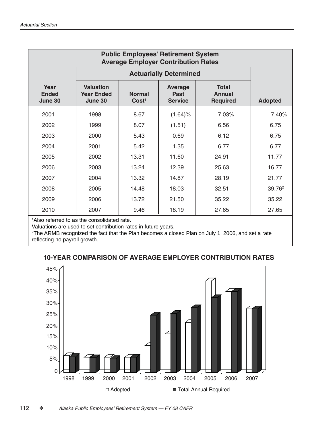| <b>Public Employees' Retirement System</b><br><b>Average Employer Contribution Rates</b> |                                                  |                                    |                                                 |                                                  |                    |  |  |  |  |  |
|------------------------------------------------------------------------------------------|--------------------------------------------------|------------------------------------|-------------------------------------------------|--------------------------------------------------|--------------------|--|--|--|--|--|
|                                                                                          |                                                  |                                    | <b>Actuarially Determined</b>                   |                                                  |                    |  |  |  |  |  |
| Year<br><b>Ended</b><br>June 30                                                          | <b>Valuation</b><br><b>Year Ended</b><br>June 30 | <b>Normal</b><br>Cost <sup>1</sup> | <b>Average</b><br><b>Past</b><br><b>Service</b> | <b>Total</b><br><b>Annual</b><br><b>Required</b> | <b>Adopted</b>     |  |  |  |  |  |
| 2001                                                                                     | 1998                                             | 8.67                               | (1.64)%                                         | 7.03%                                            | 7.40%              |  |  |  |  |  |
| 2002                                                                                     | 1999                                             | 8.07                               | (1.51)                                          | 6.56                                             | 6.75               |  |  |  |  |  |
| 2003                                                                                     | 2000                                             | 5.43                               | 0.69                                            | 6.12                                             | 6.75               |  |  |  |  |  |
| 2004                                                                                     | 2001                                             | 5.42                               | 1.35                                            | 6.77                                             | 6.77               |  |  |  |  |  |
| 2005                                                                                     | 2002                                             | 13.31                              | 11.60                                           | 24.91                                            | 11.77              |  |  |  |  |  |
| 2006                                                                                     | 2003                                             | 13.24                              | 12.39                                           | 25.63                                            | 16.77              |  |  |  |  |  |
| 2007                                                                                     | 2004                                             | 13.32                              | 14.87                                           | 28.19                                            | 21.77              |  |  |  |  |  |
| 2008                                                                                     | 2005                                             | 14.48                              | 18.03                                           | 32.51                                            | 39.76 <sup>2</sup> |  |  |  |  |  |
| 2009                                                                                     | 2006                                             | 13.72                              | 21.50                                           | 35.22                                            | 35.22              |  |  |  |  |  |
| 2010                                                                                     | 2007                                             | 9.46                               | 18.19                                           | 27.65                                            | 27.65              |  |  |  |  |  |

1 Also referred to as the consolidated rate.

Valuations are used to set contribution rates in future years.

2 The ARMB recognized the fact that the Plan becomes a closed Plan on July 1, 2006, and set a rate reflecting no payroll growth.



# **10-YEAR COMPARISON OF AVERAGE EMPLOYER CONTRIBUTION RATES**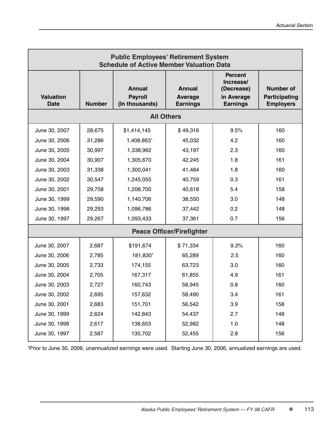|                                 | <b>Public Employees' Retirement System</b><br><b>Schedule of Active Member Valuation Data</b> |                                                   |                                             |                                                                            |                                                              |  |  |  |  |
|---------------------------------|-----------------------------------------------------------------------------------------------|---------------------------------------------------|---------------------------------------------|----------------------------------------------------------------------------|--------------------------------------------------------------|--|--|--|--|
| <b>Valuation</b><br><b>Date</b> | <b>Number</b>                                                                                 | <b>Annual</b><br><b>Payroll</b><br>(In thousands) | <b>Annual</b><br>Average<br><b>Earnings</b> | <b>Percent</b><br>Increase/<br>(Decrease)<br>in Average<br><b>Earnings</b> | <b>Number of</b><br><b>Participating</b><br><b>Employers</b> |  |  |  |  |
|                                 |                                                                                               |                                                   | <b>All Others</b>                           |                                                                            |                                                              |  |  |  |  |
| June 30, 2007                   | 28,675                                                                                        | \$1,414,145                                       | \$49,316                                    | 9.5%                                                                       | 160                                                          |  |  |  |  |
| June 30, 2006                   | 31,286                                                                                        | 1,408,8631                                        | 45,032                                      | 4.2                                                                        | 160                                                          |  |  |  |  |
| June 30, 2005                   | 30,997                                                                                        | 1,338,962                                         | 43,197                                      | 2.3                                                                        | 160                                                          |  |  |  |  |
| June 30, 2004                   | 30,907                                                                                        | 1,305,670                                         | 42,245                                      | 1.8                                                                        | 161                                                          |  |  |  |  |
| June 30, 2003                   | 31,338                                                                                        | 1,300,041                                         | 41,484                                      | 1.8                                                                        | 160                                                          |  |  |  |  |
| June 30, 2002                   | 30,547                                                                                        | 1,245,055                                         | 40,759                                      | 0.3                                                                        | 161                                                          |  |  |  |  |
| June 30, 2001                   | 29,758                                                                                        | 1,208,700                                         | 40,618                                      | 5.4                                                                        | 158                                                          |  |  |  |  |
| June 30, 1999                   | 29,590                                                                                        | 1,140,706                                         | 38,550                                      | 3.0                                                                        | 148                                                          |  |  |  |  |
| June 30, 1998                   | 29,293                                                                                        | 1,096,786                                         | 37,442                                      | 0.2                                                                        | 148                                                          |  |  |  |  |
| June 30, 1997                   | 29,267                                                                                        | 1,093,433                                         | 37,361                                      | 0.7                                                                        | 156                                                          |  |  |  |  |
|                                 |                                                                                               |                                                   | <b>Peace Officer/Firefighter</b>            |                                                                            |                                                              |  |  |  |  |
| June 30, 2007                   | 2,687                                                                                         | \$191,674                                         | \$71,334                                    | 9.3%                                                                       | 160                                                          |  |  |  |  |
| June 30, 2006                   | 2,785                                                                                         | 181,8301                                          | 65,289                                      | 2.5                                                                        | 160                                                          |  |  |  |  |
| June 30, 2005                   | 2,733                                                                                         | 174,155                                           | 63,723                                      | 3.0                                                                        | 160                                                          |  |  |  |  |
| June 30, 2004                   | 2,705                                                                                         | 167,317                                           | 61,855                                      | 4.9                                                                        | 161                                                          |  |  |  |  |
| June 30, 2003                   | 2,727                                                                                         | 160,743                                           | 58,945                                      | 0.8                                                                        | 160                                                          |  |  |  |  |
| June 30, 2002                   | 2,695                                                                                         | 157,632                                           | 58,490                                      | 3.4                                                                        | 161                                                          |  |  |  |  |
| June 30, 2001                   | 2,683                                                                                         | 151,701                                           | 56,542                                      | 3.9                                                                        | 158                                                          |  |  |  |  |
| June 30, 1999                   | 2,624                                                                                         | 142,843                                           | 54,437                                      | 2.7                                                                        | 148                                                          |  |  |  |  |
| June 30, 1998                   | 2,617                                                                                         | 138,653                                           | 52,982                                      | 1.0                                                                        | 148                                                          |  |  |  |  |
| June 30, 1997                   | 2,587                                                                                         | 135,702                                           | 52,455                                      | 2.8                                                                        | 156                                                          |  |  |  |  |

1 Prior to June 30, 2006, unannualized earnings were used. Starting June 30, 2006, annualized earnings are used.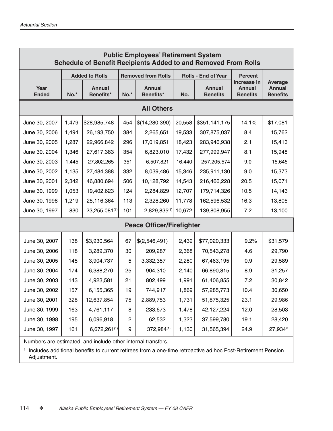| <b>Public Employees' Retirement System</b><br><b>Schedule of Benefit Recipients Added to and Removed From Rolls</b> |       |                            |      |                                  |        |                                  |                                                 |                                                    |  |  |
|---------------------------------------------------------------------------------------------------------------------|-------|----------------------------|------|----------------------------------|--------|----------------------------------|-------------------------------------------------|----------------------------------------------------|--|--|
|                                                                                                                     |       | <b>Added to Rolls</b>      |      | <b>Removed from Rolls</b>        |        | <b>Rolls - End of Year</b>       | <b>Percent</b>                                  |                                                    |  |  |
| Year<br><b>Ended</b>                                                                                                | No.*  | <b>Annual</b><br>Benefits* | No.* | <b>Annual</b><br>Benefits*       | No.    | <b>Annual</b><br><b>Benefits</b> | Increase in<br><b>Annual</b><br><b>Benefits</b> | <b>Average</b><br><b>Annual</b><br><b>Benefits</b> |  |  |
|                                                                                                                     |       |                            |      | <b>All Others</b>                |        |                                  |                                                 |                                                    |  |  |
| June 30, 2007                                                                                                       | 1,479 | \$28,985,748               | 454  | \$(14,280,390)                   | 20,558 | \$351,141,175                    | 14.1%                                           | \$17,081                                           |  |  |
| June 30, 2006                                                                                                       | 1,494 | 26,193,750                 | 384  | 2,265,651                        | 19,533 | 307,875,037                      | 8.4                                             | 15,762                                             |  |  |
| June 30, 2005                                                                                                       | 1,287 | 22,966,842                 | 296  | 17,019,851                       | 18,423 | 283,946,938                      | 2.1                                             | 15,413                                             |  |  |
| June 30, 2004                                                                                                       | 1,346 | 27,617,383                 | 354  | 6,823,010                        | 17,432 | 277,999,947                      | 8.1                                             | 15,948                                             |  |  |
| June 30, 2003                                                                                                       | 1,445 | 27,802,265                 | 351  | 6,507,821                        | 16,440 | 257,205,574                      | 9.0                                             | 15,645                                             |  |  |
| June 30, 2002                                                                                                       | 1,135 | 27,484,388                 | 332  | 8,039,486                        | 15,346 | 235,911,130                      | 9.0                                             | 15,373                                             |  |  |
| June 30, 2001                                                                                                       | 2,342 | 46,880,694                 | 506  | 10,128,792                       | 14,543 | 216,466,228                      | 20.5                                            | 15,071                                             |  |  |
| June 30, 1999                                                                                                       | 1,053 | 19,402,623                 | 124  | 2,284,829                        | 12,707 | 179,714,326                      | 10.5                                            | 14,143                                             |  |  |
| June 30, 1998                                                                                                       | 1,219 | 25,116,364                 | 113  | 2,328,260                        | 11,778 | 162,596,532                      | 16.3                                            | 13,805                                             |  |  |
| June 30, 1997                                                                                                       | 830   | 23,255,081(1)              | 101  | 2,829,835(1)                     | 10,672 | 139,808,955                      | 7.2                                             | 13,100                                             |  |  |
|                                                                                                                     |       |                            |      | <b>Peace Officer/Firefighter</b> |        |                                  |                                                 |                                                    |  |  |
| June 30, 2007                                                                                                       | 138   | \$3,930,564                | 67   | \$(2,546,491)                    | 2,439  | \$77,020,333                     | 9.2%                                            | \$31,579                                           |  |  |
| June 30, 2006                                                                                                       | 118   | 3,289,370                  | 30   | 209,287                          | 2,368  | 70,543,278                       | 4.6                                             | 29,790                                             |  |  |
| June 30, 2005                                                                                                       | 145   | 3,904,737                  | 5    | 3,332,357                        | 2,280  | 67,463,195                       | 0.9                                             | 29,589                                             |  |  |
| June 30, 2004                                                                                                       | 174   | 6,388,270                  | 25   | 904,310                          | 2,140  | 66,890,815                       | 8.9                                             | 31,257                                             |  |  |
| June 30, 2003                                                                                                       | 143   | 4,923,581                  | 21   | 802,499                          | 1,991  | 61,406,855                       | 7.2                                             | 30,842                                             |  |  |
| June 30, 2002                                                                                                       | 157   | 6,155,365                  | 19   | 744,917                          | 1,869  | 57,285,773                       | 10.4                                            | 30,650                                             |  |  |
| June 30, 2001                                                                                                       | 328   | 12,637,854                 | 75   | 2,889,753                        | 1,731  | 51,875,325                       | 23.1                                            | 29,986                                             |  |  |
| June 30, 1999                                                                                                       | 163   | 4,761,117                  | 8    | 233,673                          | 1,478  | 42,127,224                       | 12.0                                            | 28,503                                             |  |  |
| June 30, 1998                                                                                                       | 195   | 6,096,918                  | 2    | 62,532                           | 1,323  | 37,599,780                       | 19.1                                            | 28,420                                             |  |  |
| June 30, 1997                                                                                                       | 161   | $6,672,261^{(1)}$          | 9    | 372,984(1)                       | 1,130  | 31,565,394                       | 24.9                                            | 27,934*                                            |  |  |
| Numbers are estimated, and include other internal transfers                                                         |       |                            |      |                                  |        |                                  |                                                 |                                                    |  |  |

Numbers are estimated, and include other internal transfers.

<sup>1</sup> Includes additional benefits to current retirees from a one-time retroactive ad hoc Post-Retirement Pension Adjustment.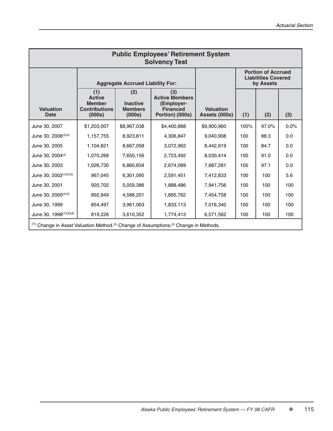| <b>Public Employees' Retirement System</b><br><b>Solvency Test</b>                                                       |                                                                         |                                                    |                                                                                  |                                   |      |                                                                      |      |  |  |  |
|--------------------------------------------------------------------------------------------------------------------------|-------------------------------------------------------------------------|----------------------------------------------------|----------------------------------------------------------------------------------|-----------------------------------|------|----------------------------------------------------------------------|------|--|--|--|
|                                                                                                                          | <b>Aggregate Accrued Liability For:</b>                                 |                                                    |                                                                                  |                                   |      | <b>Portion of Accrued</b><br><b>Liabilities Covered</b><br>by Assets |      |  |  |  |
| <b>Valuation</b><br><b>Date</b>                                                                                          | (1)<br><b>Active</b><br><b>Member</b><br><b>Contributions</b><br>(000s) | (2)<br><b>Inactive</b><br><b>Members</b><br>(000s) | (3)<br><b>Active Members</b><br>(Employer-<br><b>Financed</b><br>Portion) (000s) | <b>Valuation</b><br>Assets (000s) | (1)  | (2)                                                                  | (3)  |  |  |  |
| June 30, 2007                                                                                                            | \$1,203,007                                                             | \$8,967,038                                        | \$4,400,888                                                                      | \$9,900,960                       | 100% | 97.0%                                                                | 0.0% |  |  |  |
| June 30, 2006 <sup>(2)(3)</sup>                                                                                          | 1,157,755                                                               | 8,923,811                                          | 4,306,847                                                                        | 9,040,908                         | 100  | 88.3                                                                 | 0.0  |  |  |  |
| June 30, 2005                                                                                                            | 1,104,821                                                               | 8,667,058                                          | 3,072,962                                                                        | 8,442,919                         | 100  | 84.7                                                                 | 0.0  |  |  |  |
| June 30, 2004 <sup>(2)</sup>                                                                                             | 1,070,268                                                               | 7,650,156                                          | 2,723,492                                                                        | 8,030,414                         | 100  | 91.0                                                                 | 0.0  |  |  |  |
| June 30, 2003                                                                                                            | 1,026,730                                                               | 6,860,834                                          | 2,674,089                                                                        | 7,687,281                         | 100  | 97.1                                                                 | 0.0  |  |  |  |
| June 30, 2002(1)(2)(3)                                                                                                   | 967,045                                                                 | 6,301,095                                          | 2,591,451                                                                        | 7,412,833                         | 100  | 100                                                                  | 5.6  |  |  |  |
| June 30, 2001                                                                                                            | 920,702                                                                 | 5,059,386                                          | 1,888,486                                                                        | 7,941,756                         | 100  | 100                                                                  | 100  |  |  |  |
| June 30, 2000(2)(3)                                                                                                      | 892,949                                                                 | 4,588,201                                          | 1,895,762                                                                        | 7,454,758                         | 100  | 100                                                                  | 100  |  |  |  |
| June 30, 1999                                                                                                            | 854,497                                                                 | 3,961,063                                          | 1,833,113                                                                        | 7,016,340                         | 100  | 100                                                                  | 100  |  |  |  |
| June 30, 1998 <sup>(1)(2)(3)</sup>                                                                                       | 819,226                                                                 | 3,610,352                                          | 1,774,413                                                                        | 6,571,562                         | 100  | 100                                                                  | 100  |  |  |  |
| <sup>(1)</sup> Change in Asset Valuation Method. <sup>(2)</sup> Change of Assumptions. <sup>(3)</sup> Change in Methods. |                                                                         |                                                    |                                                                                  |                                   |      |                                                                      |      |  |  |  |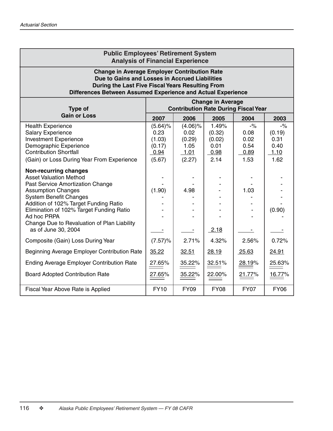### **Public Employees' Retirement System Analysis of Financial Experience**

#### **Change in Average Employer Contribution Rate Due to Gains and Losses in Accrued Liabilities During the Last Five Fiscal Years Resulting From Differences Between Assumed Experience and Actual Experience**

| <b>Type of</b>                                                                    |             |             | <b>Change in Average</b> | <b>Contribution Rate During Fiscal Year</b> |              |
|-----------------------------------------------------------------------------------|-------------|-------------|--------------------------|---------------------------------------------|--------------|
| <b>Gain or Loss</b>                                                               | 2007        | 2006        | 2005                     | 2004                                        | 2003         |
| <b>Health Experience</b>                                                          | (5.64)%     | $(4.06)\%$  | 1.49%                    | $-$ %                                       | $-$ %        |
| <b>Salary Experience</b>                                                          | 0.23        | 0.02        | (0.32)                   | 0.08                                        | (0.19)       |
| <b>Investment Experience</b>                                                      | (1.03)      | (0.29)      | (0.02)                   | 0.02                                        | 0.31         |
| Demographic Experience<br><b>Contribution Shortfall</b>                           | (0.17)      | 1.05        | 0.01                     | 0.54                                        | 0.40         |
|                                                                                   | 0.94        | 1.01        | 0.98<br>2.14             | 0.89<br>1.53                                | 1.10<br>1.62 |
| (Gain) or Loss During Year From Experience                                        | (5.67)      | (2.27)      |                          |                                             |              |
| <b>Non-recurring changes</b>                                                      |             |             |                          |                                             |              |
| <b>Asset Valuation Method</b>                                                     |             |             |                          |                                             |              |
| Past Service Amortization Change                                                  |             |             |                          |                                             |              |
| <b>Assumption Changes</b>                                                         | (1.90)      | 4.98        |                          | 1.03                                        |              |
| <b>System Benefit Changes</b>                                                     |             |             |                          |                                             |              |
| Addition of 102% Target Funding Ratio<br>Elimination of 102% Target Funding Ratio |             |             |                          |                                             | (0.90)       |
| Ad hoc PRPA                                                                       |             |             |                          |                                             |              |
| Change Due to Revaluation of Plan Liability                                       |             |             |                          |                                             |              |
| as of June 30, 2004                                                               |             |             | 2.18                     |                                             |              |
| Composite (Gain) Loss During Year                                                 | (7.57)%     | 2.71%       | 4.32%                    | 2.56%                                       | 0.72%        |
| Beginning Average Employer Contribution Rate                                      | 35.22       | 32.51       | 28.19                    | 25.63                                       | 24.91        |
| <b>Ending Average Employer Contribution Rate</b>                                  | 27.65%      | 35.22%      | 32.51%                   | 28.19%                                      | 25.63%       |
| <b>Board Adopted Contribution Rate</b>                                            | 27.65%      | 35.22%      | 22.00%                   | 21.77%                                      | 16.77%       |
| Fiscal Year Above Rate is Applied                                                 | <b>FY10</b> | <b>FY09</b> | <b>FY08</b>              | <b>FY07</b>                                 | <b>FY06</b>  |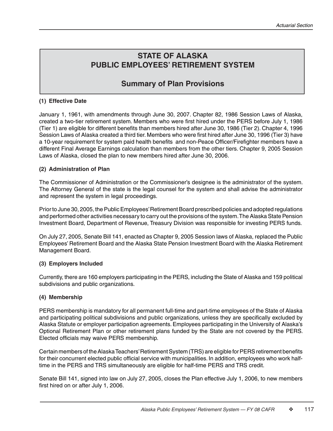# **Summary of Plan Provisions**

#### **(1) Effective Date**

January 1, 1961, with amendments through June 30, 2007. Chapter 82, 1986 Session Laws of Alaska, created a two-tier retirement system. Members who were first hired under the PERS before July 1, 1986 (Tier 1) are eligible for different benefits than members hired after June 30, 1986 (Tier 2). Chapter 4, 1996 Session Laws of Alaska created a third tier. Members who were first hired after June 30, 1996 (Tier 3) have a 10-year requirement for system paid health benefits and non-Peace Officer/Firefighter members have a different Final Average Earnings calculation than members from the other tiers. Chapter 9, 2005 Session Laws of Alaska, closed the plan to new members hired after June 30, 2006.

#### **(2) Administration of Plan**

The Commissioner of Administration or the Commissioner's designee is the administrator of the system. The Attorney General of the state is the legal counsel for the system and shall advise the administrator and represent the system in legal proceedings.

Prior to June 30, 2005, the Public Employees' Retirement Board prescribed policies and adopted regulations and performed other activities necessary to carry out the provisions of the system. The Alaska State Pension Investment Board, Department of Revenue, Treasury Division was responsible for investing PERS funds.

On July 27, 2005, Senate Bill 141, enacted as Chapter 9, 2005 Session laws of Alaska, replaced the Public Employees' Retirement Board and the Alaska State Pension Investment Board with the Alaska Retirement Management Board.

#### **(3) Employers Included**

Currently, there are 160 employers participating in the PERS, including the State of Alaska and 159 political subdivisions and public organizations.

#### **(4) Membership**

PERS membership is mandatory for all permanent full-time and part-time employees of the State of Alaska and participating political subdivisions and public organizations, unless they are specifically excluded by Alaska Statute or employer participation agreements. Employees participating in the University of Alaska's Optional Retirement Plan or other retirement plans funded by the State are not covered by the PERS. Elected officials may waive PERS membership.

Certain members of the Alaska Teachers' Retirement System (TRS) are eligible for PERS retirement benefits for their concurrent elected public official service with municipalities. In addition, employees who work halftime in the PERS and TRS simultaneously are eligible for half-time PERS and TRS credit.

Senate Bill 141, signed into law on July 27, 2005, closes the Plan effective July 1, 2006, to new members first hired on or after July 1, 2006.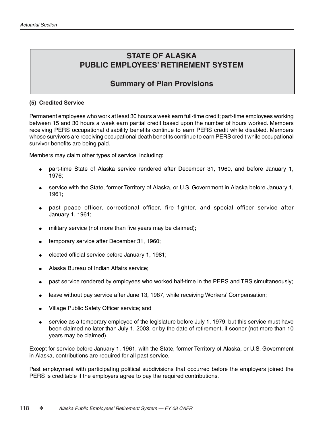## **Summary of Plan Provisions**

#### **(5) Credited Service**

Permanent employees who work at least 30 hours a week earn full-time credit; part-time employees working between 15 and 30 hours a week earn partial credit based upon the number of hours worked. Members receiving PERS occupational disability benefits continue to earn PERS credit while disabled. Members whose survivors are receiving occupational death benefits continue to earn PERS credit while occupational survivor benefits are being paid.

Members may claim other types of service, including:

- part-time State of Alaska service rendered after December 31, 1960, and before January 1, 1976;
- service with the State, former Territory of Alaska, or U.S. Government in Alaska before January 1, 1961;
- past peace officer, correctional officer, fire fighter, and special officer service after January 1, 1961;
- military service (not more than five years may be claimed);
- temporary service after December 31, 1960;
- elected official service before January 1, 1981;
- Alaska Bureau of Indian Affairs service:
- past service rendered by employees who worked half-time in the PERS and TRS simultaneously;
- leave without pay service after June 13, 1987, while receiving Workers' Compensation;
- Village Public Safety Officer service; and
- service as a temporary employee of the legislature before July 1, 1979, but this service must have been claimed no later than July 1, 2003, or by the date of retirement, if sooner (not more than 10 years may be claimed).

Except for service before January 1, 1961, with the State, former Territory of Alaska, or U.S. Government in Alaska, contributions are required for all past service.

Past employment with participating political subdivisions that occurred before the employers joined the PERS is creditable if the employers agree to pay the required contributions.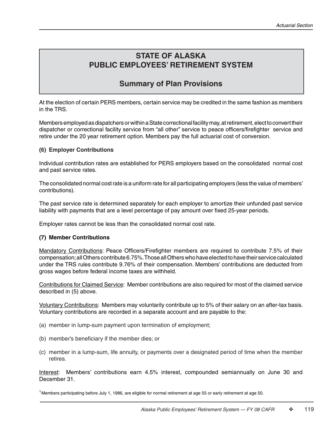# **Summary of Plan Provisions**

At the election of certain PERS members, certain service may be credited in the same fashion as members in the TRS.

Members employed as dispatchers or within a State correctional facility may, at retirement, elect to convert their dispatcher or correctional facility service from "all other" service to peace officers/firefighter service and retire under the 20 year retirement option. Members pay the full actuarial cost of conversion.

#### **(6) Employer Contributions**

Individual contribution rates are established for PERS employers based on the consolidated normal cost and past service rates.

The consolidated normal cost rate is a uniform rate for all participating employers (less the value of members' contributions).

The past service rate is determined separately for each employer to amortize their unfunded past service liability with payments that are a level percentage of pay amount over fixed 25-year periods.

Employer rates cannot be less than the consolidated normal cost rate.

#### **(7) Member Contributions**

Mandatory Contributions: Peace Officers/Firefighter members are required to contribute 7.5% of their compensation; all Others contribute 6.75%. Those all Others who have elected to have their service calculated under the TRS rules contribute 9.76% of their compensation. Members' contributions are deducted from gross wages before federal income taxes are withheld.

Contributions for Claimed Service: Member contributions are also required for most of the claimed service described in (5) above.

Voluntary Contributions: Members may voluntarily contribute up to 5% of their salary on an after-tax basis. Voluntary contributions are recorded in a separate account and are payable to the:

- (a) member in lump-sum payment upon termination of employment;
- (b) member's beneficiary if the member dies; or
- (c) member in a lump-sum, life annuity, or payments over a designated period of time when the member retires.

Interest: Members' contributions earn 4.5% interest, compounded semiannually on June 30 and December 31.

<sup>1</sup> Members participating before July 1, 1986, are eligible for normal retirement at age 55 or early retirement at age 50.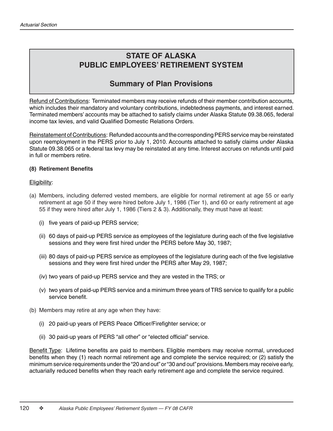# **Summary of Plan Provisions**

Refund of Contributions: Terminated members may receive refunds of their member contribution accounts, which includes their mandatory and voluntary contributions, indebtedness payments, and interest earned. Terminated members' accounts may be attached to satisfy claims under Alaska Statute 09.38.065, federal income tax levies, and valid Qualified Domestic Relations Orders.

Reinstatement of Contributions: Refunded accounts and the corresponding PERS service may be reinstated upon reemployment in the PERS prior to July 1, 2010. Accounts attached to satisfy claims under Alaska Statute 09.38.065 or a federal tax levy may be reinstated at any time. Interest accrues on refunds until paid in full or members retire.

#### **(8) Retirement Benefits**

#### Eligibility:

- (a) Members, including deferred vested members, are eligible for normal retirement at age 55 or early retirement at age 50 if they were hired before July 1, 1986 (Tier 1), and 60 or early retirement at age 55 if they were hired after July 1, 1986 (Tiers 2 & 3). Additionally, they must have at least:
	- $(i)$  five years of paid-up PERS service;
	- (ii) 60 days of paid-up PERS service as employees of the legislature during each of the five legislative sessions and they were first hired under the PERS before May 30, 1987;
	- (iii) 80 days of paid-up PERS service as employees of the legislature during each of the five legislative sessions and they were first hired under the PERS after May 29, 1987;
	- (iv) two years of paid-up PERS service and they are vested in the TRS; or
	- (v) two years of paid-up PERS service and a minimum three years of TRS service to qualify for a public service benefit.
- (b) Members may retire at any age when they have:
	- (i) 20 paid-up years of PERS Peace Officer/Firefighter service; or
	- (ii) 30 paid-up years of PERS "all other" or "elected official" service.

Benefit Type: Lifetime benefits are paid to members. Eligible members may receive normal, unreduced benefits when they (1) reach normal retirement age and complete the service required; or (2) satisfy the minimum service requirements under the "20 and out" or "30 and out" provisions. Members may receive early, actuarially reduced benefits when they reach early retirement age and complete the service required.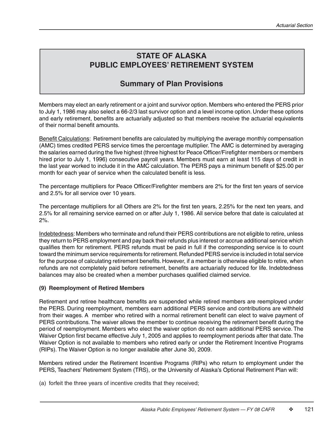# **Summary of Plan Provisions**

Members may elect an early retirement or a joint and survivor option. Members who entered the PERS prior to July 1, 1986 may also select a 66-2/3 last survivor option and a level income option. Under these options and early retirement, benefits are actuarially adjusted so that members receive the actuarial equivalents of their normal benefit amounts.

Benefit Calculations: Retirement benefits are calculated by multiplying the average monthly compensation (AMC) times credited PERS service times the percentage multiplier. The AMC is determined by averaging the salaries earned during the five highest (three highest for Peace Officer/Firefighter members or members hired prior to July 1, 1996) consecutive payroll years. Members must earn at least 115 days of credit in the last year worked to include it in the AMC calculation. The PERS pays a minimum benefit of \$25.00 per month for each year of service when the calculated benefit is less.

The percentage multipliers for Peace Officer/Firefighter members are 2% for the first ten years of service and 2.5% for all service over 10 years.

The percentage multipliers for all Others are 2% for the first ten years, 2.25% for the next ten years, and 2.5% for all remaining service earned on or after July 1, 1986. All service before that date is calculated at 2%.

Indebtedness: Members who terminate and refund their PERS contributions are not eligible to retire, unless they return to PERS employment and pay back their refunds plus interest or accrue additional service which qualifies them for retirement. PERS refunds must be paid in full if the corresponding service is to count toward the minimum service requirements for retirement. Refunded PERS service is included in total service for the purpose of calculating retirement benefits. However, if a member is otherwise eligible to retire, when refunds are not completely paid before retirement, benefits are actuarially reduced for life. Indebtedness balances may also be created when a member purchases qualified claimed service.

#### **(9) Reemployment of Retired Members**

Retirement and retiree healthcare benefits are suspended while retired members are reemployed under the PERS. During reemployment, members earn additional PERS service and contributions are withheld from their wages. A member who retired with a normal retirement benefit can elect to waive payment of PERS contributions. The waiver allows the member to continue receiving the retirement benefit during the period of reemployment. Members who elect the waiver option do not earn additional PERS service. The Waiver Option first became effective July 1, 2005 and applies to reemployment periods after that date. The Waiver Option is not available to members who retired early or under the Retirement Incentive Programs (RIPs). The Waiver Option is no longer available after June 30, 2009.

Members retired under the Retirement Incentive Programs (RIPs) who return to employment under the PERS, Teachers' Retirement System (TRS), or the University of Alaska's Optional Retirement Plan will:

(a) forfeit the three years of incentive credits that they received;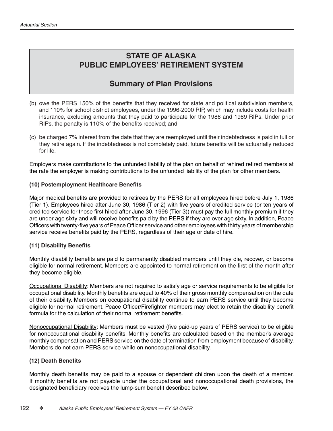# **Summary of Plan Provisions**

- (b) owe the PERS 150% of the benefits that they received for state and political subdivision members, and 110% for school district employees, under the 1996-2000 RIP, which may include costs for health insurance, excluding amounts that they paid to participate for the 1986 and 1989 RIPs. Under prior RIPs, the penalty is 110% of the benefits received; and
- (c) be charged 7% interest from the date that they are reemployed until their indebtedness is paid in full or they retire again. If the indebtedness is not completely paid, future benefits will be actuarially reduced for life.

Employers make contributions to the unfunded liability of the plan on behalf of rehired retired members at the rate the employer is making contributions to the unfunded liability of the plan for other members.

#### **(10) Postemployment Healthcare Benefits**

Major medical benefits are provided to retirees by the PERS for all employees hired before July 1, 1986 (Tier 1). Employees hired after June 30, 1986 (Tier 2) with five years of credited service (or ten years of credited service for those first hired after June 30, 1996 (Tier 3)) must pay the full monthly premium if they are under age sixty and will receive benefits paid by the PERS if they are over age sixty. In addition, Peace Officers with twenty-five years of Peace Officer service and other employees with thirty years of membership service receive benefits paid by the PERS, regardless of their age or date of hire.

#### **(11) Disability Benefits**

Monthly disability benefits are paid to permanently disabled members until they die, recover, or become eligible for normal retirement. Members are appointed to normal retirement on the first of the month after they become eligible.

Occupational Disability: Members are not required to satisfy age or service requirements to be eligible for occupational disability. Monthly benefits are equal to 40% of their gross monthly compensation on the date of their disability. Members on occupational disability continue to earn PERS service until they become eligible for normal retirement. Peace Officer/Firefighter members may elect to retain the disability benefit formula for the calculation of their normal retirement benefits.

Nonoccupational Disability: Members must be vested (five paid-up years of PERS service) to be eligible for nonoccupational disability benefits. Monthly benefits are calculated based on the member's average monthly compensation and PERS service on the date of termination from employment because of disability. Members do not earn PERS service while on nonoccupational disability.

#### **(12) Death Benefits**

Monthly death benefits may be paid to a spouse or dependent children upon the death of a member. If monthly benefits are not payable under the occupational and nonoccupational death provisions, the designated beneficiary receives the lump-sum benefit described below.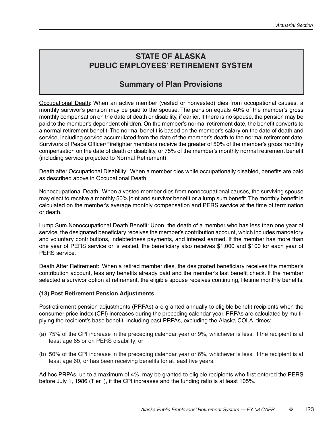# **Summary of Plan Provisions**

Occupational Death: When an active member (vested or nonvested) dies from occupational causes, a monthly survivor's pension may be paid to the spouse. The pension equals 40% of the member's gross monthly compensation on the date of death or disability, if earlier. If there is no spouse, the pension may be paid to the member's dependent children. On the member's normal retirement date, the benefit converts to a normal retirement benefit. The normal benefit is based on the member's salary on the date of death and service, including service accumulated from the date of the member's death to the normal retirement date. Survivors of Peace Officer/Firefighter members receive the greater of 50% of the member's gross monthly compensation on the date of death or disability, or 75% of the member's monthly normal retirement benefit (including service projected to Normal Retirement).

Death after Occupational Disability: When a member dies while occupationally disabled, benefits are paid as described above in Occupational Death.

Nonoccupational Death: When a vested member dies from nonoccupational causes, the surviving spouse may elect to receive a monthly 50% joint and survivor benefit or a lump sum benefit. The monthly benefit is calculated on the member's average monthly compensation and PERS service at the time of termination or death.

Lump Sum Nonoccupational Death Benefit: Upon the death of a member who has less than one year of service, the designated beneficiary receives the member's contribution account, which includes mandatory and voluntary contributions, indebtedness payments, and interest earned. If the member has more than one year of PERS service or is vested, the beneficiary also receives \$1,000 and \$100 for each year of PERS service.

Death After Retirement: When a retired member dies, the designated beneficiary receives the member's contribution account, less any benefits already paid and the member's last benefit check. If the member selected a survivor option at retirement, the eligible spouse receives continuing, lifetime monthly benefits.

#### **(13) Post Retirement Pension Adjustments**

Postretirement pension adjustments (PRPAs) are granted annually to eligible benefit recipients when the consumer price index (CPI) increases during the preceding calendar year. PRPAs are calculated by multiplying the recipient's base benefit, including past PRPAs, excluding the Alaska COLA, times:

- (a) 75% of the CPI increase in the preceding calendar year or 9%, whichever is less, if the recipient is at least age 65 or on PERS disability; or
- (b) 50% of the CPI increase in the preceding calendar year or 6%, whichever is less, if the recipient is at least age 60, or has been receiving benefits for at least five years.

Ad hoc PRPAs, up to a maximum of 4%, may be granted to eligible recipients who first entered the PERS before July 1, 1986 (Tier I), if the CPI increases and the funding ratio is at least 105%.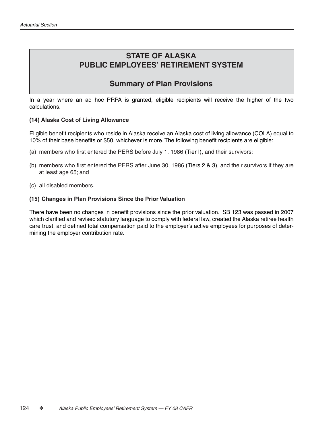# **Summary of Plan Provisions**

In a year where an ad hoc PRPA is granted, eligible recipients will receive the higher of the two calculations.

#### **(14) Alaska Cost of Living Allowance**

Eligible benefit recipients who reside in Alaska receive an Alaska cost of living allowance (COLA) equal to 10% of their base benefits or \$50, whichever is more. The following benefit recipients are eligible:

- (a) members who first entered the PERS before July 1, 1986 (Tier I), and their survivors;
- (b) members who first entered the PERS after June 30, 1986 (Tiers 2 & 3), and their survivors if they are at least age 65; and
- (c) all disabled members.

#### **(15) Changes in Plan Provisions Since the Prior Valuation**

There have been no changes in benefit provisions since the prior valuation. SB 123 was passed in 2007 which clarified and revised statutory language to comply with federal law, created the Alaska retiree health care trust, and defined total compensation paid to the employer's active employees for purposes of determining the employer contribution rate.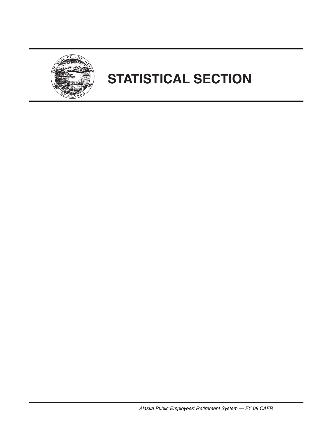

# **STATISTICAL SECTION**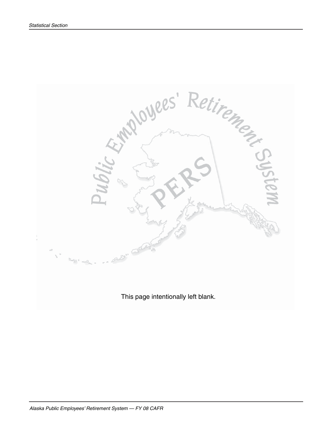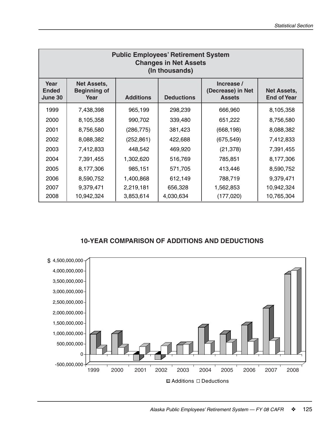|                                 | <b>Public Employees' Retirement System</b><br><b>Changes in Net Assets</b><br>(In thousands) |                  |                   |                                                  |                                          |  |  |  |  |  |  |
|---------------------------------|----------------------------------------------------------------------------------------------|------------------|-------------------|--------------------------------------------------|------------------------------------------|--|--|--|--|--|--|
| Year<br><b>Ended</b><br>June 30 | <b>Net Assets,</b><br><b>Beginning of</b><br>Year                                            | <b>Additions</b> | <b>Deductions</b> | Increase /<br>(Decrease) in Net<br><b>Assets</b> | <b>Net Assets,</b><br><b>End of Year</b> |  |  |  |  |  |  |
| 1999                            | 7,438,398                                                                                    | 965,199          | 298,239           | 666,960                                          | 8,105,358                                |  |  |  |  |  |  |
| 2000                            | 8,105,358                                                                                    | 990,702          | 339,480           | 651,222                                          | 8,756,580                                |  |  |  |  |  |  |
| 2001                            | 8,756,580                                                                                    | (286, 775)       | 381,423           | (668, 198)                                       | 8,088,382                                |  |  |  |  |  |  |
| 2002                            | 8,088,382                                                                                    | (252, 861)       | 422,688           | (675, 549)                                       | 7,412,833                                |  |  |  |  |  |  |
| 2003                            | 7,412,833                                                                                    | 448,542          | 469,920           | (21, 378)                                        | 7,391,455                                |  |  |  |  |  |  |
| 2004                            | 7,391,455                                                                                    | 1,302,620        | 516,769           | 785,851                                          | 8,177,306                                |  |  |  |  |  |  |
| 2005                            | 8,177,306                                                                                    | 985,151          | 571,705           | 413,446                                          | 8,590,752                                |  |  |  |  |  |  |
| 2006                            | 8,590,752                                                                                    | 1,400,868        | 612,149           | 788,719                                          | 9,379,471                                |  |  |  |  |  |  |
| 2007                            | 9,379,471                                                                                    | 2,219,181        | 656,328           | 1,562,853                                        | 10,942,324                               |  |  |  |  |  |  |
| 2008                            | 10,942,324                                                                                   | 3,853,614        | 4,030,634         | (177,020)                                        | 10,765,304                               |  |  |  |  |  |  |

### **10-YEAR COMPARISON OF ADDITIONS AND DEDUCTIONS**

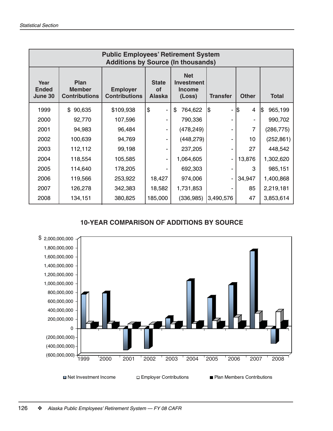| <b>Public Employees' Retirement System</b><br><b>Additions by Source (In thousands)</b> |                                                      |                                         |                                            |                                                            |                              |              |                |  |  |  |
|-----------------------------------------------------------------------------------------|------------------------------------------------------|-----------------------------------------|--------------------------------------------|------------------------------------------------------------|------------------------------|--------------|----------------|--|--|--|
| Year<br><b>Ended</b><br>June 30                                                         | <b>Plan</b><br><b>Member</b><br><b>Contributions</b> | <b>Employer</b><br><b>Contributions</b> | <b>State</b><br><b>of</b><br><b>Alaska</b> | <b>Net</b><br><b>Investment</b><br><b>Income</b><br>(Loss) | <b>Transfer</b>              | <b>Other</b> | <b>Total</b>   |  |  |  |
| 1999                                                                                    | \$90,635                                             | \$109,938                               | \$                                         | 764,622<br>\$                                              | 1\$                          | 4<br>1\$     | 1\$<br>965,199 |  |  |  |
| 2000                                                                                    | 92,770                                               | 107,596                                 |                                            | 790,336                                                    |                              |              | 990,702        |  |  |  |
| 2001                                                                                    | 94,983                                               | 96,484                                  |                                            | (478, 249)                                                 |                              | 7            | (286, 775)     |  |  |  |
| 2002                                                                                    | 100,639                                              | 94,769                                  |                                            | (448, 279)                                                 |                              | 10           | (252, 861)     |  |  |  |
| 2003                                                                                    | 112,112                                              | 99,198                                  |                                            | 237,205                                                    |                              | 27           | 448,542        |  |  |  |
| 2004                                                                                    | 118,554                                              | 105,585                                 |                                            | 1,064,605                                                  | $\qquad \qquad \blacksquare$ | 13,876       | 1,302,620      |  |  |  |
| 2005                                                                                    | 114,640                                              | 178,205                                 |                                            | 692,303                                                    |                              | 3            | 985,151        |  |  |  |
| 2006                                                                                    | 119,566                                              | 253,922                                 | 18,427                                     | 974,006                                                    | $\qquad \qquad \blacksquare$ | 34,947       | 1,400,868      |  |  |  |
| 2007                                                                                    | 126,278                                              | 342,383                                 | 18,582                                     | 1,731,853                                                  |                              | 85           | 2,219,181      |  |  |  |
| 2008                                                                                    | 134,151                                              | 380,825                                 | 185,000                                    | (336, 985)                                                 | 3,490,576                    | 47           | 3,853,614      |  |  |  |

**10-YEAR COMPARISON OF ADDITIONS BY SOURCE**

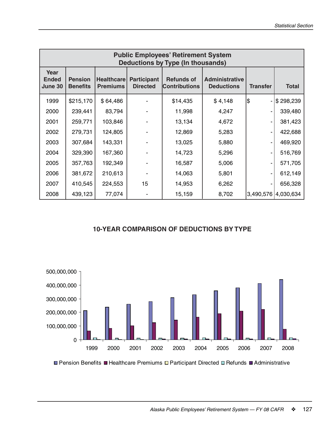|                                 | <b>Public Employees' Retirement System</b><br><b>Deductions by Type (In thousands)</b> |                               |                                       |                                           |                                            |                 |                     |  |  |  |  |
|---------------------------------|----------------------------------------------------------------------------------------|-------------------------------|---------------------------------------|-------------------------------------------|--------------------------------------------|-----------------|---------------------|--|--|--|--|
| Year<br><b>Ended</b><br>June 30 | <b>Pension</b><br><b>Benefits</b>                                                      | Healthcare<br><b>Premiums</b> | <b>Participant</b><br><b>Directed</b> | <b>Refunds of</b><br><b>Contributions</b> | <b>Administrative</b><br><b>Deductions</b> | <b>Transfer</b> | <b>Total</b>        |  |  |  |  |
| 1999                            | \$215,170                                                                              | \$64,486                      |                                       | \$14,435                                  | \$4,148                                    | \$              | \$298,239           |  |  |  |  |
| 2000                            | 239,441                                                                                | 83,794                        |                                       | 11,998                                    | 4,247                                      |                 | 339,480             |  |  |  |  |
| 2001                            | 259,771                                                                                | 103,846                       |                                       | 13,134                                    | 4,672                                      |                 | 381,423             |  |  |  |  |
| 2002                            | 279,731                                                                                | 124,805                       |                                       | 12,869                                    | 5,283                                      |                 | 422,688             |  |  |  |  |
| 2003                            | 307,684                                                                                | 143,331                       |                                       | 13,025                                    | 5,880                                      |                 | 469,920             |  |  |  |  |
| 2004                            | 329,390                                                                                | 167,360                       |                                       | 14,723                                    | 5,296                                      |                 | 516,769             |  |  |  |  |
| 2005                            | 357,763                                                                                | 192,349                       |                                       | 16,587                                    | 5,006                                      |                 | 571,705             |  |  |  |  |
| 2006                            | 381,672                                                                                | 210,613                       |                                       | 14,063                                    | 5,801                                      |                 | 612,149             |  |  |  |  |
| 2007                            | 410,545                                                                                | 224,553                       | 15                                    | 14,953                                    | 6,262                                      |                 | 656,328             |  |  |  |  |
| 2008                            | 439,123                                                                                | 77,074                        |                                       | 15,159                                    | 8,702                                      |                 | 3,490,576 4,030,634 |  |  |  |  |

### **10-YEAR COMPARISON OF DEDUCTIONS BY TYPE**



**Pension Benefits II Healthcare Premiums D Participant Directed D Refunds II Administrative**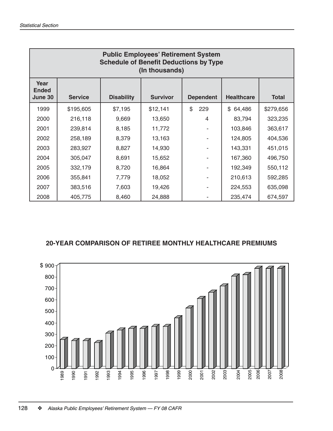| <b>Public Employees' Retirement System</b><br><b>Schedule of Benefit Deductions by Type</b><br>(In thousands) |                |                   |                 |                  |                   |              |  |  |
|---------------------------------------------------------------------------------------------------------------|----------------|-------------------|-----------------|------------------|-------------------|--------------|--|--|
| Year<br><b>Ended</b><br>June 30                                                                               | <b>Service</b> | <b>Disability</b> | <b>Survivor</b> | <b>Dependent</b> | <b>Healthcare</b> | <b>Total</b> |  |  |
| 1999                                                                                                          | \$195,605      | \$7,195           | \$12,141        | \$<br>229        | \$<br>64,486      | \$279,656    |  |  |
| 2000                                                                                                          | 216,118        | 9,669             | 13,650          | 4                | 83,794            | 323,235      |  |  |
| 2001                                                                                                          | 239,814        | 8,185             | 11,772          |                  | 103,846           | 363,617      |  |  |
| 2002                                                                                                          | 258,189        | 8,379             | 13,163          |                  | 124,805           | 404,536      |  |  |
| 2003                                                                                                          | 283,927        | 8,827             | 14,930          |                  | 143,331           | 451,015      |  |  |
| 2004                                                                                                          | 305,047        | 8,691             | 15,652          |                  | 167,360           | 496,750      |  |  |
| 2005                                                                                                          | 332,179        | 8,720             | 16,864          |                  | 192,349           | 550,112      |  |  |
| 2006                                                                                                          | 355,841        | 7,779             | 18,052          |                  | 210,613           | 592,285      |  |  |
| 2007                                                                                                          | 383,516        | 7,603             | 19,426          |                  | 224,553           | 635,098      |  |  |
| 2008                                                                                                          | 405,775        | 8,460             | 24,888          |                  | 235,474           | 674,597      |  |  |

## **20-YEAR COMPARISON OF RETIREE MONTHLY HEALTHCARE PREMIUMS**

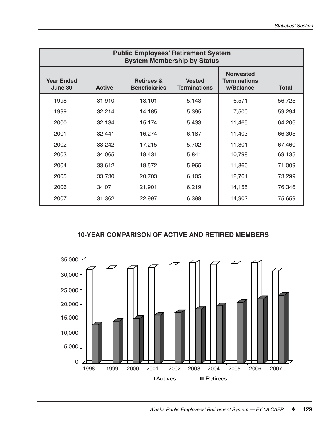| <b>Public Employees' Retirement System</b><br><b>System Membership by Status</b> |               |                                               |                                      |                                                      |              |  |  |  |
|----------------------------------------------------------------------------------|---------------|-----------------------------------------------|--------------------------------------|------------------------------------------------------|--------------|--|--|--|
| <b>Year Ended</b><br>June 30                                                     | <b>Active</b> | <b>Retirees &amp;</b><br><b>Beneficiaries</b> | <b>Vested</b><br><b>Terminations</b> | <b>Nonvested</b><br><b>Terminations</b><br>w/Balance | <b>Total</b> |  |  |  |
| 1998                                                                             | 31,910        | 13,101                                        | 5,143                                | 6,571                                                | 56,725       |  |  |  |
| 1999                                                                             | 32,214        | 14,185                                        | 5,395                                | 7,500                                                | 59,294       |  |  |  |
| 2000                                                                             | 32,134        | 15,174                                        | 5,433                                | 11,465                                               | 64,206       |  |  |  |
| 2001                                                                             | 32,441        | 16,274                                        | 6,187                                | 11,403                                               | 66,305       |  |  |  |
| 2002                                                                             | 33,242        | 17,215                                        | 5,702                                | 11,301                                               | 67,460       |  |  |  |
| 2003                                                                             | 34,065        | 18,431                                        | 5,841                                | 10,798                                               | 69,135       |  |  |  |
| 2004                                                                             | 33,612        | 19,572                                        | 5,965                                | 11,860                                               | 71,009       |  |  |  |
| 2005                                                                             | 33,730        | 20,703                                        | 6,105                                | 12,761                                               | 73,299       |  |  |  |
| 2006                                                                             | 34,071        | 21,901                                        | 6,219                                | 14,155                                               | 76,346       |  |  |  |
| 2007                                                                             | 31,362        | 22,997                                        | 6,398                                | 14,902                                               | 75,659       |  |  |  |

# **10-YEAR COMPARISON OF ACTIVE AND RETIRED MEMBERS**

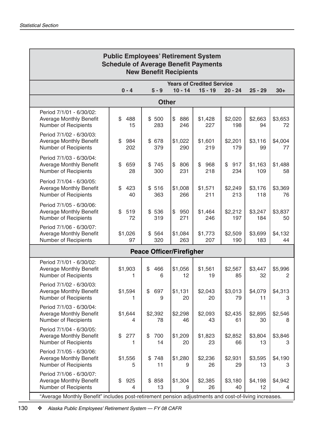| <b>Public Employees' Retirement System</b><br><b>Schedule of Average Benefit Payments</b><br><b>New Benefit Recipients</b>                                                                 |                  |                 |                              |                                               |                             |                |                         |  |
|--------------------------------------------------------------------------------------------------------------------------------------------------------------------------------------------|------------------|-----------------|------------------------------|-----------------------------------------------|-----------------------------|----------------|-------------------------|--|
|                                                                                                                                                                                            | $0 - 4$          | $5 - 9$         | $10 - 14$                    | <b>Years of Credited Service</b><br>$15 - 19$ | $20 - 24$                   | $25 - 29$      | $30+$                   |  |
| <b>Other</b>                                                                                                                                                                               |                  |                 |                              |                                               |                             |                |                         |  |
| Period 7/1/01 - 6/30/02:<br><b>Average Monthly Benefit</b><br><b>Number of Recipients</b>                                                                                                  | \$<br>488<br>15  | \$500<br>283    | \$<br>886<br>246             | \$1,428<br>227                                | \$2,020<br>198              | \$2,663<br>94  | \$3,653<br>72           |  |
| Period 7/1/02 - 6/30/03:<br><b>Average Monthly Benefit</b><br>Number of Recipients                                                                                                         | \$<br>984<br>202 | \$678<br>379    | \$1,022<br>290               | \$1,601<br>219                                | \$2,201<br>179              | \$3,116<br>99  | \$4,004<br>77           |  |
| Period 7/1/03 - 6/30/04:<br><b>Average Monthly Benefit</b><br>Number of Recipients                                                                                                         | \$<br>659<br>28  | \$745<br>300    | $\mathfrak{S}$<br>806<br>231 | \$<br>968<br>218                              | $\mathcal{S}$<br>917<br>234 | \$1,163<br>109 | \$1,488<br>58           |  |
| Period 7/1/04 - 6/30/05:<br><b>Average Monthly Benefit</b><br><b>Number of Recipients</b>                                                                                                  | \$<br>423<br>40  | \$516<br>363    | \$1,008<br>266               | \$1,571<br>211                                | \$2,249<br>213              | \$3,176<br>118 | \$3,369<br>76           |  |
| Period 7/1/05 - 6/30/06:<br><b>Average Monthly Benefit</b><br>Number of Recipients                                                                                                         | \$<br>519<br>72  | \$536<br>319    | $\mathcal{L}$<br>950<br>271  | \$1,464<br>246                                | \$2,212<br>197              | \$3,247<br>184 | \$3,837<br>50           |  |
| Period 7/1/06 - 6/30/07:<br><b>Average Monthly Benefit</b><br>Number of Recipients                                                                                                         | \$1,026<br>97    | \$564<br>320    | \$1,084<br>263               | \$1,773<br>207                                | \$2,509<br>190              | \$3,699<br>183 | \$4,132<br>44           |  |
| <b>Peace Officer/Firefigher</b>                                                                                                                                                            |                  |                 |                              |                                               |                             |                |                         |  |
| Period 7/1/01 - 6/30/02:<br><b>Average Monthly Benefit</b><br>Number of Recipients                                                                                                         | \$1,903<br>1     | \$<br>466<br>6  | \$1,056<br>12                | \$1,561<br>19                                 | \$2,567<br>85               | \$3,447<br>32  | \$5,996<br>$\mathbf{2}$ |  |
| Period 7/1/02 - 6/30/03:<br><b>Average Monthly Benefit</b><br><b>Number of Recipients</b>                                                                                                  | \$1,594<br>1     | 697<br>\$<br>9  | \$1,131<br>20                | \$2,043<br>20                                 | \$3,013<br>79               | \$4,079<br>11  | \$4,313<br>3            |  |
| Period 7/1/03 - 6/30/04:<br><b>Average Monthly Benefit</b><br>Number of Recipients                                                                                                         | \$1,644<br>4     | \$2,392<br>78   | \$2,298<br>46                | \$2,093<br>43                                 | \$2,435<br>61               | \$2,895<br>30  | \$2,546<br>8            |  |
| Period 7/1/04 - 6/30/05:<br><b>Average Monthly Benefit</b><br><b>Number of Recipients</b>                                                                                                  | \$<br>277<br>1   | \$<br>700<br>14 | \$1,209<br>20                | \$1,823<br>23                                 | \$2,852<br>66               | \$3,804<br>13  | \$3,846<br>3            |  |
| Period 7/1/05 - 6/30/06:<br><b>Average Monthly Benefit</b><br>Number of Recipients                                                                                                         | \$1,556<br>5     | \$748<br>11     | \$1,280<br>9                 | \$2,236<br>26                                 | \$2,931<br>29               | \$3,595<br>13  | \$4,190<br>3            |  |
| Period 7/1/06 - 6/30/07:<br><b>Average Monthly Benefit</b><br>Number of Recipients<br>"Average Monthly Benefit" includes post-retirement pension adjustments and cost-of-living increases. | 925<br>\$<br>4   | 858<br>\$<br>13 | \$1,304<br>9                 | \$2,385<br>26                                 | \$3,180<br>40               | \$4,198<br>12  | \$4,942<br>4            |  |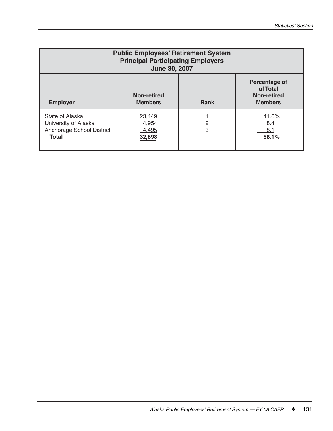| <b>Public Employees' Retirement System</b><br><b>Principal Participating Employers</b><br><b>June 30, 2007</b> |                                    |             |                                                            |
|----------------------------------------------------------------------------------------------------------------|------------------------------------|-------------|------------------------------------------------------------|
| <b>Employer</b>                                                                                                | Non-retired<br><b>Members</b>      | <b>Rank</b> | Percentage of<br>of Total<br>Non-retired<br><b>Members</b> |
| State of Alaska<br>University of Alaska<br>Anchorage School District<br><b>Total</b>                           | 23,449<br>4,954<br>4,495<br>32,898 | 2<br>3      | 41.6%<br>8.4<br>8.1<br>58.1%                               |